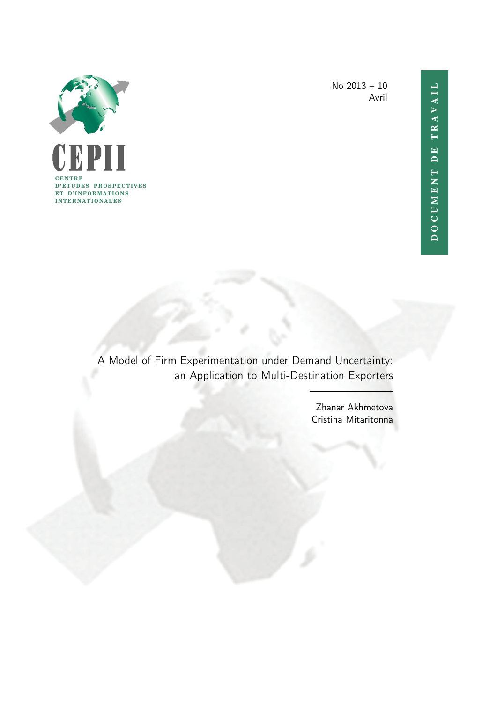

No 2013 – 10 Avril

A Model of Firm Experimentation under Demand Uncertainty: an Application to Multi-Destination Exporters

> Zhanar Akhmetova Cristina Mitaritonna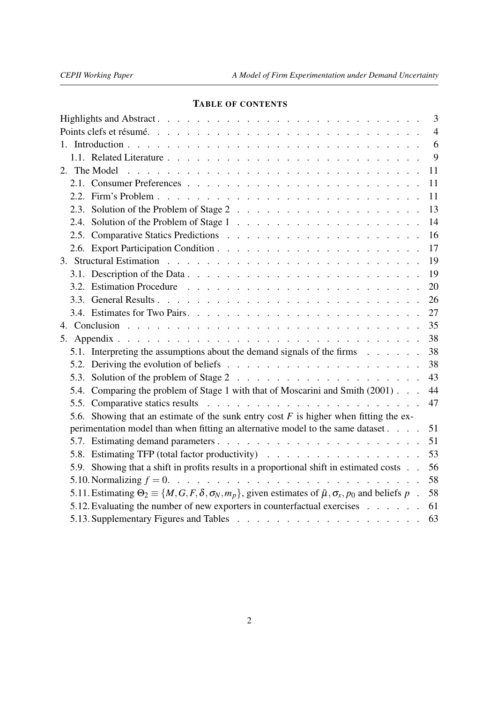# TABLE OF CONTENTS

|                                                                                                                                         | 3              |
|-----------------------------------------------------------------------------------------------------------------------------------------|----------------|
|                                                                                                                                         | $\overline{4}$ |
|                                                                                                                                         | 6              |
|                                                                                                                                         | 9              |
|                                                                                                                                         | 11             |
|                                                                                                                                         | 11             |
|                                                                                                                                         | 11             |
|                                                                                                                                         | 13             |
|                                                                                                                                         | 14             |
|                                                                                                                                         | 16             |
|                                                                                                                                         | 17             |
|                                                                                                                                         | 19             |
|                                                                                                                                         | 19             |
|                                                                                                                                         | 20             |
|                                                                                                                                         | 26             |
|                                                                                                                                         | 27             |
|                                                                                                                                         | 35             |
|                                                                                                                                         | 38             |
| 5.1. Interpreting the assumptions about the demand signals of the firms                                                                 | 38             |
|                                                                                                                                         | 38             |
|                                                                                                                                         | 43             |
| 5.4. Comparing the problem of Stage 1 with that of Moscarini and Smith (2001)                                                           | 44             |
|                                                                                                                                         | 47             |
| 5.6. Showing that an estimate of the sunk entry cost $F$ is higher when fitting the ex-                                                 |                |
| perimentation model than when fitting an alternative model to the same dataset.                                                         | 51             |
|                                                                                                                                         | 51             |
| 5.8. Estimating TFP (total factor productivity)                                                                                         | 53             |
| 5.9. Showing that a shift in profits results in a proportional shift in estimated costs                                                 | 56             |
|                                                                                                                                         | 58             |
| 5.11. Estimating $\Theta_2 \equiv \{M, G, F, \delta, \sigma_N, m_p\}$ , given estimates of $\bar{\mu}, \sigma_x, p_0$ and beliefs $p$ . | 58             |
| 5.12. Evaluating the number of new exporters in counterfactual exercises                                                                | 61             |
|                                                                                                                                         | 63             |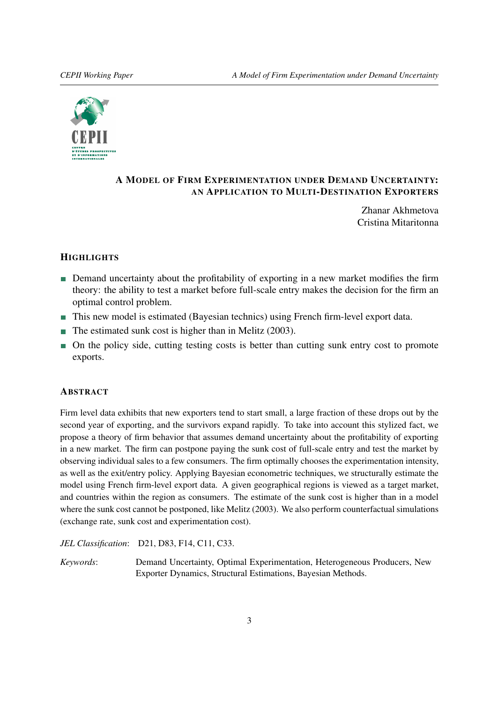<span id="page-2-0"></span>

# A MODEL OF FIRM EXPERIMENTATION UNDER DEMAND UNCERTAINTY: AN APPLICATION TO MULTI-DESTINATION EXPORTERS

Zhanar Akhmetova Cristina Mitaritonna

# **HIGHLIGHTS**

- Demand uncertainty about the profitability of exporting in a new market modifies the firm theory: the ability to test a market before full-scale entry makes the decision for the firm an optimal control problem.
- This new model is estimated (Bayesian technics) using French firm-level export data.
- $\blacksquare$  The estimated sunk cost is higher than in Melitz (2003).
- On the policy side, cutting testing costs is better than cutting sunk entry cost to promote exports.

# **ABSTRACT**

Firm level data exhibits that new exporters tend to start small, a large fraction of these drops out by the second year of exporting, and the survivors expand rapidly. To take into account this stylized fact, we propose a theory of firm behavior that assumes demand uncertainty about the profitability of exporting in a new market. The firm can postpone paying the sunk cost of full-scale entry and test the market by observing individual sales to a few consumers. The firm optimally chooses the experimentation intensity, as well as the exit/entry policy. Applying Bayesian econometric techniques, we structurally estimate the model using French firm-level export data. A given geographical regions is viewed as a target market, and countries within the region as consumers. The estimate of the sunk cost is higher than in a model where the sunk cost cannot be postponed, like Melitz (2003). We also perform counterfactual simulations (exchange rate, sunk cost and experimentation cost).

*JEL Classification*: D21, D83, F14, C11, C33.

*Keywords*: Demand Uncertainty, Optimal Experimentation, Heterogeneous Producers, New Exporter Dynamics, Structural Estimations, Bayesian Methods.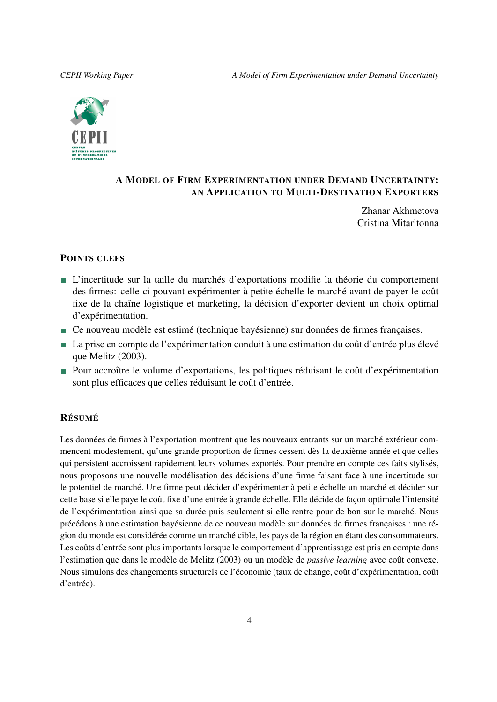<span id="page-3-0"></span>

# A MODEL OF FIRM EXPERIMENTATION UNDER DEMAND UNCERTAINTY: AN APPLICATION TO MULTI-DESTINATION EXPORTERS

Zhanar Akhmetova Cristina Mitaritonna

## POINTS CLEFS

- L'incertitude sur la taille du marchés d'exportations modifie la théorie du comportement des firmes: celle-ci pouvant expérimenter à petite échelle le marché avant de payer le coût fixe de la chaîne logistique et marketing, la décision d'exporter devient un choix optimal d'expérimentation.
- Ce nouveau modèle est estimé (technique bayésienne) sur données de firmes françaises.
- La prise en compte de l'expérimentation conduit à une estimation du coût d'entrée plus élevé que Melitz (2003).
- Pour accroître le volume d'exportations, les politiques réduisant le coût d'expérimentation sont plus efficaces que celles réduisant le coût d'entrée.

# RÉSUMÉ

Les données de firmes à l'exportation montrent que les nouveaux entrants sur un marché extérieur commencent modestement, qu'une grande proportion de firmes cessent dès la deuxième année et que celles qui persistent accroissent rapidement leurs volumes exportés. Pour prendre en compte ces faits stylisés, nous proposons une nouvelle modélisation des décisions d'une firme faisant face à une incertitude sur le potentiel de marché. Une firme peut décider d'expérimenter à petite échelle un marché et décider sur cette base si elle paye le coût fixe d'une entrée à grande échelle. Elle décide de façon optimale l'intensité de l'expérimentation ainsi que sa durée puis seulement si elle rentre pour de bon sur le marché. Nous précédons à une estimation bayésienne de ce nouveau modèle sur données de firmes françaises : une région du monde est considérée comme un marché cible, les pays de la région en étant des consommateurs. Les coûts d'entrée sont plus importants lorsque le comportement d'apprentissage est pris en compte dans l'estimation que dans le modèle de Melitz (2003) ou un modèle de *passive learning* avec coût convexe. Nous simulons des changements structurels de l'économie (taux de change, coût d'expérimentation, coût d'entrée).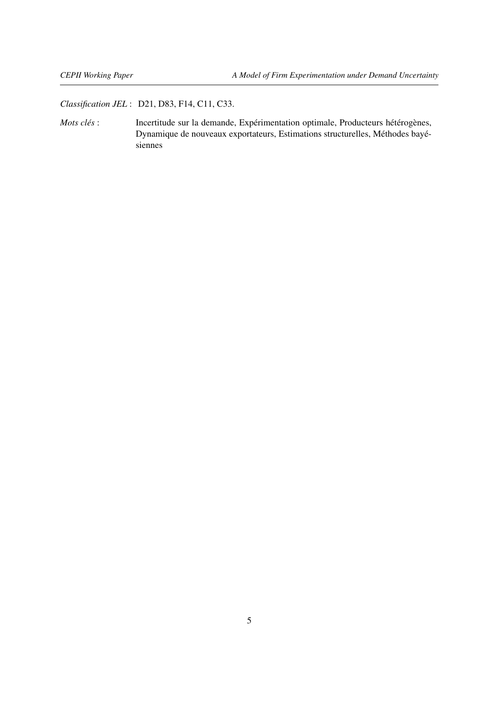*Classification JEL* : D21, D83, F14, C11, C33.

*Mots clés* : Incertitude sur la demande, Expérimentation optimale, Producteurs hétérogènes, Dynamique de nouveaux exportateurs, Estimations structurelles, Méthodes bayésiennes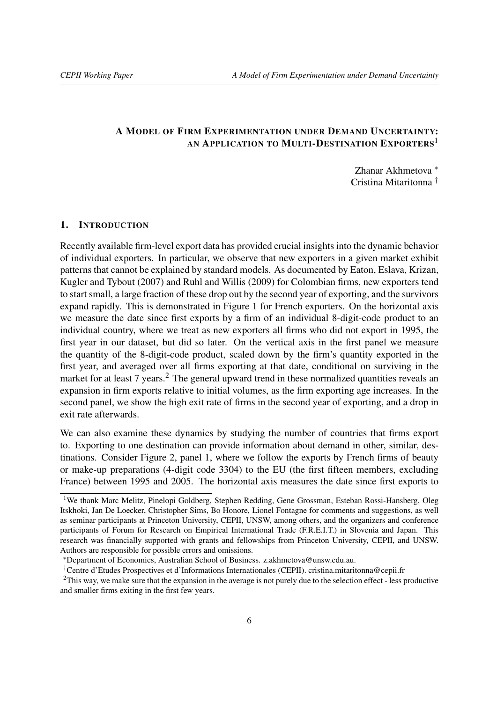# A MODEL OF FIRM EXPERIMENTATION UNDER DEMAND UNCERTAINTY: AN APPLICATION TO MULTI-DESTINATION EXPORTERS<sup>[1](#page-5-1)</sup>

Zhanar Akhmetova [∗](#page-5-2) Cristina Mitaritonna [†](#page-5-3)

# <span id="page-5-0"></span>1. INTRODUCTION

Recently available firm-level export data has provided crucial insights into the dynamic behavior of individual exporters. In particular, we observe that new exporters in a given market exhibit patterns that cannot be explained by standard models. As documented by [Eaton, Eslava, Krizan,](#page-35-1) [Kugler and Tybout](#page-35-1) [\(2007\)](#page-35-1) and [Ruhl and Willis](#page-36-0) [\(2009\)](#page-36-0) for Colombian firms, new exporters tend to start small, a large fraction of these drop out by the second year of exporting, and the survivors expand rapidly. This is demonstrated in Figure [1](#page-6-0) for French exporters. On the horizontal axis we measure the date since first exports by a firm of an individual 8-digit-code product to an individual country, where we treat as new exporters all firms who did not export in 1995, the first year in our dataset, but did so later. On the vertical axis in the first panel we measure the quantity of the 8-digit-code product, scaled down by the firm's quantity exported in the first year, and averaged over all firms exporting at that date, conditional on surviving in the market for at least 7 years.<sup>[2](#page-5-4)</sup> The general upward trend in these normalized quantities reveals an expansion in firm exports relative to initial volumes, as the firm exporting age increases. In the second panel, we show the high exit rate of firms in the second year of exporting, and a drop in exit rate afterwards.

We can also examine these dynamics by studying the number of countries that firms export to. Exporting to one destination can provide information about demand in other, similar, destinations. Consider Figure [2,](#page-6-1) panel 1, where we follow the exports by French firms of beauty or make-up preparations (4-digit code 3304) to the EU (the first fifteen members, excluding France) between 1995 and 2005. The horizontal axis measures the date since first exports to

<span id="page-5-1"></span><sup>&</sup>lt;sup>1</sup>We thank Marc Melitz, Pinelopi Goldberg, Stephen Redding, Gene Grossman, Esteban Rossi-Hansberg, Oleg Itskhoki, Jan De Loecker, Christopher Sims, Bo Honore, Lionel Fontagne for comments and suggestions, as well as seminar participants at Princeton University, CEPII, UNSW, among others, and the organizers and conference participants of Forum for Research on Empirical International Trade (F.R.E.I.T.) in Slovenia and Japan. This research was financially supported with grants and fellowships from Princeton University, CEPII, and UNSW. Authors are responsible for possible errors and omissions.

<span id="page-5-2"></span><sup>∗</sup>Department of Economics, Australian School of Business. z.akhmetova@unsw.edu.au.

<span id="page-5-4"></span><span id="page-5-3"></span><sup>†</sup>Centre d'Etudes Prospectives et d'Informations Internationales (CEPII). cristina.mitaritonna@cepii.fr

 $2$ This way, we make sure that the expansion in the average is not purely due to the selection effect - less productive and smaller firms exiting in the first few years.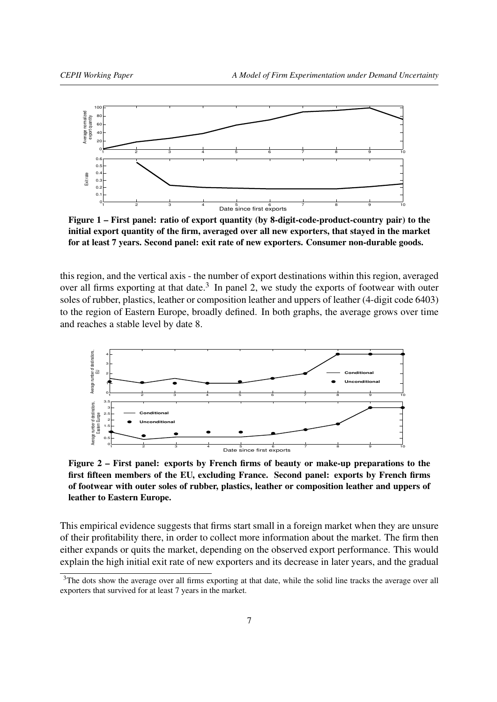<span id="page-6-0"></span>

Figure 1 – First panel: ratio of export quantity (by 8-digit-code-product-country pair) to the initial export quantity of the firm, averaged over all new exporters, that stayed in the market for at least 7 years. Second panel: exit rate of new exporters. Consumer non-durable goods.

this region, and the vertical axis - the number of export destinations within this region, averaged over all firms exporting at that date. $3$  In panel 2, we study the exports of footwear with outer soles of rubber, plastics, leather or composition leather and uppers of leather (4-digit code 6403) to the region of Eastern Europe, broadly defined. In both graphs, the average grows over time and reaches a stable level by date 8.

<span id="page-6-1"></span>

Figure 2 – First panel: exports by French firms of beauty or make-up preparations to the first fifteen members of the EU, excluding France. Second panel: exports by French firms of footwear with outer soles of rubber, plastics, leather or composition leather and uppers of leather to Eastern Europe.

This empirical evidence suggests that firms start small in a foreign market when they are unsure of their profitability there, in order to collect more information about the market. The firm then either expands or quits the market, depending on the observed export performance. This would explain the high initial exit rate of new exporters and its decrease in later years, and the gradual

<span id="page-6-2"></span><sup>&</sup>lt;sup>3</sup>The dots show the average over all firms exporting at that date, while the solid line tracks the average over all exporters that survived for at least 7 years in the market.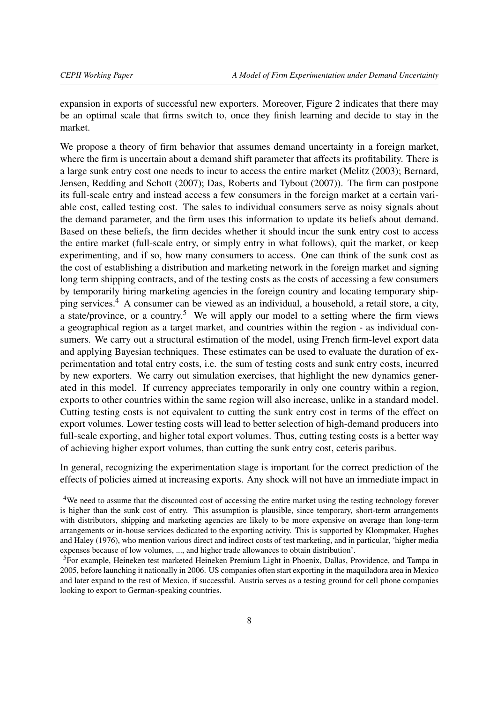expansion in exports of successful new exporters. Moreover, Figure [2](#page-6-1) indicates that there may be an optimal scale that firms switch to, once they finish learning and decide to stay in the market.

We propose a theory of firm behavior that assumes demand uncertainty in a foreign market, where the firm is uncertain about a demand shift parameter that affects its profitability. There is a large sunk entry cost one needs to incur to access the entire market [\(Melitz](#page-35-2) [\(2003\)](#page-35-2); [Bernard,](#page-35-3) [Jensen, Redding and Schott](#page-35-3) [\(2007\)](#page-35-3); [Das, Roberts and Tybout](#page-35-4) [\(2007\)](#page-35-4)). The firm can postpone its full-scale entry and instead access a few consumers in the foreign market at a certain variable cost, called testing cost. The sales to individual consumers serve as noisy signals about the demand parameter, and the firm uses this information to update its beliefs about demand. Based on these beliefs, the firm decides whether it should incur the sunk entry cost to access the entire market (full-scale entry, or simply entry in what follows), quit the market, or keep experimenting, and if so, how many consumers to access. One can think of the sunk cost as the cost of establishing a distribution and marketing network in the foreign market and signing long term shipping contracts, and of the testing costs as the costs of accessing a few consumers by temporarily hiring marketing agencies in the foreign country and locating temporary shipping services.[4](#page-7-0) A consumer can be viewed as an individual, a household, a retail store, a city, a state/province, or a country.<sup>[5](#page-7-1)</sup> We will apply our model to a setting where the firm views a geographical region as a target market, and countries within the region - as individual consumers. We carry out a structural estimation of the model, using French firm-level export data and applying Bayesian techniques. These estimates can be used to evaluate the duration of experimentation and total entry costs, i.e. the sum of testing costs and sunk entry costs, incurred by new exporters. We carry out simulation exercises, that highlight the new dynamics generated in this model. If currency appreciates temporarily in only one country within a region, exports to other countries within the same region will also increase, unlike in a standard model. Cutting testing costs is not equivalent to cutting the sunk entry cost in terms of the effect on export volumes. Lower testing costs will lead to better selection of high-demand producers into full-scale exporting, and higher total export volumes. Thus, cutting testing costs is a better way of achieving higher export volumes, than cutting the sunk entry cost, ceteris paribus.

In general, recognizing the experimentation stage is important for the correct prediction of the effects of policies aimed at increasing exports. Any shock will not have an immediate impact in

<span id="page-7-0"></span><sup>4</sup>We need to assume that the discounted cost of accessing the entire market using the testing technology forever is higher than the sunk cost of entry. This assumption is plausible, since temporary, short-term arrangements with distributors, shipping and marketing agencies are likely to be more expensive on average than long-term arrangements or in-house services dedicated to the exporting activity. This is supported by [Klompmaker, Hughes](#page-35-5) [and Haley](#page-35-5) [\(1976\)](#page-35-5), who mention various direct and indirect costs of test marketing, and in particular, 'higher media expenses because of low volumes, ..., and higher trade allowances to obtain distribution'.

<span id="page-7-1"></span><sup>&</sup>lt;sup>5</sup>For example, Heineken test marketed Heineken Premium Light in Phoenix, Dallas, Providence, and Tampa in 2005, before launching it nationally in 2006. US companies often start exporting in the maquiladora area in Mexico and later expand to the rest of Mexico, if successful. Austria serves as a testing ground for cell phone companies looking to export to German-speaking countries.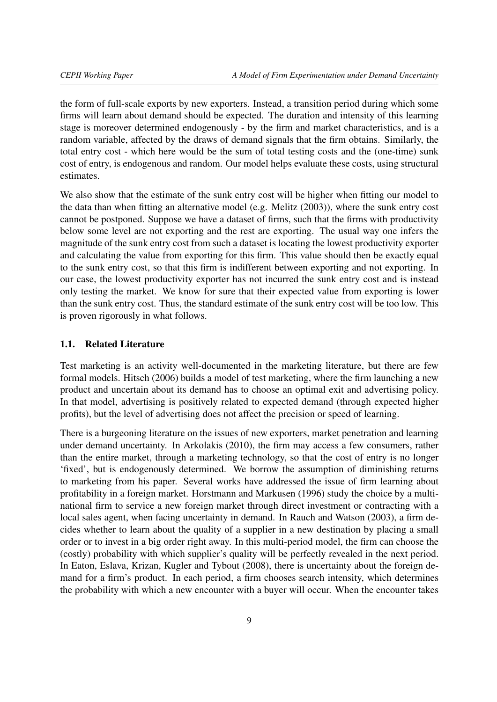the form of full-scale exports by new exporters. Instead, a transition period during which some firms will learn about demand should be expected. The duration and intensity of this learning stage is moreover determined endogenously - by the firm and market characteristics, and is a random variable, affected by the draws of demand signals that the firm obtains. Similarly, the total entry cost - which here would be the sum of total testing costs and the (one-time) sunk cost of entry, is endogenous and random. Our model helps evaluate these costs, using structural estimates.

We also show that the estimate of the sunk entry cost will be higher when fitting our model to the data than when fitting an alternative model (e.g. [Melitz](#page-35-2) [\(2003\)](#page-35-2)), where the sunk entry cost cannot be postponed. Suppose we have a dataset of firms, such that the firms with productivity below some level are not exporting and the rest are exporting. The usual way one infers the magnitude of the sunk entry cost from such a dataset is locating the lowest productivity exporter and calculating the value from exporting for this firm. This value should then be exactly equal to the sunk entry cost, so that this firm is indifferent between exporting and not exporting. In our case, the lowest productivity exporter has not incurred the sunk entry cost and is instead only testing the market. We know for sure that their expected value from exporting is lower than the sunk entry cost. Thus, the standard estimate of the sunk entry cost will be too low. This is proven rigorously in what follows.

## <span id="page-8-0"></span>1.1. Related Literature

Test marketing is an activity well-documented in the marketing literature, but there are few formal models. [Hitsch](#page-35-6) [\(2006\)](#page-35-6) builds a model of test marketing, where the firm launching a new product and uncertain about its demand has to choose an optimal exit and advertising policy. In that model, advertising is positively related to expected demand (through expected higher profits), but the level of advertising does not affect the precision or speed of learning.

There is a burgeoning literature on the issues of new exporters, market penetration and learning under demand uncertainty. In [Arkolakis](#page-35-7) [\(2010\)](#page-35-7), the firm may access a few consumers, rather than the entire market, through a marketing technology, so that the cost of entry is no longer 'fixed', but is endogenously determined. We borrow the assumption of diminishing returns to marketing from his paper. Several works have addressed the issue of firm learning about profitability in a foreign market. [Horstmann and Markusen](#page-35-8) [\(1996\)](#page-35-8) study the choice by a multinational firm to service a new foreign market through direct investment or contracting with a local sales agent, when facing uncertainty in demand. In [Rauch and Watson](#page-36-1) [\(2003\)](#page-36-1), a firm decides whether to learn about the quality of a supplier in a new destination by placing a small order or to invest in a big order right away. In this multi-period model, the firm can choose the (costly) probability with which supplier's quality will be perfectly revealed in the next period. In [Eaton, Eslava, Krizan, Kugler and Tybout](#page-35-9) [\(2008\)](#page-35-9), there is uncertainty about the foreign demand for a firm's product. In each period, a firm chooses search intensity, which determines the probability with which a new encounter with a buyer will occur. When the encounter takes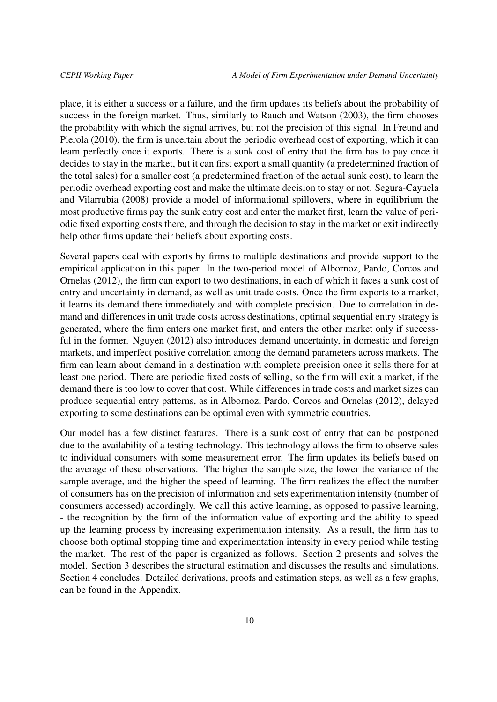place, it is either a success or a failure, and the firm updates its beliefs about the probability of success in the foreign market. Thus, similarly to [Rauch and Watson](#page-36-1) [\(2003\)](#page-36-1), the firm chooses the probability with which the signal arrives, but not the precision of this signal. In [Freund and](#page-35-10) [Pierola](#page-35-10) [\(2010\)](#page-35-10), the firm is uncertain about the periodic overhead cost of exporting, which it can learn perfectly once it exports. There is a sunk cost of entry that the firm has to pay once it decides to stay in the market, but it can first export a small quantity (a predetermined fraction of the total sales) for a smaller cost (a predetermined fraction of the actual sunk cost), to learn the periodic overhead exporting cost and make the ultimate decision to stay or not. [Segura-Cayuela](#page-36-2) [and Vilarrubia](#page-36-2) [\(2008\)](#page-36-2) provide a model of informational spillovers, where in equilibrium the most productive firms pay the sunk entry cost and enter the market first, learn the value of periodic fixed exporting costs there, and through the decision to stay in the market or exit indirectly help other firms update their beliefs about exporting costs.

Several papers deal with exports by firms to multiple destinations and provide support to the empirical application in this paper. In the two-period model of [Albornoz, Pardo, Corcos and](#page-35-11) [Ornelas](#page-35-11) [\(2012\)](#page-35-11), the firm can export to two destinations, in each of which it faces a sunk cost of entry and uncertainty in demand, as well as unit trade costs. Once the firm exports to a market, it learns its demand there immediately and with complete precision. Due to correlation in demand and differences in unit trade costs across destinations, optimal sequential entry strategy is generated, where the firm enters one market first, and enters the other market only if successful in the former. [Nguyen](#page-35-12) [\(2012\)](#page-35-12) also introduces demand uncertainty, in domestic and foreign markets, and imperfect positive correlation among the demand parameters across markets. The firm can learn about demand in a destination with complete precision once it sells there for at least one period. There are periodic fixed costs of selling, so the firm will exit a market, if the demand there is too low to cover that cost. While differences in trade costs and market sizes can produce sequential entry patterns, as in [Albornoz, Pardo, Corcos and Ornelas](#page-35-11) [\(2012\)](#page-35-11), delayed exporting to some destinations can be optimal even with symmetric countries.

Our model has a few distinct features. There is a sunk cost of entry that can be postponed due to the availability of a testing technology. This technology allows the firm to observe sales to individual consumers with some measurement error. The firm updates its beliefs based on the average of these observations. The higher the sample size, the lower the variance of the sample average, and the higher the speed of learning. The firm realizes the effect the number of consumers has on the precision of information and sets experimentation intensity (number of consumers accessed) accordingly. We call this active learning, as opposed to passive learning, - the recognition by the firm of the information value of exporting and the ability to speed up the learning process by increasing experimentation intensity. As a result, the firm has to choose both optimal stopping time and experimentation intensity in every period while testing the market. The rest of the paper is organized as follows. Section 2 presents and solves the model. Section 3 describes the structural estimation and discusses the results and simulations. Section 4 concludes. Detailed derivations, proofs and estimation steps, as well as a few graphs, can be found in the Appendix.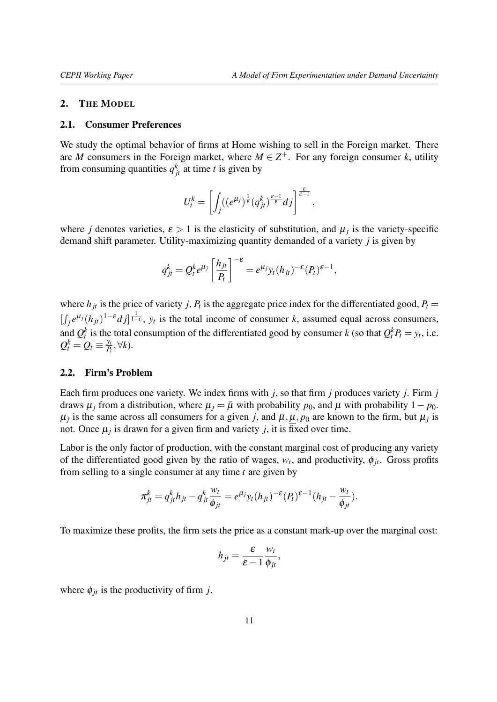#### <span id="page-10-0"></span>2. THE MODEL

#### <span id="page-10-1"></span>2.1. Consumer Preferences

We study the optimal behavior of firms at Home wishing to sell in the Foreign market. There are *M* consumers in the Foreign market, where  $M \in \mathbb{Z}^+$ . For any foreign consumer *k*, utility from consuming quantities  $q_{jt}^k$  at time *t* is given by

$$
U_t^k = \left[ \int_j ((e^{\mu_j})^{\frac{1}{\varepsilon}} (q_{jt}^k)^{\frac{\varepsilon-1}{\varepsilon}} dj \right]^{\frac{\varepsilon}{\varepsilon-1}},
$$

where *j* denotes varieties,  $\varepsilon > 1$  is the elasticity of substitution, and  $\mu_j$  is the variety-specific demand shift parameter. Utility-maximizing quantity demanded of a variety *j* is given by

$$
q_{jt}^k = Q_t^k e^{\mu_j} \left[ \frac{h_{jt}}{P_t} \right]^{-\varepsilon} = e^{\mu_j} y_t (h_{jt})^{-\varepsilon} (P_t)^{\varepsilon - 1},
$$

where  $h_{jt}$  is the price of variety *j*,  $P_t$  is the aggregate price index for the differentiated good,  $P_t$  $[\int_j e^{\mu_j}(h_{jt})^{1-\epsilon}d_j]^{1-\epsilon}$ ,  $y_t$  is the total income of consumer *k*, assumed equal across consumers, and  $Q_t^k$  is the total consumption of the differentiated good by consumer *k* (so that  $Q_t^k P_t = y_t$ , i.e.  $Q_t^k = Q_t \equiv \frac{y_t}{P_t}$  $\frac{y_t}{P_t}$ ,∀*k*).

### <span id="page-10-2"></span>2.2. Firm's Problem

Each firm produces one variety. We index firms with *j*, so that firm *j* produces variety *j*. Firm *j* draws  $\mu_j$  from a distribution, where  $\mu_j = \bar{\mu}$  with probability  $p_0$ , and  $\mu$  with probability  $1 - p_0$ .  $\mu_j$  is the same across all consumers for a given *j*, and  $\bar{\mu}, \mu, p_0$  are known to the firm, but  $\mu_j$  is not. Once  $\mu_j$  is drawn for a given firm and variety  $j$ , it is fixed over time.

Labor is the only factor of production, with the constant marginal cost of producing any variety of the differentiated good given by the ratio of wages,  $w_t$ , and productivity,  $\phi_{jt}$ . Gross profits from selling to a single consumer at any time *t* are given by

$$
\pi_{jt}^k = q_{jt}^k h_{jt} - q_{jt}^k \frac{w_t}{\phi_{jt}} = e^{\mu_j} y_t (h_{jt})^{-\varepsilon} (P_t)^{\varepsilon-1} (h_{jt} - \frac{w_t}{\phi_{jt}}).
$$

To maximize these profits, the firm sets the price as a constant mark-up over the marginal cost:

$$
h_{jt} = \frac{\varepsilon}{\varepsilon - 1} \frac{w_t}{\phi_{jt}},
$$

where  $\phi_{it}$  is the productivity of firm *j*.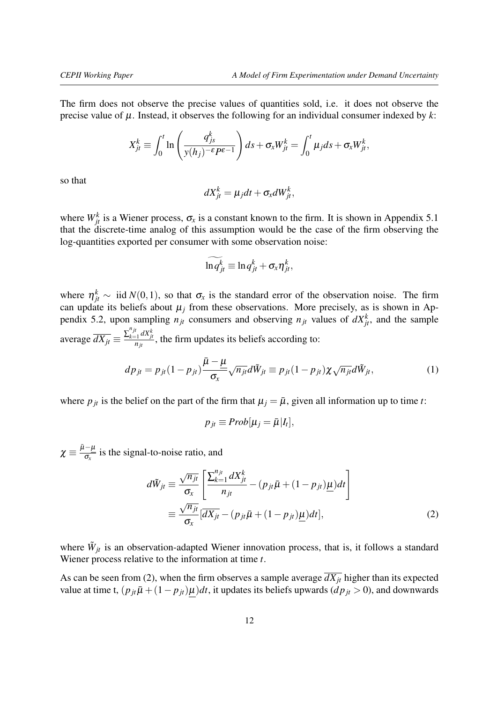The firm does not observe the precise values of quantities sold, i.e. it does not observe the precise value of  $\mu$ . Instead, it observes the following for an individual consumer indexed by  $k$ :

$$
X_{jt}^k \equiv \int_0^t \ln\left(\frac{q_{js}^k}{y(h_j)^{-\epsilon}P^{\epsilon-1}}\right) ds + \sigma_x W_{jt}^k = \int_0^t \mu_j ds + \sigma_x W_{jt}^k,
$$

so that

$$
dX_{jt}^k = \mu_j dt + \sigma_x dW_{jt}^k,
$$

where  $W_{jt}^k$  is a Wiener process,  $\sigma_x$  is a constant known to the firm. It is shown in Appendix [5.1](#page-37-1) that the discrete-time analog of this assumption would be the case of the firm observing the log-quantities exported per consumer with some observation noise:

$$
\widetilde{\ln q_{jt}^k} \equiv \ln q_{jt}^k + \sigma_x \eta_{jt}^k,
$$

where  $\eta_{jt}^k \sim \text{iid } N(0,1)$ , so that  $\sigma_x$  is the standard error of the observation noise. The firm can update its beliefs about  $\mu_j$  from these observations. More precisely, as is shown in Ap-pendix [5.2,](#page-37-2) upon sampling  $n_{jt}$  consumers and observing  $n_{jt}$  values of  $dX_{jt}^k$ , and the sample average  $\overline{dX_{jt}} \equiv \frac{\sum_{k=1}^{n_{jt}} dX_{jt}^{k}}{n_{jt}}$ , the firm updates its beliefs according to:

$$
dp_{jt} = p_{jt}(1 - p_{jt}) \frac{\bar{\mu} - \mu}{\sigma_x} \sqrt{n_{jt}} d\tilde{W}_{jt} \equiv p_{jt}(1 - p_{jt}) \chi \sqrt{n_{jt}} d\tilde{W}_{jt},
$$
\n(1)

where  $p_{jt}$  is the belief on the part of the firm that  $\mu_j = \bar{\mu}$ , given all information up to time *t*:

<span id="page-11-1"></span><span id="page-11-0"></span>
$$
p_{jt} \equiv Prob[\mu_j = \bar{\mu}|I_t],
$$

 $\chi \equiv \frac{\bar{\mu} - \mu}{\sigma_{\rm m}}$  $\frac{\mu}{\sigma_x}$  is the signal-to-noise ratio, and

$$
d\tilde{W}_{jt} \equiv \frac{\sqrt{n_{jt}}}{\sigma_x} \left[ \frac{\sum_{k=1}^{n_{jt}} dX_{jt}^k}{n_{jt}} - (p_{jt}\bar{\mu} + (1 - p_{jt})\underline{\mu})dt \right]
$$
  

$$
\equiv \frac{\sqrt{n_{jt}}}{\sigma_x} [\overline{dX_{jt}} - (p_{jt}\bar{\mu} + (1 - p_{jt})\underline{\mu})dt],
$$
 (2)

where  $\tilde{W}_{jt}$  is an observation-adapted Wiener innovation process, that is, it follows a standard Wiener process relative to the information at time *t*.

As can be seen from [\(2\)](#page-11-0), when the firm observes a sample average  $\overline{dX_{it}}$  higher than its expected value at time t,  $(p_{jt}\bar{\mu} + (1-p_{jt})\mu)dt$ , it updates its beliefs upwards  $(dp_{jt} > 0$ ), and downwards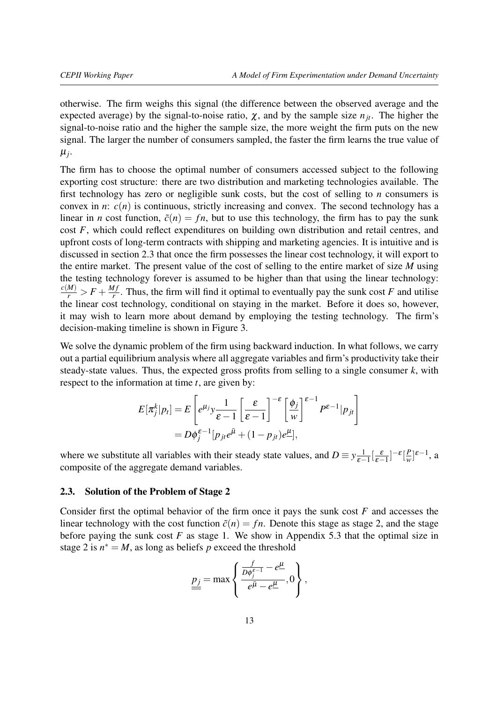otherwise. The firm weighs this signal (the difference between the observed average and the expected average) by the signal-to-noise ratio,  $\chi$ , and by the sample size  $n_{it}$ . The higher the signal-to-noise ratio and the higher the sample size, the more weight the firm puts on the new signal. The larger the number of consumers sampled, the faster the firm learns the true value of µ*j* .

The firm has to choose the optimal number of consumers accessed subject to the following exporting cost structure: there are two distribution and marketing technologies available. The first technology has zero or negligible sunk costs, but the cost of selling to *n* consumers is convex in *n*:  $c(n)$  is continuous, strictly increasing and convex. The second technology has a linear in *n* cost function,  $\tilde{c}(n) = fn$ , but to use this technology, the firm has to pay the sunk cost *F*, which could reflect expenditures on building own distribution and retail centres, and upfront costs of long-term contracts with shipping and marketing agencies. It is intuitive and is discussed in section 2.3 that once the firm possesses the linear cost technology, it will export to the entire market. The present value of the cost of selling to the entire market of size *M* using the testing technology forever is assumed to be higher than that using the linear technology:  $\frac{c(M)}{r}$  >  $F + \frac{Mf}{r}$  $\frac{q_1}{r}$ . Thus, the firm will find it optimal to eventually pay the sunk cost *F* and utilise the linear cost technology, conditional on staying in the market. Before it does so, however, it may wish to learn more about demand by employing the testing technology. The firm's decision-making timeline is shown in Figure [3.](#page-13-1)

We solve the dynamic problem of the firm using backward induction. In what follows, we carry out a partial equilibrium analysis where all aggregate variables and firm's productivity take their steady-state values. Thus, the expected gross profits from selling to a single consumer *k*, with respect to the information at time *t*, are given by:

$$
E[\pi_j^k|p_t] = E\left[e^{\mu_j}y\frac{1}{\varepsilon - 1}\left[\frac{\varepsilon}{\varepsilon - 1}\right]^{-\varepsilon}\left[\frac{\phi_j}{w}\right]^{\varepsilon - 1}P^{\varepsilon - 1}|p_{jt}\right]
$$
  
=  $D\phi_j^{\varepsilon - 1}[p_{jt}e^{\bar{\mu}} + (1 - p_{jt})e^{\mu}],$ 

where we substitute all variables with their steady state values, and  $D \equiv y \frac{1}{\epsilon_0}$  $\frac{1}{\varepsilon-1}\left[\frac{\varepsilon}{\varepsilon-1}\right]^{-\varepsilon}\left[\frac{P}{w}\right]$  $\frac{P}{w}$ <sup>[ε−1</sup>, a composite of the aggregate demand variables.

## <span id="page-12-0"></span>2.3. Solution of the Problem of Stage 2

Consider first the optimal behavior of the firm once it pays the sunk cost *F* and accesses the linear technology with the cost function  $\tilde{c}(n) = fn$ . Denote this stage as stage 2, and the stage before paying the sunk cost *F* as stage 1. We show in Appendix [5.3](#page-42-0) that the optimal size in stage 2 is  $n^* = M$ , as long as beliefs p exceed the threshold

$$
\underline{p_j} = \max \left\{ \frac{\frac{f}{D\phi_j^{\varepsilon-1}} - e^{\underline{\mu}}}{e^{\underline{\bar{\mu}}} - e^{\underline{\mu}}}, 0 \right\},\,
$$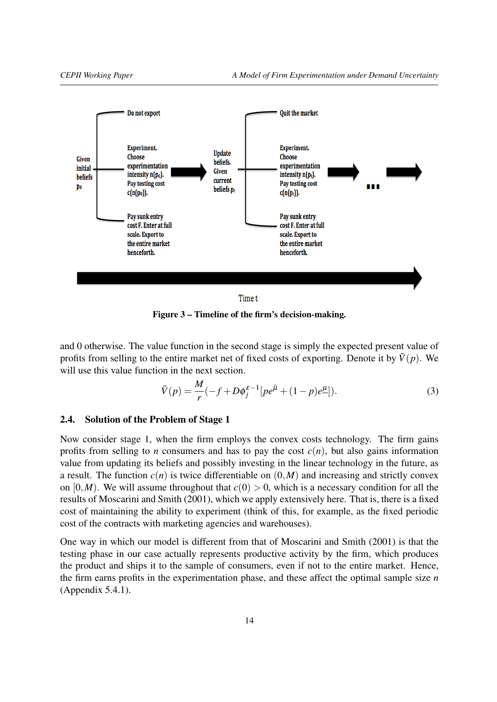<span id="page-13-1"></span>

Figure 3 – Timeline of the firm's decision-making.

and 0 otherwise. The value function in the second stage is simply the expected present value of profits from selling to the entire market net of fixed costs of exporting. Denote it by  $\tilde{V}(p)$ . We will use this value function in the next section.

<span id="page-13-2"></span>
$$
\tilde{V}(p) = \frac{M}{r}(-f + D\phi_j^{\varepsilon - 1}[pe^{\bar{\mu}} + (1 - p)e^{\mu}]).
$$
\n(3)

### <span id="page-13-0"></span>2.4. Solution of the Problem of Stage 1

Now consider stage 1, when the firm employs the convex costs technology. The firm gains profits from selling to *n* consumers and has to pay the cost  $c(n)$ , but also gains information value from updating its beliefs and possibly investing in the linear technology in the future, as a result. The function  $c(n)$  is twice differentiable on  $(0,M)$  and increasing and strictly convex on  $[0, M)$ . We will assume throughout that  $c(0) > 0$ , which is a necessary condition for all the results of [Moscarini and Smith](#page-35-0) [\(2001\)](#page-35-0), which we apply extensively here. That is, there is a fixed cost of maintaining the ability to experiment (think of this, for example, as the fixed periodic cost of the contracts with marketing agencies and warehouses).

One way in which our model is different from that of [Moscarini and Smith](#page-35-0) [\(2001\)](#page-35-0) is that the testing phase in our case actually represents productive activity by the firm, which produces the product and ships it to the sample of consumers, even if not to the entire market. Hence, the firm earns profits in the experimentation phase, and these affect the optimal sample size *n* (Appendix [5.4.1\)](#page-46-1).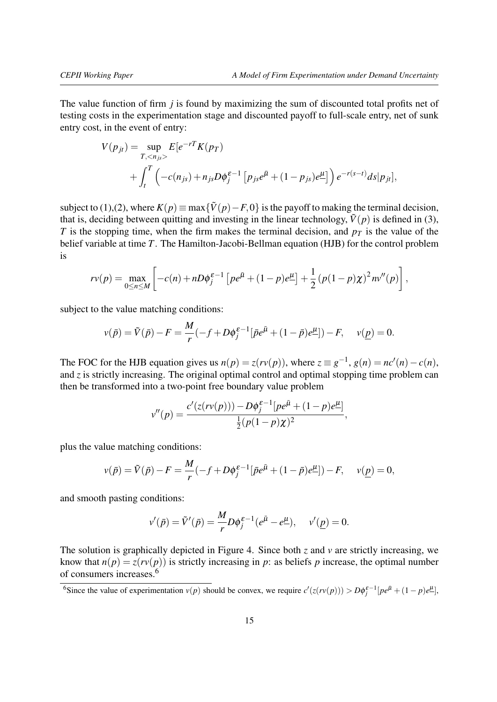The value function of firm *j* is found by maximizing the sum of discounted total profits net of testing costs in the experimentation stage and discounted payoff to full-scale entry, net of sunk entry cost, in the event of entry:

$$
V(p_{jt}) = \sup_{T, < n_{js}} E[e^{-rT} K(p_T)] + \int_t^T \left( -c(n_{js}) + n_{js} D\phi_j^{\varepsilon - 1} \left[ p_{js} e^{\bar{\mu}} + (1 - p_{js}) e^{\mu} \right] \right) e^{-r(s-t)} ds |p_{jt}|,
$$

subject to [\(1\)](#page-11-1),[\(2\)](#page-11-0), where  $K(p) \equiv \max{\{\tilde{V}(p) - F, 0\}}$  is the payoff to making the terminal decision, that is, deciding between quitting and investing in the linear technology,  $\tilde{V}(p)$  is defined in [\(3\)](#page-13-2), *T* is the stopping time, when the firm makes the terminal decision, and  $p<sub>T</sub>$  is the value of the belief variable at time *T*. The Hamilton-Jacobi-Bellman equation (HJB) for the control problem is

$$
rv(p) = \max_{0 \le n \le M} \left[ -c(n) + nD\phi_j^{\varepsilon-1} \left[ p e^{\bar{\mu}} + (1-p)e^{\mu} \right] + \frac{1}{2} \left( p(1-p)\chi \right)^2 n v''(p) \right],
$$

subject to the value matching conditions:

$$
v(\bar{p}) = \tilde{V}(\bar{p}) - F = \frac{M}{r}(-f + D\phi_j^{\varepsilon-1}[\bar{p}e^{\bar{\mu}} + (1-\bar{p})e^{\mu}]) - F, \quad v(\underline{p}) = 0.
$$

The FOC for the HJB equation gives us  $n(p) = z(rv(p))$ , where  $z \equiv g^{-1}$ ,  $g(n) = nc'(n) - c(n)$ , and *z* is strictly increasing. The original optimal control and optimal stopping time problem can then be transformed into a two-point free boundary value problem

$$
v''(p) = \frac{c'(z(rv(p))) - D\phi_j^{\varepsilon-1}[pe^{\bar{\mu}} + (1-p)e^{\mu}]}{\frac{1}{2}(p(1-p)\chi)^2},
$$

plus the value matching conditions:

$$
v(\bar{p}) = \tilde{V}(\bar{p}) - F = \frac{M}{r}(-f + D\phi_j^{\varepsilon-1}[\bar{p}e^{\bar{\mu}} + (1 - \bar{p})e^{\mu}]) - F, \quad v(\underline{p}) = 0,
$$

and smooth pasting conditions:

$$
v'(\bar{p}) = \tilde{V}'(\bar{p}) = \frac{M}{r} D\phi_j^{\varepsilon - 1} (e^{\bar{\mu}} - e^{\underline{\mu}}), \quad v'(\underline{p}) = 0.
$$

The solution is graphically depicted in Figure [4.](#page-15-1) Since both *z* and *v* are strictly increasing, we know that  $n(p) = z(rv(p))$  is strictly increasing in *p*: as beliefs *p* increase, the optimal number of consumers increases.[6](#page-14-0)

<span id="page-14-0"></span><sup>6</sup>Since the value of experimentation  $v(p)$  should be convex, we require  $c'(z(rv(p))) > D\phi_j^{\varepsilon-1}[pe^{\bar{\mu}} + (1-p)e^{\mu}],$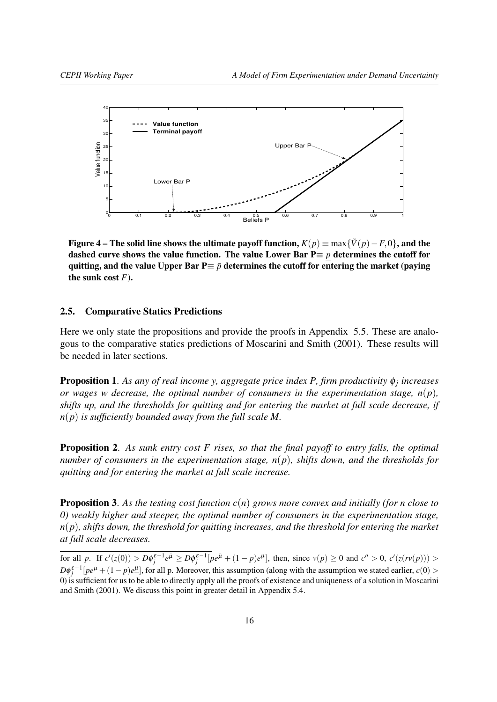<span id="page-15-1"></span>

Figure 4 – The solid line shows the ultimate payoff function,  $K(p) \equiv \max{\{\tilde{V}(p) - F, 0\}}$ , and the dashed curve shows the value function. The value Lower Bar P≡ *p* determines the cutoff for quitting, and the value Upper Bar  $P \equiv \bar{p}$  determines the cutoff for entering the market (paying the sunk cost *F*).

#### <span id="page-15-0"></span>2.5. Comparative Statics Predictions

Here we only state the propositions and provide the proofs in Appendix [5.5.](#page-46-0) These are analogous to the comparative statics predictions of [Moscarini and Smith](#page-35-0) [\(2001\)](#page-35-0). These results will be needed in later sections.

Proposition 1. *As any of real income y, aggregate price index P, firm productivity* φ*<sup>j</sup> increases or wages w decrease, the optimal number of consumers in the experimentation stage,*  $n(p)$ *, shifts up, and the thresholds for quitting and for entering the market at full scale decrease, if n*(*p*) *is sufficiently bounded away from the full scale M.*

Proposition 2. *As sunk entry cost F rises, so that the final payoff to entry falls, the optimal number of consumers in the experimentation stage, n*(*p*)*, shifts down, and the thresholds for quitting and for entering the market at full scale increase.*

Proposition 3. *As the testing cost function c*(*n*) *grows more convex and initially (for n close to 0) weakly higher and steeper, the optimal number of consumers in the experimentation stage, n*(*p*)*, shifts down, the threshold for quitting increases, and the threshold for entering the market at full scale decreases.*

for all p. If  $c'(z(0)) > D\phi_j^{\varepsilon-1}e^{\bar{\mu}} \geq D\phi_j^{\varepsilon-1}[pe^{\bar{\mu}} + (1-p)e^{\mu}],$  then, since  $v(p) \geq 0$  and  $c'' > 0$ ,  $c'(z(rv(p))) > 0$  $D\phi_j^{\varepsilon-1}[pe^{\bar{\mu}} + (1-p)e^{\mu}],$  for all p. Moreover, this assumption (along with the assumption we stated earlier, *c*(0) > 0) is sufficient for us to be able to directly apply all the proofs of existence and uniqueness of a solution in [Moscarini](#page-35-0) [and Smith](#page-35-0) [\(2001\)](#page-35-0). We discuss this point in greater detail in Appendix [5.4.](#page-43-0)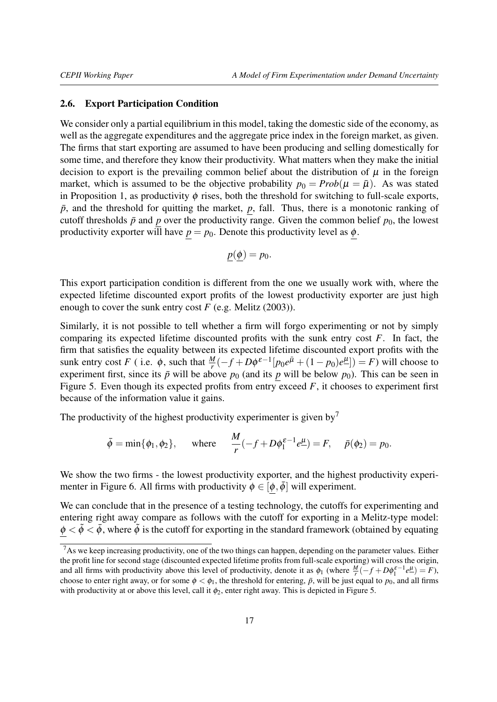### <span id="page-16-0"></span>2.6. Export Participation Condition

We consider only a partial equilibrium in this model, taking the domestic side of the economy, as well as the aggregate expenditures and the aggregate price index in the foreign market, as given. The firms that start exporting are assumed to have been producing and selling domestically for some time, and therefore they know their productivity. What matters when they make the initial decision to export is the prevailing common belief about the distribution of  $\mu$  in the foreign market, which is assumed to be the objective probability  $p_0 = Prob(\mu = \bar{\mu})$ . As was stated in Proposition 1, as productivity  $\phi$  rises, both the threshold for switching to full-scale exports,  $\bar{p}$ , and the threshold for quitting the market,  $p$ , fall. Thus, there is a monotonic ranking of cutoff thresholds  $\bar{p}$  and  $p$  over the productivity range. Given the common belief  $p_0$ , the lowest productivity exporter will have  $p = p_0$ . Denote this productivity level as  $\phi$ .

$$
p(\phi)=p_0.
$$

This export participation condition is different from the one we usually work with, where the expected lifetime discounted export profits of the lowest productivity exporter are just high enough to cover the sunk entry cost  $F$  (e.g. [Melitz](#page-35-2) [\(2003\)](#page-35-2)).

Similarly, it is not possible to tell whether a firm will forgo experimenting or not by simply comparing its expected lifetime discounted profits with the sunk entry cost *F*. In fact, the firm that satisfies the equality between its expected lifetime discounted export profits with the sunk entry cost *F* (i.e.  $\phi$ , such that  $\frac{M}{r}(-f+D\phi^{\varepsilon-1}[p_0e^{\bar{\mu}}+(1-p_0)e^{\mu}])=F$ ) will choose to experiment first, since its  $\bar{p}$  will be above  $p_0$  (and its  $p$  will be below  $p_0$ ). This can be seen in Figure [5.](#page-17-0) Even though its expected profits from entry exceed *F*, it chooses to experiment first because of the information value it gains.

The productivity of the highest productivity experimenter is given by<sup>[7](#page-16-1)</sup>

$$
\bar{\phi} = \min{\{\phi_1, \phi_2\}}, \quad \text{where} \quad \frac{M}{r}(-f + D\phi_1^{\varepsilon-1}e_-^{\mu}) = F, \quad \bar{p}(\phi_2) = p_0.
$$

We show the two firms - the lowest productivity exporter, and the highest productivity experi-menter in Figure [6.](#page-17-0) All firms with productivity  $\phi \in [\phi, \bar{\phi}]$  will experiment.

We can conclude that in the presence of a testing technology, the cutoffs for experimenting and entering right away compare as follows with the cutoff for exporting in a Melitz-type model:  $\phi < \tilde{\phi} < \bar{\phi}$ , where  $\tilde{\phi}$  is the cutoff for exporting in the standard framework (obtained by equating

<span id="page-16-1"></span><sup>&</sup>lt;sup>7</sup>As we keep increasing productivity, one of the two things can happen, depending on the parameter values. Either the profit line for second stage (discounted expected lifetime profits from full-scale exporting) will cross the origin, and all firms with productivity above this level of productivity, denote it as  $\phi_1$  (where  $\frac{M}{r}(-f + D\phi_1^{\varepsilon-1}e^{\mu}) = F$ ), choose to enter right away, or for some  $\phi < \phi_1$ , the threshold for entering,  $\bar{p}$ , will be just equal to  $p_0$ , and all firms with productivity at or above this level, call it  $\phi_2$ , enter right away. This is depicted in Figure [5.](#page-17-0)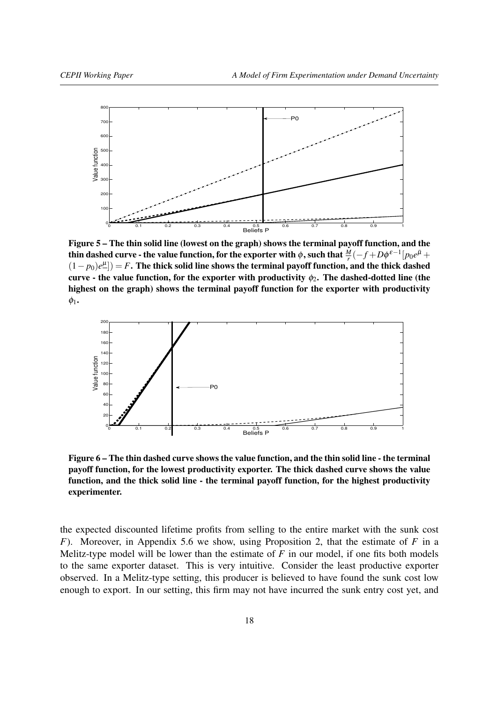<span id="page-17-0"></span>

Figure 5 – The thin solid line (lowest on the graph) shows the terminal payoff function, and the thin dashed curve - the value function, for the exporter with  $\phi$  , such that  $\frac{M}{r}(-f+D\phi^{\, \varepsilon-1}[p_0 e^{\bar\mu}+p_1]$ (1− *p*0)*e* µ ]) = *F*. The thick solid line shows the terminal payoff function, and the thick dashed curve - the value function, for the exporter with productivity  $\phi_2$ . The dashed-dotted line (the highest on the graph) shows the terminal payoff function for the exporter with productivity  $\phi_1$ .



Figure 6 – The thin dashed curve shows the value function, and the thin solid line - the terminal payoff function, for the lowest productivity exporter. The thick dashed curve shows the value function, and the thick solid line - the terminal payoff function, for the highest productivity experimenter.

the expected discounted lifetime profits from selling to the entire market with the sunk cost *F*). Moreover, in Appendix [5.6](#page-50-0) we show, using Proposition 2, that the estimate of *F* in a Melitz-type model will be lower than the estimate of *F* in our model, if one fits both models to the same exporter dataset. This is very intuitive. Consider the least productive exporter observed. In a Melitz-type setting, this producer is believed to have found the sunk cost low enough to export. In our setting, this firm may not have incurred the sunk entry cost yet, and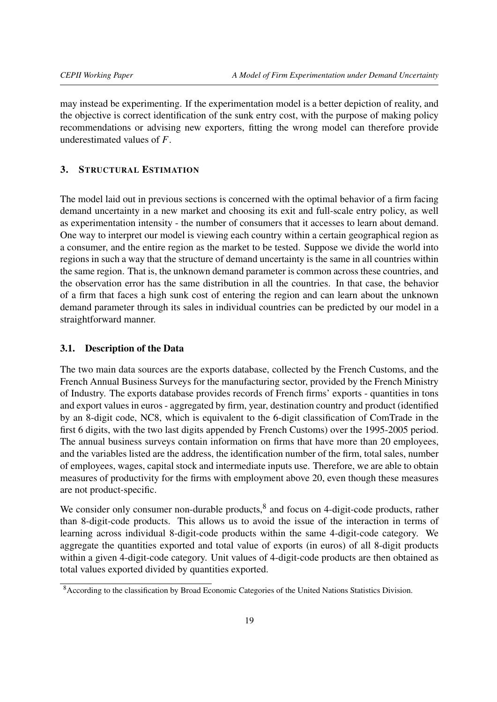may instead be experimenting. If the experimentation model is a better depiction of reality, and the objective is correct identification of the sunk entry cost, with the purpose of making policy recommendations or advising new exporters, fitting the wrong model can therefore provide underestimated values of *F*.

# <span id="page-18-0"></span>3. STRUCTURAL ESTIMATION

The model laid out in previous sections is concerned with the optimal behavior of a firm facing demand uncertainty in a new market and choosing its exit and full-scale entry policy, as well as experimentation intensity - the number of consumers that it accesses to learn about demand. One way to interpret our model is viewing each country within a certain geographical region as a consumer, and the entire region as the market to be tested. Suppose we divide the world into regions in such a way that the structure of demand uncertainty is the same in all countries within the same region. That is, the unknown demand parameter is common across these countries, and the observation error has the same distribution in all the countries. In that case, the behavior of a firm that faces a high sunk cost of entering the region and can learn about the unknown demand parameter through its sales in individual countries can be predicted by our model in a straightforward manner.

### <span id="page-18-1"></span>3.1. Description of the Data

The two main data sources are the exports database, collected by the French Customs, and the French Annual Business Surveys for the manufacturing sector, provided by the French Ministry of Industry. The exports database provides records of French firms' exports - quantities in tons and export values in euros - aggregated by firm, year, destination country and product (identified by an 8-digit code, NC8, which is equivalent to the 6-digit classification of ComTrade in the first 6 digits, with the two last digits appended by French Customs) over the 1995-2005 period. The annual business surveys contain information on firms that have more than 20 employees, and the variables listed are the address, the identification number of the firm, total sales, number of employees, wages, capital stock and intermediate inputs use. Therefore, we are able to obtain measures of productivity for the firms with employment above 20, even though these measures are not product-specific.

We consider only consumer non-durable products, $<sup>8</sup>$  $<sup>8</sup>$  $<sup>8</sup>$  and focus on 4-digit-code products, rather</sup> than 8-digit-code products. This allows us to avoid the issue of the interaction in terms of learning across individual 8-digit-code products within the same 4-digit-code category. We aggregate the quantities exported and total value of exports (in euros) of all 8-digit products within a given 4-digit-code category. Unit values of 4-digit-code products are then obtained as total values exported divided by quantities exported.

<span id="page-18-2"></span><sup>&</sup>lt;sup>8</sup> According to the classification by Broad Economic Categories of the United Nations Statistics Division.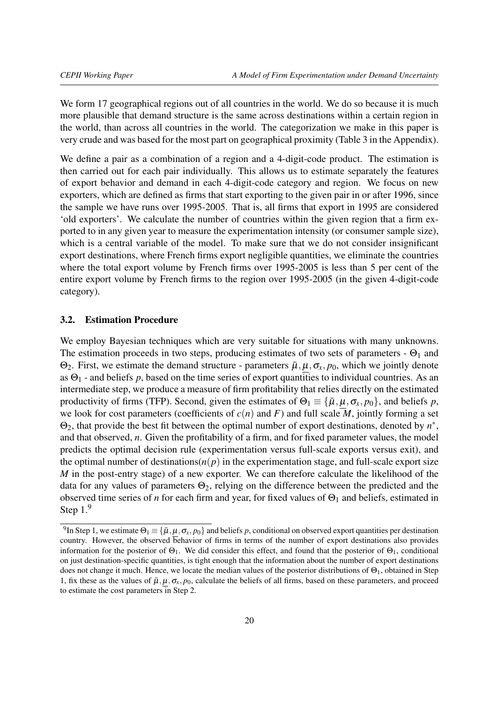We form 17 geographical regions out of all countries in the world. We do so because it is much more plausible that demand structure is the same across destinations within a certain region in the world, than across all countries in the world. The categorization we make in this paper is very crude and was based for the most part on geographical proximity (Table [3](#page-63-0) in the Appendix).

We define a pair as a combination of a region and a 4-digit-code product. The estimation is then carried out for each pair individually. This allows us to estimate separately the features of export behavior and demand in each 4-digit-code category and region. We focus on new exporters, which are defined as firms that start exporting to the given pair in or after 1996, since the sample we have runs over 1995-2005. That is, all firms that export in 1995 are considered 'old exporters'. We calculate the number of countries within the given region that a firm exported to in any given year to measure the experimentation intensity (or consumer sample size), which is a central variable of the model. To make sure that we do not consider insignificant export destinations, where French firms export negligible quantities, we eliminate the countries where the total export volume by French firms over 1995-2005 is less than 5 per cent of the entire export volume by French firms to the region over 1995-2005 (in the given 4-digit-code category).

#### <span id="page-19-0"></span>3.2. Estimation Procedure

We employ Bayesian techniques which are very suitable for situations with many unknowns. The estimation proceeds in two steps, producing estimates of two sets of parameters -  $\Theta_1$  and  $Θ_2$ . First, we estimate the demand structure - parameters  $\bar{\mu}$ ,  $\mu$ ,  $\sigma_x$ ,  $p_0$ , which we jointly denote as  $\Theta_1$  - and beliefs p, based on the time series of export quantities to individual countries. As an intermediate step, we produce a measure of firm profitability that relies directly on the estimated productivity of firms (TFP). Second, given the estimates of  $\Theta_1 \equiv {\bar{\mu}, \mu, \sigma_x, p_0}$ , and beliefs *p*, we look for cost parameters (coefficients of  $c(n)$  and  $F$ ) and full scale  $M$ , jointly forming a set  $\Theta_2$ , that provide the best fit between the optimal number of export destinations, denoted by  $n^*$ , and that observed, *n*. Given the profitability of a firm, and for fixed parameter values, the model predicts the optimal decision rule (experimentation versus full-scale exports versus exit), and the optimal number of destinations( $n(p)$ ) in the experimentation stage, and full-scale export size *M* in the post-entry stage) of a new exporter. We can therefore calculate the likelihood of the data for any values of parameters  $\Theta_2$ , relying on the difference between the predicted and the observed time series of *n* for each firm and year, for fixed values of  $Θ$ <sub>1</sub> and beliefs, estimated in Step 1.[9](#page-19-1)

<span id="page-19-1"></span><sup>&</sup>lt;sup>9</sup>In Step 1, we estimate  $\Theta_1 \equiv \{\bar{\mu}, \mu, \sigma_x, p_0\}$  and beliefs *p*, conditional on observed export quantities per destination country. However, the observed behavior of firms in terms of the number of export destinations also provides information for the posterior of  $\Theta_1$ . We did consider this effect, and found that the posterior of  $\Theta_1$ , conditional on just destination-specific quantities, is tight enough that the information about the number of export destinations does not change it much. Hence, we locate the median values of the posterior distributions of  $\Theta_1$ , obtained in Step 1, fix these as the values of  $\bar{\mu}$ ,  $\mu$ ,  $\sigma_x$ ,  $p_0$ , calculate the beliefs of all firms, based on these parameters, and proceed to estimate the cost parameters in Step 2.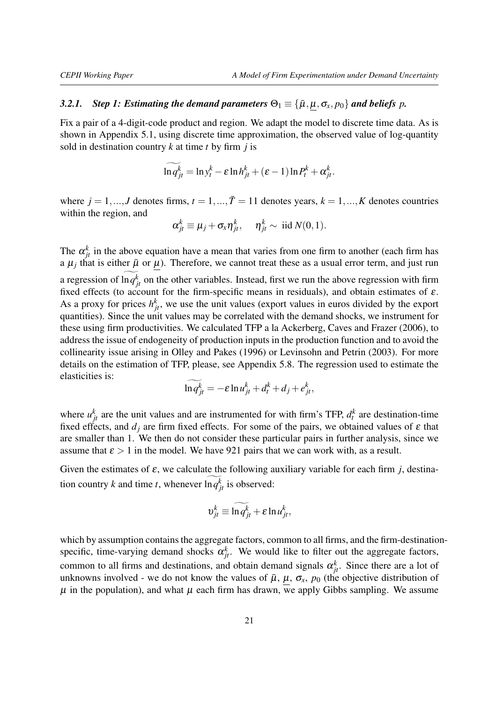# *3.2.1. Step 1: Estimating the demand parameters*  $\Theta_1 \equiv {\{\bar{\mu}, \mu, \sigma_x, p_0\}}$  *and beliefs p.*

Fix a pair of a 4-digit-code product and region. We adapt the model to discrete time data. As is shown in Appendix [5.1,](#page-37-1) using discrete time approximation, the observed value of log-quantity sold in destination country *k* at time *t* by firm *j* is

$$
\ln q_{jt}^k = \ln y_t^k - \varepsilon \ln h_{jt}^k + (\varepsilon - 1) \ln P_t^k + \alpha_{jt}^k.
$$

where  $j = 1, ..., J$  denotes firms,  $t = 1, ..., \overline{T} = 11$  denotes years,  $k = 1, ..., K$  denotes countries within the region, and

$$
\alpha_{jt}^k \equiv \mu_j + \sigma_x \eta_{jt}^k, \quad \eta_{jt}^k \sim \text{ iid } N(0,1).
$$

The  $\alpha_{jt}^k$  in the above equation have a mean that varies from one firm to another (each firm has a  $\mu_j$  that is either  $\bar{\mu}$  or  $\mu$ ). Therefore, we cannot treat these as a usual error term, and just run a regression of  $\ln q_{jt}^k$  on the other variables. Instead, first we run the above regression with firm fixed effects (to account for the firm-specific means in residuals), and obtain estimates of  $\varepsilon$ . As a proxy for prices  $h_{jt}^k$ , we use the unit values (export values in euros divided by the export quantities). Since the unit values may be correlated with the demand shocks, we instrument for these using firm productivities. We calculated TFP a la [Ackerberg, Caves and Frazer](#page-35-13) [\(2006\)](#page-35-13), to address the issue of endogeneity of production inputs in the production function and to avoid the collinearity issue arising in [Olley and Pakes](#page-36-3) [\(1996\)](#page-36-3) or [Levinsohn and Petrin](#page-35-14) [\(2003\)](#page-35-14). For more details on the estimation of TFP, please, see Appendix [5.8.](#page-52-0) The regression used to estimate the elasticities is:

$$
\ln q_{jt}^k = -\varepsilon \ln u_{jt}^k + d_t^k + d_j + e_{jt}^k,
$$

where  $u_{jt}^k$  are the unit values and are instrumented for with firm's TFP,  $d_t^k$  are destination-time fixed effects, and  $d_i$  are firm fixed effects. For some of the pairs, we obtained values of  $\varepsilon$  that are smaller than 1. We then do not consider these particular pairs in further analysis, since we assume that  $\epsilon > 1$  in the model. We have 921 pairs that we can work with, as a result.

Given the estimates of  $\varepsilon$ , we calculate the following auxiliary variable for each firm *j*, destination country *k* and time *t*, whenever  $\ln q_{jt}^k$  is observed:

$$
v_{jt}^k \equiv \widetilde{\ln q_{jt}^k} + \varepsilon \ln u_{jt}^k,
$$

which by assumption contains the aggregate factors, common to all firms, and the firm-destinationspecific, time-varying demand shocks  $\alpha_{jt}^k$ . We would like to filter out the aggregate factors, common to all firms and destinations, and obtain demand signals  $\alpha_{jt}^k$ . Since there are a lot of unknowns involved - we do not know the values of  $\bar{\mu}$ ,  $\mu$ ,  $\sigma_x$ ,  $p_0$  (the objective distribution of  $\mu$  in the population), and what  $\mu$  each firm has drawn, we apply Gibbs sampling. We assume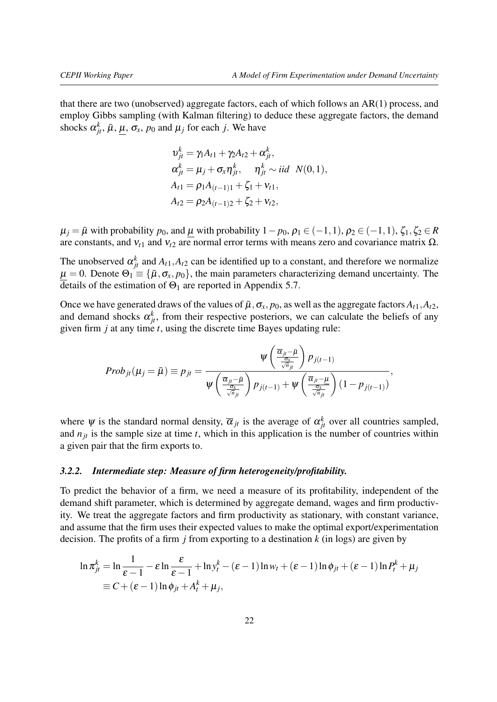that there are two (unobserved) aggregate factors, each of which follows an AR(1) process, and employ Gibbs sampling (with Kalman filtering) to deduce these aggregate factors, the demand shocks  $\alpha_{jt}^k$ ,  $\bar{\mu}$ ,  $\underline{\mu}$ ,  $\sigma_x$ ,  $p_0$  and  $\mu_j$  for each *j*. We have

$$
v_{jt}^k = \gamma_1 A_{t1} + \gamma_2 A_{t2} + \alpha_{jt}^k,
$$
  
\n
$$
\alpha_{jt}^k = \mu_j + \sigma_x \eta_{jt}^k, \quad \eta_{jt}^k \sim \text{iid } N(0, 1),
$$
  
\n
$$
A_{t1} = \rho_1 A_{(t-1)1} + \zeta_1 + v_{t1},
$$
  
\n
$$
A_{t2} = \rho_2 A_{(t-1)2} + \zeta_2 + v_{t2},
$$

 $\mu_j = \bar{\mu}$  with probability  $p_0$ , and  $\mu$  with probability  $1-p_0$ ,  $\rho_1 \in (-1,1)$ ,  $\rho_2 \in (-1,1)$ ,  $\zeta_1, \zeta_2 \in R$ are constants, and  $v_{t1}$  and  $v_{t2}$  are normal error terms with means zero and covariance matrix Ω.

The unobserved  $\alpha_{jt}^k$  and  $A_{t,1}$ ,  $A_{t,2}$  can be identified up to a constant, and therefore we normalize  $\mu = 0$ . Denote  $\Theta_1 \equiv {\{\bar{\mu}, \sigma_x, p_0\}}$ , the main parameters characterizing demand uncertainty. The details of the estimation of  $\Theta_1$  are reported in Appendix [5.7.](#page-50-1)

Once we have generated draws of the values of  $\bar{\mu}$ ,  $\sigma_x$ ,  $p_0$ , as well as the aggregate factors  $A_{t1}$ ,  $A_{t2}$ , and demand shocks  $\alpha_{jt}^k$ , from their respective posteriors, we can calculate the beliefs of any given firm *j* at any time *t*, using the discrete time Bayes updating rule:

$$
Prob_{jt}(\mu_j = \bar{\mu}) \equiv p_{jt} = \frac{\psi\left(\frac{\overline{\alpha}_{jt} - \bar{\mu}}{\frac{\sigma_x}{\sqrt{n}_{jt}}}\right) p_{j(t-1)}}{\psi\left(\frac{\overline{\alpha}_{jt} - \bar{\mu}}{\frac{\sigma_x}{\sqrt{n}_{jt}}}\right) p_{j(t-1)} + \psi\left(\frac{\overline{\alpha}_{jt} - \mu}{\frac{\sigma_x}{\sqrt{n}_{jt}}}\right) (1 - p_{j(t-1)})},
$$

where  $\psi$  is the standard normal density,  $\overline{\alpha}_{jt}$  is the average of  $\alpha_{jt}^k$  over all countries sampled, and  $n<sub>it</sub>$  is the sample size at time  $t$ , which in this application is the number of countries within a given pair that the firm exports to.

### *3.2.2. Intermediate step: Measure of firm heterogeneity/profitability.*

To predict the behavior of a firm, we need a measure of its profitability, independent of the demand shift parameter, which is determined by aggregate demand, wages and firm productivity. We treat the aggregate factors and firm productivity as stationary, with constant variance, and assume that the firm uses their expected values to make the optimal export/experimentation decision. The profits of a firm *j* from exporting to a destination *k* (in logs) are given by

$$
\ln \pi_{jt}^k = \ln \frac{1}{\varepsilon - 1} - \varepsilon \ln \frac{\varepsilon}{\varepsilon - 1} + \ln y_t^k - (\varepsilon - 1) \ln w_t + (\varepsilon - 1) \ln \phi_{jt} + (\varepsilon - 1) \ln P_t^k + \mu_j
$$
  
\n
$$
\equiv C + (\varepsilon - 1) \ln \phi_{jt} + A_t^k + \mu_j,
$$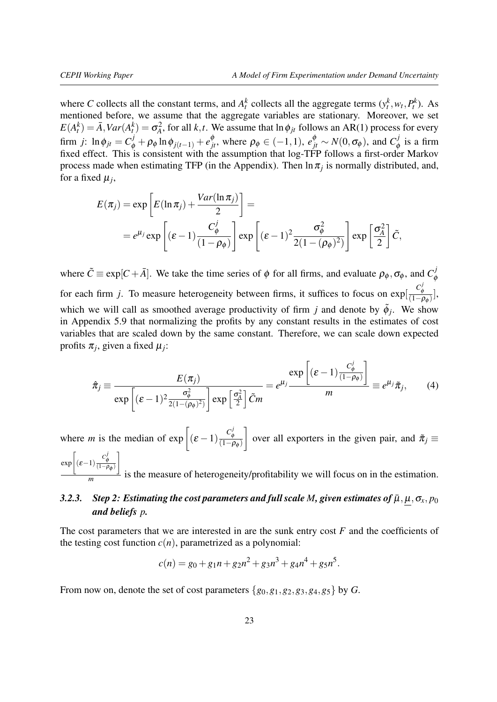where *C* collects all the constant terms, and  $A_t^k$  collects all the aggregate terms  $(y_t^k, w_t, P_t^k)$ . As mentioned before, we assume that the aggregate variables are stationary. Moreover, we set  $E(A_t^k) = \bar{A}$ ,  $Var(A_t^k) = \sigma_A^2$ , for all *k*, *t*. We assume that  $\ln \phi_{jt}$  follows an AR(1) process for every firm *j*: ln  $\phi_{jt} = C^j_{\phi} + \rho_{\phi} \ln \phi_{j(t-1)} + e^{\phi}_{jt}$ , where  $\rho_{\phi} \in (-1,1)$ ,  $e^{\phi}_{jt} \sim N(0, \sigma_{\phi})$ , and  $C^j_{\phi}$  $\frac{d}{\phi}$  is a firm fixed effect. This is consistent with the assumption that log-TFP follows a first-order Markov process made when estimating TFP (in the Appendix). Then  $\ln \pi_j$  is normally distributed, and, for a fixed  $\mu_j$ ,

$$
E(\pi_j) = \exp\left[E(\ln \pi_j) + \frac{Var(\ln \pi_j)}{2}\right] =
$$
  
=  $e^{\mu_j} \exp\left[(\varepsilon - 1) \frac{C_\phi^j}{(1 - \rho_\phi)}\right] \exp\left[(\varepsilon - 1)^2 \frac{\sigma_\phi^2}{2(1 - (\rho_\phi)^2)}\right] \exp\left[\frac{\sigma_A^2}{2}\right] \tilde{C},$ 

where  $\tilde{C} \equiv \exp[C + \bar{A}]$ . We take the time series of  $\phi$  for all firms, and evaluate  $\rho_{\phi}$ ,  $\sigma_{\phi}$ , and  $C_{\phi}^{j}$ φ for each firm *j*. To measure heterogeneity between firms, it suffices to focus on  $exp\left[\frac{C_q}{C_{\text{tot}}} \right]$  $\frac{\mathcal{C}_{\phi}}{(1-\rho_{\phi})},$ which we will call as smoothed average productivity of firm *j* and denote by  $\tilde{\phi}_j$ . We show in Appendix [5.9](#page-55-0) that normalizing the profits by any constant results in the estimates of cost variables that are scaled down by the same constant. Therefore, we can scale down expected profits  $\pi_j$ , given a fixed  $\mu_j$ :

$$
\hat{\pi}_j \equiv \frac{E(\pi_j)}{\exp\left[ (\varepsilon - 1)^2 \frac{\sigma_\phi^2}{2(1 - (\rho_\phi)^2)} \right] \exp\left[ \frac{\sigma_A^2}{2} \right] \tilde{C}m} = e^{\mu_j} \frac{\exp\left[ (\varepsilon - 1) \frac{C_\phi^j}{(1 - \rho_\phi)} \right]}{m} \equiv e^{\mu_j} \tilde{\pi}_j,
$$
(4)

where *m* is the median of  $\exp\left[ (\varepsilon - 1) \frac{C_{\phi}^{j}}{(1 - \varepsilon)} \right]$  $\frac{C_{\phi}}{(1-\rho_{\phi})}$ 1 over all exporters in the given pair, and  $\tilde{\pi}_j \equiv$  $\exp\left[ (\varepsilon - 1) \frac{C_{\phi}^{j}}{(1 - \rho_{\phi})} \right]$ 1  $\frac{1}{m}$  is the measure of heterogeneity/profitability we will focus on in the estimation.

# *3.2.3. Step 2: Estimating the cost parameters and full scale M, given estimates of*  $\bar{\mu}, \mu, \sigma_x, p_0$ *and beliefs p.*

The cost parameters that we are interested in are the sunk entry cost *F* and the coefficients of the testing cost function  $c(n)$ , parametrized as a polynomial:

<span id="page-22-0"></span>
$$
c(n) = g_0 + g_1 n + g_2 n^2 + g_3 n^3 + g_4 n^4 + g_5 n^5.
$$

From now on, denote the set of cost parameters  $\{g_0, g_1, g_2, g_3, g_4, g_5\}$  by *G*.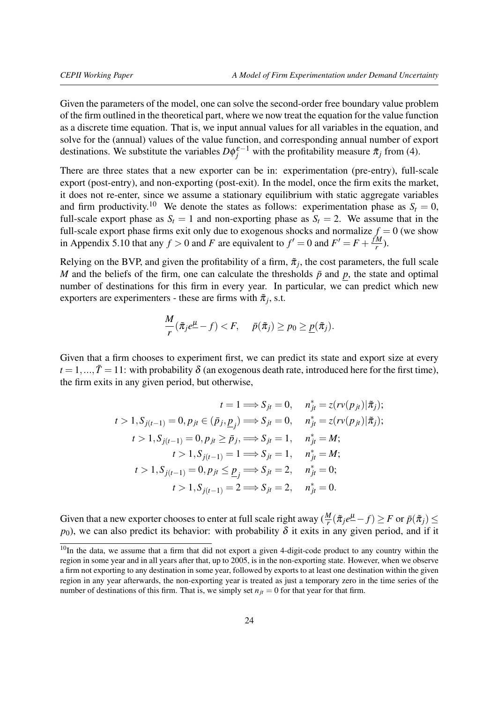Given the parameters of the model, one can solve the second-order free boundary value problem of the firm outlined in the theoretical part, where we now treat the equation for the value function as a discrete time equation. That is, we input annual values for all variables in the equation, and solve for the (annual) values of the value function, and corresponding annual number of export destinations. We substitute the variables  $D\phi_j^{\varepsilon-1}$  with the profitability measure  $\tilde{\pi}_j$  from [\(4\)](#page-22-0).

There are three states that a new exporter can be in: experimentation (pre-entry), full-scale export (post-entry), and non-exporting (post-exit). In the model, once the firm exits the market, it does not re-enter, since we assume a stationary equilibrium with static aggregate variables and firm productivity.<sup>[10](#page-23-0)</sup> We denote the states as follows: experimentation phase as  $S_t = 0$ , full-scale export phase as  $S_t = 1$  and non-exporting phase as  $S_t = 2$ . We assume that in the full-scale export phase firms exit only due to exogenous shocks and normalize  $f = 0$  (we show in Appendix [5.10](#page-57-0) that any  $f > 0$  and *F* are equivalent to  $f' = 0$  and  $F' = F + \frac{fM}{f}$  $\frac{M}{r}$ ).

Relying on the BVP, and given the profitability of a firm,  $\tilde{\pi}_j$ , the cost parameters, the full scale *M* and the beliefs of the firm, one can calculate the thresholds  $\bar{p}$  and  $p$ , the state and optimal number of destinations for this firm in every year. In particular, we can predict which new exporters are experimenters - these are firms with  $\tilde{\pi}_j$ , s.t.

$$
\frac{M}{r}(\tilde{\pi}_j e^{\underline{\mu}} - f) < F, \quad \bar{p}(\tilde{\pi}_j) \ge p_0 \ge \underline{p}(\tilde{\pi}_j).
$$

Given that a firm chooses to experiment first, we can predict its state and export size at every  $t = 1, ..., \bar{T} = 11$ : with probability  $\delta$  (an exogenous death rate, introduced here for the first time), the firm exits in any given period, but otherwise,

$$
t = 1 \Longrightarrow S_{jt} = 0, \quad n_{jt}^* = z(rv(p_{jt})|\tilde{\pi}_j);
$$
  
\n
$$
t > 1, S_{j(t-1)} = 0, p_{jt} \in (\bar{p}_j, \underline{p}_j) \Longrightarrow S_{jt} = 0, \quad n_{jt}^* = z(rv(p_{jt})|\tilde{\pi}_j);
$$
  
\n
$$
t > 1, S_{j(t-1)} = 0, p_{jt} \ge \bar{p}_j, \Longrightarrow S_{jt} = 1, \quad n_{jt}^* = M;
$$
  
\n
$$
t > 1, S_{j(t-1)} = 1 \Longrightarrow S_{jt} = 1, \quad n_{jt}^* = M;
$$
  
\n
$$
t > 1, S_{j(t-1)} = 0, p_{jt} \le \underline{p}_j \Longrightarrow S_{jt} = 2, \quad n_{jt}^* = 0;
$$
  
\n
$$
t > 1, S_{j(t-1)} = 2 \Longrightarrow S_{jt} = 2, \quad n_{jt}^* = 0.
$$

Given that a new exporter chooses to enter at full scale right away  $(\frac{M}{r}(\tilde{\pi}_je^{\mu}-f) \geq F$  or  $\bar{p}(\tilde{\pi}_j) \leq$  $p_0$ ), we can also predict its behavior: with probability  $\delta$  it exits in any given period, and if it

<span id="page-23-0"></span><sup>&</sup>lt;sup>10</sup>In the data, we assume that a firm that did not export a given 4-digit-code product to any country within the region in some year and in all years after that, up to 2005, is in the non-exporting state. However, when we observe a firm not exporting to any destination in some year, followed by exports to at least one destination within the given region in any year afterwards, the non-exporting year is treated as just a temporary zero in the time series of the number of destinations of this firm. That is, we simply set  $n_{it} = 0$  for that year for that firm.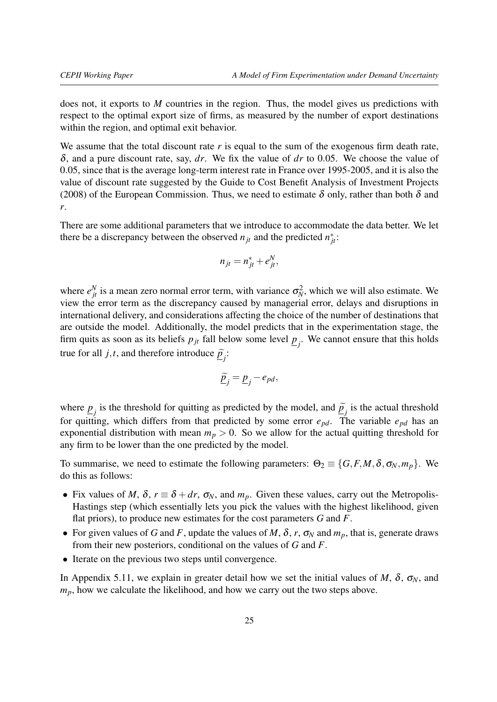does not, it exports to *M* countries in the region. Thus, the model gives us predictions with respect to the optimal export size of firms, as measured by the number of export destinations within the region, and optimal exit behavior.

We assume that the total discount rate r is equal to the sum of the exogenous firm death rate, δ, and a pure discount rate, say, *dr*. We fix the value of *dr* to 0.05. We choose the value of 0.05, since that is the average long-term interest rate in France over 1995-2005, and it is also the value of discount rate suggested by the [Guide to Cost Benefit Analysis of Investment Projects](#page-35-15) [\(2008\)](#page-35-15) of the European Commission. Thus, we need to estimate  $\delta$  only, rather than both  $\delta$  and *r*.

There are some additional parameters that we introduce to accommodate the data better. We let there be a discrepancy between the observed  $n_{jt}$  and the predicted  $n_{jt}^*$ :

$$
n_{jt} = n_{jt}^* + e_{jt}^N,
$$

where  $e_{jt}^N$  is a mean zero normal error term, with variance  $\sigma_N^2$ , which we will also estimate. We view the error term as the discrepancy caused by managerial error, delays and disruptions in international delivery, and considerations affecting the choice of the number of destinations that are outside the model. Additionally, the model predicts that in the experimentation stage, the firm quits as soon as its beliefs  $p_{jt}$  fall below some level  $\underline{p}_j$ . We cannot ensure that this holds true for all *j*,*t*, and therefore introduce  $\tilde{p}_j$ :

$$
\underline{\widetilde{p}_j} = \underline{p}_j - e_{pd},
$$

where  $p_j$  is the threshold for quitting as predicted by the model, and  $\tilde{p}_j$  is the actual threshold<br>for matrices which differently from that mediated by some space. The model is the second for quitting, which differs from that predicted by some error *epd*. The variable *epd* has an exponential distribution with mean  $m_p > 0$ . So we allow for the actual quitting threshold for any firm to be lower than the one predicted by the model.

To summarise, we need to estimate the following parameters:  $\Theta_2 \equiv \{G, F, M, \delta, \sigma_N, m_p\}$ . We do this as follows:

- Fix values of *M*,  $\delta$ ,  $r \equiv \delta + dr$ ,  $\sigma_N$ , and  $m_p$ . Given these values, carry out the Metropolis-Hastings step (which essentially lets you pick the values with the highest likelihood, given flat priors), to produce new estimates for the cost parameters *G* and *F*.
- For given values of *G* and *F*, update the values of *M*,  $\delta$ , *r*,  $\sigma_N$  and  $m_p$ , that is, generate draws from their new posteriors, conditional on the values of *G* and *F*.
- Iterate on the previous two steps until convergence.

In Appendix [5.11,](#page-57-1) we explain in greater detail how we set the initial values of *M*,  $\delta$ ,  $\sigma_N$ , and *mp*, how we calculate the likelihood, and how we carry out the two steps above.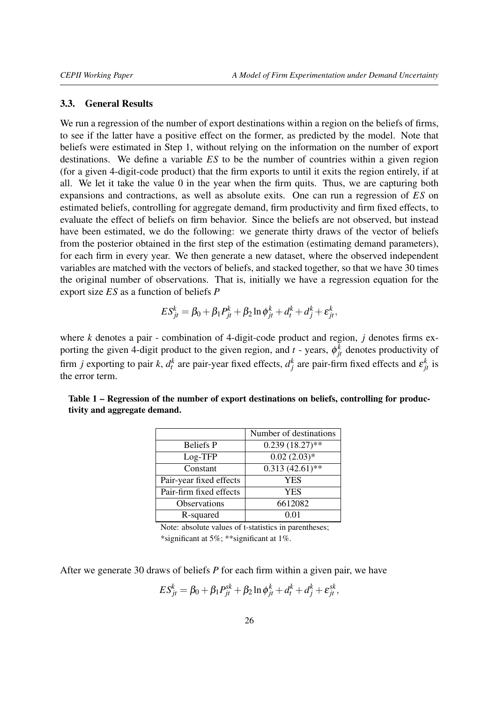#### <span id="page-25-0"></span>3.3. General Results

We run a regression of the number of export destinations within a region on the beliefs of firms, to see if the latter have a positive effect on the former, as predicted by the model. Note that beliefs were estimated in Step 1, without relying on the information on the number of export destinations. We define a variable *ES* to be the number of countries within a given region (for a given 4-digit-code product) that the firm exports to until it exits the region entirely, if at all. We let it take the value 0 in the year when the firm quits. Thus, we are capturing both expansions and contractions, as well as absolute exits. One can run a regression of *ES* on estimated beliefs, controlling for aggregate demand, firm productivity and firm fixed effects, to evaluate the effect of beliefs on firm behavior. Since the beliefs are not observed, but instead have been estimated, we do the following: we generate thirty draws of the vector of beliefs from the posterior obtained in the first step of the estimation (estimating demand parameters), for each firm in every year. We then generate a new dataset, where the observed independent variables are matched with the vectors of beliefs, and stacked together, so that we have 30 times the original number of observations. That is, initially we have a regression equation for the export size *ES* as a function of beliefs *P*

$$
E S_{jt}^{k} = \beta_0 + \beta_1 P_{jt}^{k} + \beta_2 \ln \phi_{jt}^{k} + d_t^{k} + d_j^{k} + \varepsilon_{jt}^{k},
$$

where *k* denotes a pair - combination of 4-digit-code product and region, *j* denotes firms exporting the given 4-digit product to the given region, and  $t$  - years,  $\phi_{jt}^k$  denotes productivity of firm *j* exporting to pair *k*,  $d_t^k$  are pair-year fixed effects,  $d_j^k$  are pair-firm fixed effects and  $\varepsilon_{jt}^k$  is the error term.

|                         | Number of destinations |
|-------------------------|------------------------|
| <b>Beliefs P</b>        | $0.239(18.27)$ **      |
| Log-TFP                 | $0.02(2.03)*$          |
| Constant                | $0.313(42.61)$ **      |
| Pair-year fixed effects | YES                    |
| Pair-firm fixed effects | YES                    |
| <b>Observations</b>     | 6612082                |
| R-squared               | O 01                   |

<span id="page-25-1"></span>Table 1 – Regression of the number of export destinations on beliefs, controlling for productivity and aggregate demand.

Note: absolute values of t-statistics in parentheses; \*significant at 5%; \*\*significant at 1%.

After we generate 30 draws of beliefs *P* for each firm within a given pair, we have

$$
ES_{jt}^k = \beta_0 + \beta_1 P_{jt}^{sk} + \beta_2 \ln \phi_{jt}^k + d_t^k + d_j^k + \varepsilon_{jt}^{sk},
$$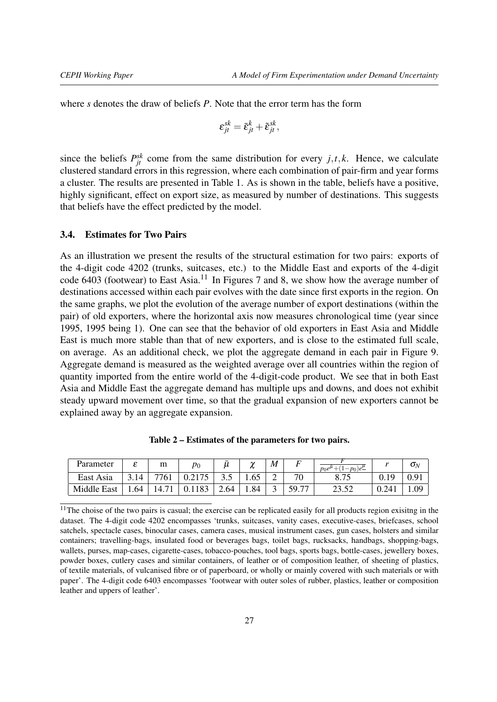where *s* denotes the draw of beliefs *P*. Note that the error term has the form

$$
\varepsilon_{jt}^{sk} = \bar{\varepsilon}_{jt}^k + \tilde{\varepsilon}_{jt}^{sk},
$$

since the beliefs  $P_{jt}^{sk}$  come from the same distribution for every  $j, t, k$ . Hence, we calculate clustered standard errors in this regression, where each combination of pair-firm and year forms a cluster. The results are presented in Table [1.](#page-25-1) As is shown in the table, beliefs have a positive, highly significant, effect on export size, as measured by number of destinations. This suggests that beliefs have the effect predicted by the model.

## <span id="page-26-0"></span>3.4. Estimates for Two Pairs

As an illustration we present the results of the structural estimation for two pairs: exports of the 4-digit code 4202 (trunks, suitcases, etc.) to the Middle East and exports of the 4-digit code 6403 (footwear) to East Asia.<sup>[11](#page-26-1)</sup> In Figures [7](#page-27-0) and [8,](#page-27-0) we show how the average number of destinations accessed within each pair evolves with the date since first exports in the region. On the same graphs, we plot the evolution of the average number of export destinations (within the pair) of old exporters, where the horizontal axis now measures chronological time (year since 1995, 1995 being 1). One can see that the behavior of old exporters in East Asia and Middle East is much more stable than that of new exporters, and is close to the estimated full scale, on average. As an additional check, we plot the aggregate demand in each pair in Figure [9.](#page-27-0) Aggregate demand is measured as the weighted average over all countries within the region of quantity imported from the entire world of the 4-digit-code product. We see that in both East Asia and Middle East the aggregate demand has multiple ups and downs, and does not exhibit steady upward movement over time, so that the gradual expansion of new exporters cannot be explained away by an aggregate expansion.

<span id="page-26-2"></span>

| Parameter   | ◠    | m    | $p_0$ |      | $\sim$<br>π | M | Г.                   | $p_0 e^{\bar{\mu}}$<br>$(-p_0)e^{\mu}$ |       | $\mathbf{v}_N$ |
|-------------|------|------|-------|------|-------------|---|----------------------|----------------------------------------|-------|----------------|
| East Asia   | 14   | 7761 | 2175  | ن. ب | 1.00        | ∠ | 70                   | o <i>n c</i>                           | V.I   |                |
| Middle East | 1.64 | 14.7 |       | 2.64 | 1.84        |   | $\overline{ }$<br>59 | ے بی دے                                | 0.241 | $\Omega$       |

Table 2 – Estimates of the parameters for two pairs.

<span id="page-26-1"></span><sup>&</sup>lt;sup>11</sup>The choise of the two pairs is casual; the exercise can be replicated easily for all products region exisitng in the dataset. The 4-digit code 4202 encompasses 'trunks, suitcases, vanity cases, executive-cases, briefcases, school satchels, spectacle cases, binocular cases, camera cases, musical instrument cases, gun cases, holsters and similar containers; travelling-bags, insulated food or beverages bags, toilet bags, rucksacks, handbags, shopping-bags, wallets, purses, map-cases, cigarette-cases, tobacco-pouches, tool bags, sports bags, bottle-cases, jewellery boxes, powder boxes, cutlery cases and similar containers, of leather or of composition leather, of sheeting of plastics, of textile materials, of vulcanised fibre or of paperboard, or wholly or mainly covered with such materials or with paper'. The 4-digit code 6403 encompasses 'footwear with outer soles of rubber, plastics, leather or composition leather and uppers of leather'.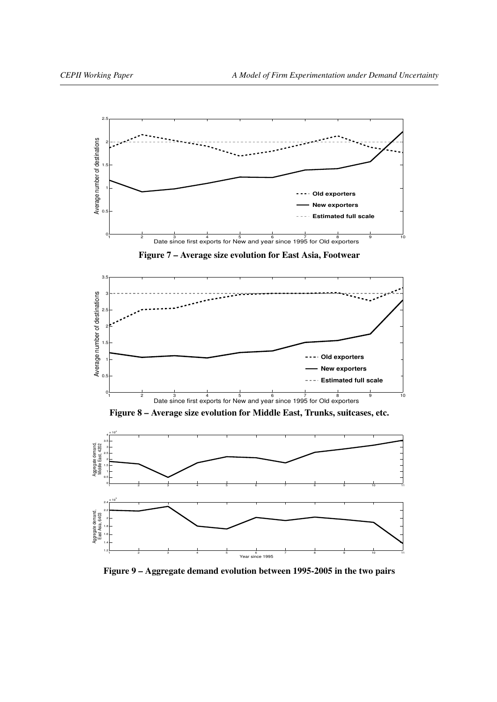<span id="page-27-0"></span>

Figure 9 – Aggregate demand evolution between 1995-2005 in the two pairs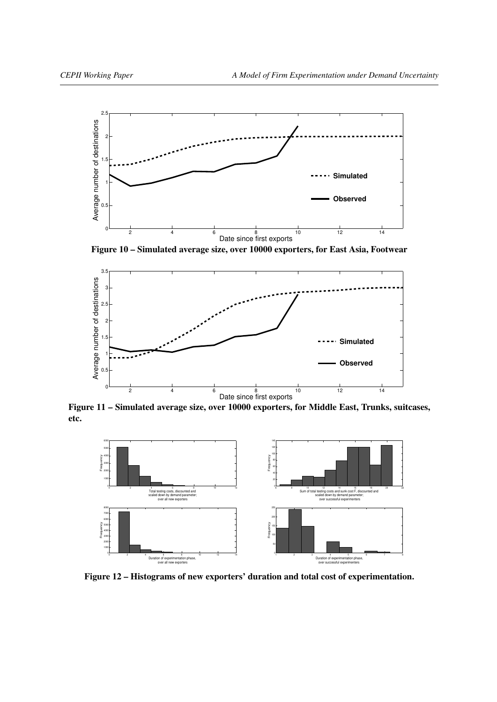<span id="page-28-0"></span>

Figure 10 – Simulated average size, over 10000 exporters, for East Asia, Footwear



Figure 11 – Simulated average size, over 10000 exporters, for Middle East, Trunks, suitcases, etc.



Figure 12 – Histograms of new exporters' duration and total cost of experimentation.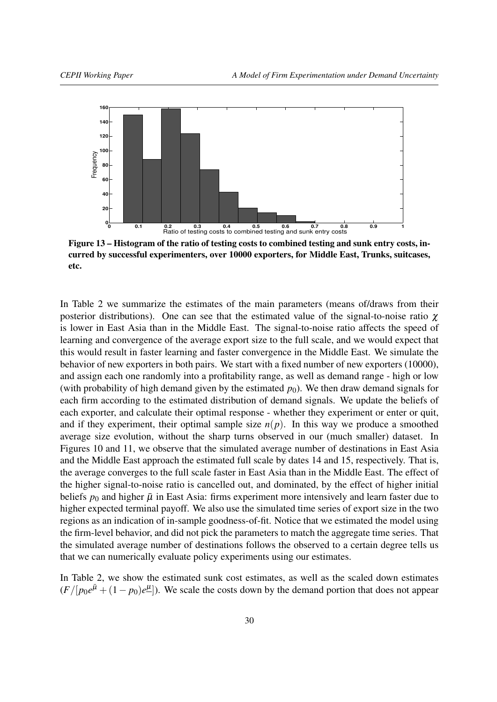<span id="page-29-0"></span>

Figure 13 – Histogram of the ratio of testing costs to combined testing and sunk entry costs, incurred by successful experimenters, over 10000 exporters, for Middle East, Trunks, suitcases, etc.

In Table [2](#page-26-2) we summarize the estimates of the main parameters (means of/draws from their posterior distributions). One can see that the estimated value of the signal-to-noise ratio  $\chi$ is lower in East Asia than in the Middle East. The signal-to-noise ratio affects the speed of learning and convergence of the average export size to the full scale, and we would expect that this would result in faster learning and faster convergence in the Middle East. We simulate the behavior of new exporters in both pairs. We start with a fixed number of new exporters (10000), and assign each one randomly into a profitability range, as well as demand range - high or low (with probability of high demand given by the estimated  $p_0$ ). We then draw demand signals for each firm according to the estimated distribution of demand signals. We update the beliefs of each exporter, and calculate their optimal response - whether they experiment or enter or quit, and if they experiment, their optimal sample size  $n(p)$ . In this way we produce a smoothed average size evolution, without the sharp turns observed in our (much smaller) dataset. In Figures [10](#page-28-0) and [11,](#page-28-0) we observe that the simulated average number of destinations in East Asia and the Middle East approach the estimated full scale by dates 14 and 15, respectively. That is, the average converges to the full scale faster in East Asia than in the Middle East. The effect of the higher signal-to-noise ratio is cancelled out, and dominated, by the effect of higher initial beliefs  $p_0$  and higher  $\bar{\mu}$  in East Asia: firms experiment more intensively and learn faster due to higher expected terminal payoff. We also use the simulated time series of export size in the two regions as an indication of in-sample goodness-of-fit. Notice that we estimated the model using the firm-level behavior, and did not pick the parameters to match the aggregate time series. That the simulated average number of destinations follows the observed to a certain degree tells us that we can numerically evaluate policy experiments using our estimates.

In Table [2,](#page-26-2) we show the estimated sunk cost estimates, as well as the scaled down estimates  $(F/[p_0e^{\bar{\mu}} + (1-p_0)e^{\mu}]$ ). We scale the costs down by the demand portion that does not appear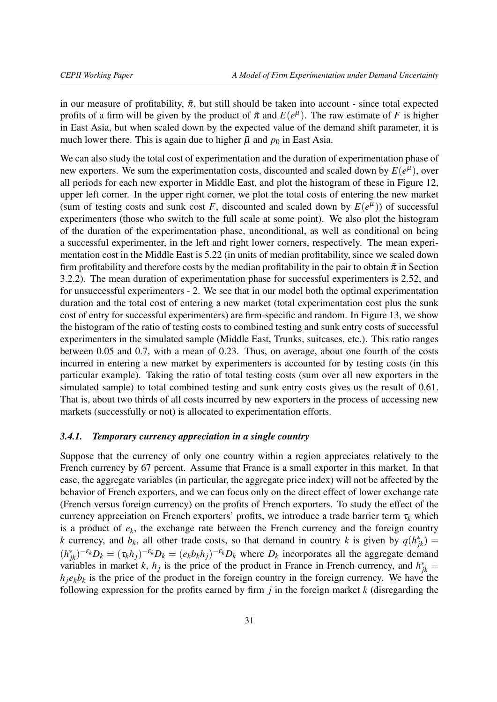in our measure of profitability,  $\tilde{\pi}$ , but still should be taken into account - since total expected profits of a firm will be given by the product of  $\tilde{\pi}$  and  $E(e^{\mu})$ . The raw estimate of *F* is higher in East Asia, but when scaled down by the expected value of the demand shift parameter, it is much lower there. This is again due to higher  $\bar{\mu}$  and  $p_0$  in East Asia.

We can also study the total cost of experimentation and the duration of experimentation phase of new exporters. We sum the experimentation costs, discounted and scaled down by  $E(e^{\mu})$ , over all periods for each new exporter in Middle East, and plot the histogram of these in Figure [12,](#page-28-0) upper left corner. In the upper right corner, we plot the total costs of entering the new market (sum of testing costs and sunk cost *F*, discounted and scaled down by  $E(e^{\mu})$ ) of successful experimenters (those who switch to the full scale at some point). We also plot the histogram of the duration of the experimentation phase, unconditional, as well as conditional on being a successful experimenter, in the left and right lower corners, respectively. The mean experimentation cost in the Middle East is 5.22 (in units of median profitability, since we scaled down firm profitability and therefore costs by the median profitability in the pair to obtain  $\tilde{\pi}$  in Section 3.2.2). The mean duration of experimentation phase for successful experimenters is 2.52, and for unsuccessful experimenters - 2. We see that in our model both the optimal experimentation duration and the total cost of entering a new market (total experimentation cost plus the sunk cost of entry for successful experimenters) are firm-specific and random. In Figure [13,](#page-29-0) we show the histogram of the ratio of testing costs to combined testing and sunk entry costs of successful experimenters in the simulated sample (Middle East, Trunks, suitcases, etc.). This ratio ranges between 0.05 and 0.7, with a mean of 0.23. Thus, on average, about one fourth of the costs incurred in entering a new market by experimenters is accounted for by testing costs (in this particular example). Taking the ratio of total testing costs (sum over all new exporters in the simulated sample) to total combined testing and sunk entry costs gives us the result of 0.61. That is, about two thirds of all costs incurred by new exporters in the process of accessing new markets (successfully or not) is allocated to experimentation efforts.

# *3.4.1. Temporary currency appreciation in a single country*

Suppose that the currency of only one country within a region appreciates relatively to the French currency by 67 percent. Assume that France is a small exporter in this market. In that case, the aggregate variables (in particular, the aggregate price index) will not be affected by the behavior of French exporters, and we can focus only on the direct effect of lower exchange rate (French versus foreign currency) on the profits of French exporters. To study the effect of the currency appreciation on French exporters' profits, we introduce a trade barrier term  $\tau_k$  which is a product of  $e_k$ , the exchange rate between the French currency and the foreign country *k* currency, and  $b_k$ , all other trade costs, so that demand in country *k* is given by  $q(h_{jk}^*) =$  $(h_{jk}^*)^{-\epsilon_k}D_k = (\tau_k h_j)^{-\epsilon_k}D_k = (e_k b_k h_j)^{-\epsilon_k}D_k$  where  $D_k$  incorporates all the aggregate demand variables in market *k*, *h<sub>j</sub>* is the price of the product in France in French currency, and  $h_{jk}^* =$  $h_j e_k b_k$  is the price of the product in the foreign country in the foreign currency. We have the following expression for the profits earned by firm *j* in the foreign market *k* (disregarding the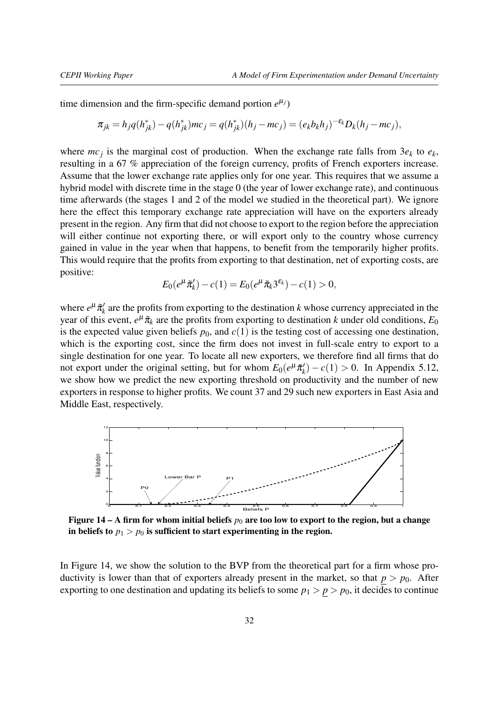time dimension and the firm-specific demand portion  $e^{\mu_j}$ )

$$
\pi_{jk} = h_j q(h_{jk}^*) - q(h_{jk}^*)mc_j = q(h_{jk}^*)(h_j - mc_j) = (e_k b_k h_j)^{-\epsilon_k} D_k(h_j - mc_j),
$$

where  $mc_j$  is the marginal cost of production. When the exchange rate falls from  $3e_k$  to  $e_k$ , resulting in a 67 % appreciation of the foreign currency, profits of French exporters increase. Assume that the lower exchange rate applies only for one year. This requires that we assume a hybrid model with discrete time in the stage 0 (the year of lower exchange rate), and continuous time afterwards (the stages 1 and 2 of the model we studied in the theoretical part). We ignore here the effect this temporary exchange rate appreciation will have on the exporters already present in the region. Any firm that did not choose to export to the region before the appreciation will either continue not exporting there, or will export only to the country whose currency gained in value in the year when that happens, to benefit from the temporarily higher profits. This would require that the profits from exporting to that destination, net of exporting costs, are positive:

$$
E_0(e^{\mu}\tilde{\pi}'_k) - c(1) = E_0(e^{\mu}\tilde{\pi}_k 3^{\varepsilon_k}) - c(1) > 0,
$$

where  $e^{\mu}$  $\tilde{\pi}'_k$  $k_{k}$ <sup> $\prime$ </sup> are the profits from exporting to the destination  $k$  whose currency appreciated in the year of this event,  $e^{\mu} \tilde{\pi}_k$  are the profits from exporting to destination *k* under old conditions,  $E_0$ is the expected value given beliefs  $p_0$ , and  $c(1)$  is the testing cost of accessing one destination, which is the exporting cost, since the firm does not invest in full-scale entry to export to a single destination for one year. To locate all new exporters, we therefore find all firms that do not export under the original setting, but for whom  $E_0(e^{\mu} \tilde{\pi}_k^{\mu})$  $h'_{k}$ ) – *c*(1) > 0. In Appendix [5.12,](#page-60-0) we show how we predict the new exporting threshold on productivity and the number of new exporters in response to higher profits. We count 37 and 29 such new exporters in East Asia and Middle East, respectively.

<span id="page-31-0"></span>

Figure 14 – A firm for whom initial beliefs  $p_0$  are too low to export to the region, but a change in beliefs to  $p_1 > p_0$  is sufficient to start experimenting in the region.

In Figure [14,](#page-31-0) we show the solution to the BVP from the theoretical part for a firm whose productivity is lower than that of exporters already present in the market, so that  $p > p_0$ . After exporting to one destination and updating its beliefs to some  $p_1 > p > p_0$ , it decides to continue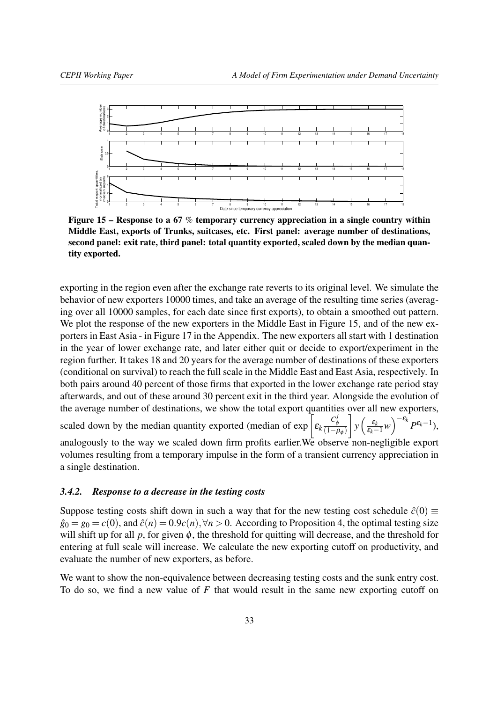<span id="page-32-0"></span>

Figure 15 – Response to a 67 % temporary currency appreciation in a single country within Middle East, exports of Trunks, suitcases, etc. First panel: average number of destinations, second panel: exit rate, third panel: total quantity exported, scaled down by the median quantity exported.

exporting in the region even after the exchange rate reverts to its original level. We simulate the behavior of new exporters 10000 times, and take an average of the resulting time series (averaging over all 10000 samples, for each date since first exports), to obtain a smoothed out pattern. We plot the response of the new exporters in the Middle East in Figure [15,](#page-32-0) and of the new exporters in East Asia - in Figure [17](#page-62-1) in the Appendix. The new exporters all start with 1 destination in the year of lower exchange rate, and later either quit or decide to export/experiment in the region further. It takes 18 and 20 years for the average number of destinations of these exporters (conditional on survival) to reach the full scale in the Middle East and East Asia, respectively. In both pairs around 40 percent of those firms that exported in the lower exchange rate period stay afterwards, and out of these around 30 percent exit in the third year. Alongside the evolution of the average number of destinations, we show the total export quantities over all new exporters,

scaled down by the median quantity exported (median of exp  $\left[\varepsilon_k \frac{C_{\phi}^j}{(1-\phi)^j}\right]$  $\frac{C_{\phi}}{(1-\rho_{\phi})}$ 1  $y\left(\frac{\varepsilon_k}{\varepsilon_k} \right)$  $\left(\frac{\varepsilon_k}{\varepsilon_k-1}w\right)^{-\varepsilon_k}P^{\varepsilon_k-1},$ 

analogously to the way we scaled down firm profits earlier.We observe non-negligible export volumes resulting from a temporary impulse in the form of a transient currency appreciation in a single destination.

# *3.4.2. Response to a decrease in the testing costs*

Suppose testing costs shift down in such a way that for the new testing cost schedule  $\hat{c}(0) \equiv$  $\hat{g}_0 = g_0 = c(0)$ , and  $\hat{c}(n) = 0.9c(n), \forall n > 0$ . According to Proposition 4, the optimal testing size will shift up for all  $p$ , for given  $\phi$ , the threshold for quitting will decrease, and the threshold for entering at full scale will increase. We calculate the new exporting cutoff on productivity, and evaluate the number of new exporters, as before.

We want to show the non-equivalence between decreasing testing costs and the sunk entry cost. To do so, we find a new value of *F* that would result in the same new exporting cutoff on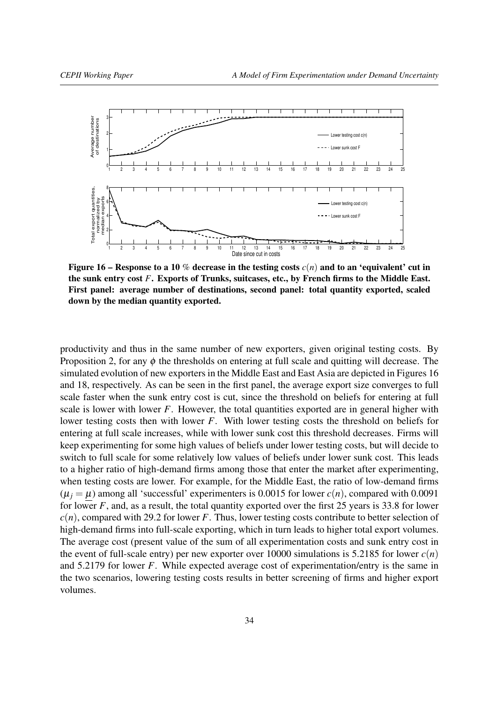<span id="page-33-0"></span>

Figure 16 – Response to a 10 % decrease in the testing costs  $c(n)$  and to an 'equivalent' cut in the sunk entry cost *F*. Exports of Trunks, suitcases, etc., by French firms to the Middle East. First panel: average number of destinations, second panel: total quantity exported, scaled down by the median quantity exported.

productivity and thus in the same number of new exporters, given original testing costs. By Proposition 2, for any  $\phi$  the thresholds on entering at full scale and quitting will decrease. The simulated evolution of new exporters in the Middle East and East Asia are depicted in Figures [16](#page-33-0) and [18,](#page-62-1) respectively. As can be seen in the first panel, the average export size converges to full scale faster when the sunk entry cost is cut, since the threshold on beliefs for entering at full scale is lower with lower  $F$ . However, the total quantities exported are in general higher with lower testing costs then with lower *F*. With lower testing costs the threshold on beliefs for entering at full scale increases, while with lower sunk cost this threshold decreases. Firms will keep experimenting for some high values of beliefs under lower testing costs, but will decide to switch to full scale for some relatively low values of beliefs under lower sunk cost. This leads to a higher ratio of high-demand firms among those that enter the market after experimenting, when testing costs are lower. For example, for the Middle East, the ratio of low-demand firms  $(\mu_i = \mu)$  among all 'successful' experimenters is 0.0015 for lower  $c(n)$ , compared with 0.0091 for lower *F*, and, as a result, the total quantity exported over the first 25 years is 33.8 for lower *c*(*n*), compared with 29.2 for lower *F*. Thus, lower testing costs contribute to better selection of high-demand firms into full-scale exporting, which in turn leads to higher total export volumes. The average cost (present value of the sum of all experimentation costs and sunk entry cost in the event of full-scale entry) per new exporter over 10000 simulations is 5.2185 for lower  $c(n)$ and 5.2179 for lower *F*. While expected average cost of experimentation/entry is the same in the two scenarios, lowering testing costs results in better screening of firms and higher export volumes.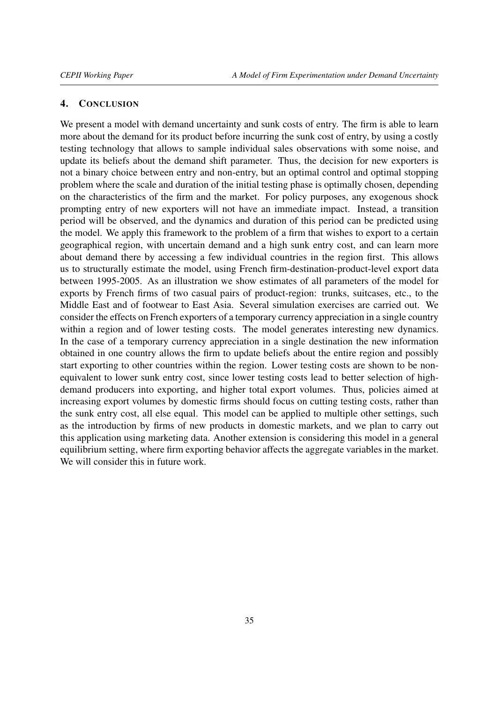### <span id="page-34-0"></span>4. CONCLUSION

We present a model with demand uncertainty and sunk costs of entry. The firm is able to learn more about the demand for its product before incurring the sunk cost of entry, by using a costly testing technology that allows to sample individual sales observations with some noise, and update its beliefs about the demand shift parameter. Thus, the decision for new exporters is not a binary choice between entry and non-entry, but an optimal control and optimal stopping problem where the scale and duration of the initial testing phase is optimally chosen, depending on the characteristics of the firm and the market. For policy purposes, any exogenous shock prompting entry of new exporters will not have an immediate impact. Instead, a transition period will be observed, and the dynamics and duration of this period can be predicted using the model. We apply this framework to the problem of a firm that wishes to export to a certain geographical region, with uncertain demand and a high sunk entry cost, and can learn more about demand there by accessing a few individual countries in the region first. This allows us to structurally estimate the model, using French firm-destination-product-level export data between 1995-2005. As an illustration we show estimates of all parameters of the model for exports by French firms of two casual pairs of product-region: trunks, suitcases, etc., to the Middle East and of footwear to East Asia. Several simulation exercises are carried out. We consider the effects on French exporters of a temporary currency appreciation in a single country within a region and of lower testing costs. The model generates interesting new dynamics. In the case of a temporary currency appreciation in a single destination the new information obtained in one country allows the firm to update beliefs about the entire region and possibly start exporting to other countries within the region. Lower testing costs are shown to be nonequivalent to lower sunk entry cost, since lower testing costs lead to better selection of highdemand producers into exporting, and higher total export volumes. Thus, policies aimed at increasing export volumes by domestic firms should focus on cutting testing costs, rather than the sunk entry cost, all else equal. This model can be applied to multiple other settings, such as the introduction by firms of new products in domestic markets, and we plan to carry out this application using marketing data. Another extension is considering this model in a general equilibrium setting, where firm exporting behavior affects the aggregate variables in the market. We will consider this in future work.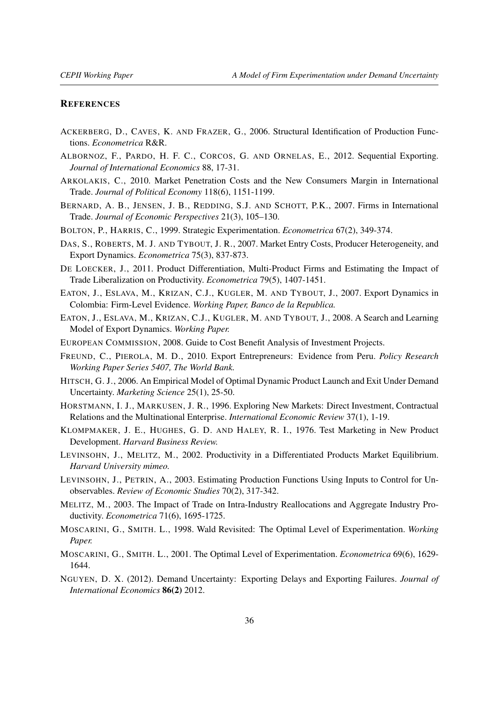#### **REFERENCES**

- <span id="page-35-13"></span>ACKERBERG, D., CAVES, K. AND FRAZER, G., 2006. Structural Identification of Production Functions. *Econometrica* R&R.
- <span id="page-35-11"></span>ALBORNOZ, F., PARDO, H. F. C., CORCOS, G. AND ORNELAS, E., 2012. Sequential Exporting. *Journal of International Economics* 88, 17-31.
- <span id="page-35-7"></span>ARKOLAKIS, C., 2010. Market Penetration Costs and the New Consumers Margin in International Trade. *Journal of Political Economy* 118(6), 1151-1199.
- <span id="page-35-3"></span>BERNARD, A. B., JENSEN, J. B., REDDING, S.J. AND SCHOTT, P.K., 2007. Firms in International Trade. *Journal of Economic Perspectives* 21(3), 105–130.
- <span id="page-35-16"></span>BOLTON, P., HARRIS, C., 1999. Strategic Experimentation. *Econometrica* 67(2), 349-374.
- <span id="page-35-4"></span>DAS, S., ROBERTS, M. J. AND TYBOUT, J. R., 2007. Market Entry Costs, Producer Heterogeneity, and Export Dynamics. *Econometrica* 75(3), 837-873.
- <span id="page-35-18"></span>DE LOECKER, J., 2011. Product Differentiation, Multi-Product Firms and Estimating the Impact of Trade Liberalization on Productivity. *Econometrica* 79(5), 1407-1451.
- <span id="page-35-1"></span>EATON, J., ESLAVA, M., KRIZAN, C.J., KUGLER, M. AND TYBOUT, J., 2007. Export Dynamics in Colombia: Firm-Level Evidence. *Working Paper, Banco de la Republica.*
- <span id="page-35-9"></span>EATON, J., ESLAVA, M., KRIZAN, C.J., KUGLER, M. AND TYBOUT, J., 2008. A Search and Learning Model of Export Dynamics. *Working Paper.*
- <span id="page-35-15"></span>EUROPEAN COMMISSION, 2008. Guide to Cost Benefit Analysis of Investment Projects.
- <span id="page-35-10"></span>FREUND, C., PIEROLA, M. D., 2010. Export Entrepreneurs: Evidence from Peru. *Policy Research Working Paper Series 5407, The World Bank.*
- <span id="page-35-6"></span>HITSCH, G. J., 2006. An Empirical Model of Optimal Dynamic Product Launch and Exit Under Demand Uncertainty. *Marketing Science* 25(1), 25-50.
- <span id="page-35-8"></span>HORSTMANN, I. J., MARKUSEN, J. R., 1996. Exploring New Markets: Direct Investment, Contractual Relations and the Multinational Enterprise. *International Economic Review* 37(1), 1-19.
- <span id="page-35-5"></span>KLOMPMAKER, J. E., HUGHES, G. D. AND HALEY, R. I., 1976. Test Marketing in New Product Development. *Harvard Business Review.*
- <span id="page-35-19"></span>LEVINSOHN, J., MELITZ, M., 2002. Productivity in a Differentiated Products Market Equilibrium. *Harvard University mimeo.*
- <span id="page-35-14"></span>LEVINSOHN, J., PETRIN, A., 2003. Estimating Production Functions Using Inputs to Control for Unobservables. *Review of Economic Studies* 70(2), 317-342.
- <span id="page-35-2"></span>MELITZ, M., 2003. The Impact of Trade on Intra-Industry Reallocations and Aggregate Industry Productivity. *Econometrica* 71(6), 1695-1725.
- <span id="page-35-17"></span>MOSCARINI, G., SMITH. L., 1998. Wald Revisited: The Optimal Level of Experimentation. *Working Paper.*
- <span id="page-35-0"></span>MOSCARINI, G., SMITH. L., 2001. The Optimal Level of Experimentation. *Econometrica* 69(6), 1629- 1644.
- <span id="page-35-12"></span>NGUYEN, D. X. (2012). Demand Uncertainty: Exporting Delays and Exporting Failures. *Journal of International Economics* 86(2) 2012.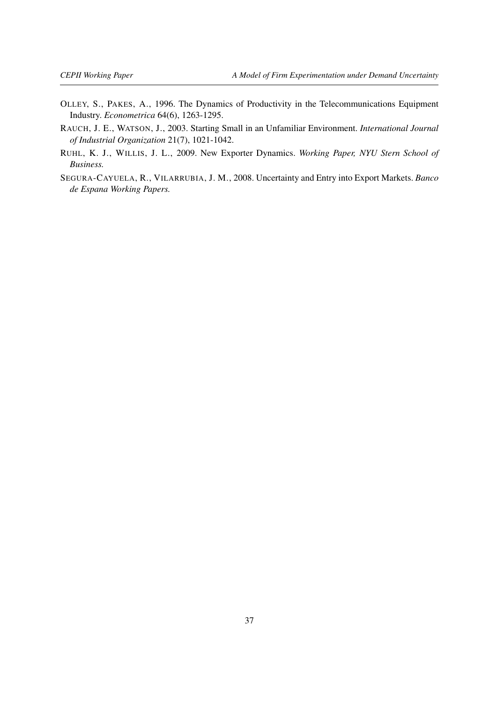- <span id="page-36-3"></span>OLLEY, S., PAKES, A., 1996. The Dynamics of Productivity in the Telecommunications Equipment Industry. *Econometrica* 64(6), 1263-1295.
- <span id="page-36-1"></span>RAUCH, J. E., WATSON, J., 2003. Starting Small in an Unfamiliar Environment. *International Journal of Industrial Organization* 21(7), 1021-1042.
- <span id="page-36-0"></span>RUHL, K. J., WILLIS, J. L., 2009. New Exporter Dynamics. *Working Paper, NYU Stern School of Business.*
- <span id="page-36-2"></span>SEGURA-CAYUELA, R., VILARRUBIA, J. M., 2008. Uncertainty and Entry into Export Markets. *Banco de Espana Working Papers.*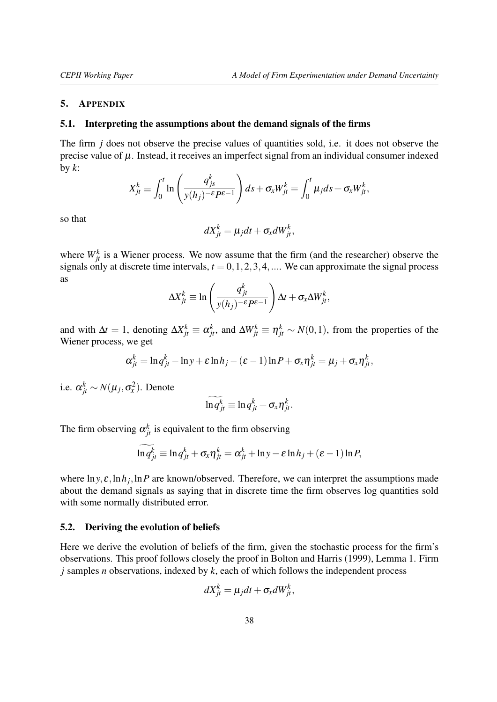#### <span id="page-37-0"></span>5. APPENDIX

### <span id="page-37-1"></span>5.1. Interpreting the assumptions about the demand signals of the firms

The firm *j* does not observe the precise values of quantities sold, i.e. it does not observe the precise value of  $\mu$ . Instead, it receives an imperfect signal from an individual consumer indexed by *k*:

$$
X_{jt}^k \equiv \int_0^t \ln\left(\frac{q_{js}^k}{y(h_j)^{-\epsilon}P^{\epsilon-1}}\right) ds + \sigma_x W_{jt}^k = \int_0^t \mu_j ds + \sigma_x W_{jt}^k,
$$

so that

$$
dX_{jt}^k = \mu_j dt + \sigma_x dW_{jt}^k,
$$

where  $W_{jt}^k$  is a Wiener process. We now assume that the firm (and the researcher) observe the signals only at discrete time intervals,  $t = 0, 1, 2, 3, 4, \dots$ . We can approximate the signal process as

$$
\Delta X_{jt}^k \equiv \ln\left(\frac{q_{jt}^k}{y(h_j)^{-\epsilon}P^{\epsilon-1}}\right)\Delta t + \sigma_x \Delta W_{jt}^k,
$$

and with  $\Delta t = 1$ , denoting  $\Delta X_{jt}^k \equiv \alpha_{jt}^k$ , and  $\Delta W_{jt}^k \equiv \eta_{jt}^k \sim N(0, 1)$ , from the properties of the Wiener process, we get

$$
\alpha_{jt}^k = \ln q_{jt}^k - \ln y + \varepsilon \ln h_j - (\varepsilon - 1) \ln P + \sigma_x \eta_{jt}^k = \mu_j + \sigma_x \eta_{jt}^k,
$$

i.e.  $\alpha_{jt}^k \sim N(\mu_j, \sigma_x^2)$ . Denote

$$
\ln q_{jt}^k \equiv \ln q_{jt}^k + \sigma_x \eta_{jt}^k.
$$

The firm observing  $\alpha_{jt}^k$  is equivalent to the firm observing

$$
\widetilde{\ln q_{jt}^k} \equiv \ln q_{jt}^k + \sigma_x \eta_{jt}^k = \alpha_{jt}^k + \ln y - \varepsilon \ln h_j + (\varepsilon - 1) \ln P,
$$

where  $\ln y$ ,  $\varepsilon$ ,  $\ln h_j$ ,  $\ln P$  are known/observed. Therefore, we can interpret the assumptions made about the demand signals as saying that in discrete time the firm observes log quantities sold with some normally distributed error.

#### <span id="page-37-2"></span>5.2. Deriving the evolution of beliefs

Here we derive the evolution of beliefs of the firm, given the stochastic process for the firm's observations. This proof follows closely the proof in [Bolton and Harris](#page-35-16) [\(1999\)](#page-35-16), Lemma 1. Firm *j* samples *n* observations, indexed by *k*, each of which follows the independent process

$$
dX_{jt}^k = \mu_j dt + \sigma_x dW_{jt}^k,
$$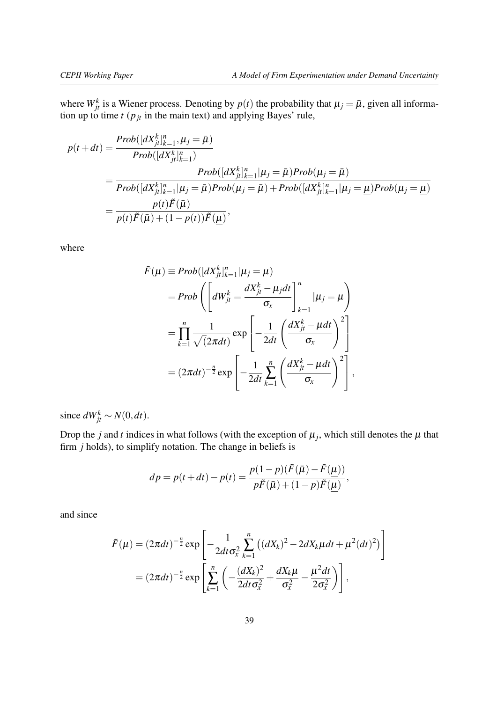where  $W_{jt}^k$  is a Wiener process. Denoting by  $p(t)$  the probability that  $\mu_j = \bar{\mu}$ , given all information up to time  $t$  ( $p_{jt}$  in the main text) and applying Bayes' rule,

$$
p(t + dt) = \frac{Prob([dX_{jt}^{k}]_{k=1}^{n}, \mu_{j} = \bar{\mu})}{Prob([dX_{jt}^{k}]_{k=1}^{n})}
$$
  
= 
$$
\frac{Prob([dX_{jt}^{k}]_{k=1}^{n} | \mu_{j} = \bar{\mu}) Prob(\mu_{j} = \bar{\mu})}{Prob([dX_{jt}^{k}]_{k=1}^{n} | \mu_{j} = \bar{\mu}) Prob(\mu_{j} = \bar{\mu}) + Prob([dX_{jt}^{k}]_{k=1}^{n} | \mu_{j} = \underline{\mu}) Prob(\mu_{j} = \underline{\mu})}
$$
  
= 
$$
\frac{p(t)\tilde{F}(\bar{\mu})}{p(t)\tilde{F}(\bar{\mu}) + (1 - p(t))\tilde{F}(\underline{\mu})},
$$

where

$$
\tilde{F}(\mu) \equiv Prob([dX_{jt}^{k}]_{k=1}^{n} | \mu_{j} = \mu)
$$
\n
$$
= Prob\left(\left[dW_{jt}^{k} = \frac{dX_{jt}^{k} - \mu_{j}dt}{\sigma_{x}}\right]_{k=1}^{n} | \mu_{j} = \mu\right)
$$
\n
$$
= \prod_{k=1}^{n} \frac{1}{\sqrt{(2\pi dt)}} exp\left[-\frac{1}{2dt}\left(\frac{dX_{jt}^{k} - \mu dt}{\sigma_{x}}\right)^{2}\right]
$$
\n
$$
= (2\pi dt)^{-\frac{n}{2}} exp\left[-\frac{1}{2dt}\sum_{k=1}^{n} \left(\frac{dX_{jt}^{k} - \mu dt}{\sigma_{x}}\right)^{2}\right],
$$

since  $dW_{jt}^k \sim N(0, dt)$ .

Drop the *j* and *t* indices in what follows (with the exception of  $\mu_j$ , which still denotes the  $\mu$  that firm *j* holds), to simplify notation. The change in beliefs is

$$
dp = p(t + dt) - p(t) = \frac{p(1 - p)(\tilde{F}(\bar{\mu}) - \tilde{F}(\underline{\mu}))}{p\tilde{F}(\bar{\mu}) + (1 - p)\tilde{F}(\underline{\mu})},
$$

and since

$$
\tilde{F}(\mu) = (2\pi dt)^{-\frac{n}{2}} \exp\left[ -\frac{1}{2dt\sigma_x^2} \sum_{k=1}^n \left( (dX_k)^2 - 2dX_k\mu dt + \mu^2 (dt)^2 \right) \right]
$$

$$
= (2\pi dt)^{-\frac{n}{2}} \exp\left[ \sum_{k=1}^n \left( -\frac{(dX_k)^2}{2dt\sigma_x^2} + \frac{dX_k\mu}{\sigma_x^2} - \frac{\mu^2 dt}{2\sigma_x^2} \right) \right],
$$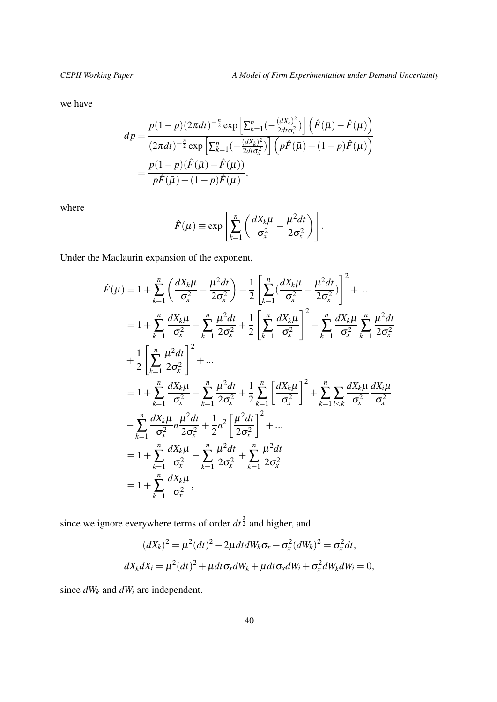we have

$$
dp = \frac{p(1-p)(2\pi dt)^{-\frac{n}{2}} \exp\left[\sum_{k=1}^{n}\left(-\frac{(dX_k)^2}{2dt\sigma_x^2}\right)\right] \left(\hat{F}(\bar{\mu}) - \hat{F}(\underline{\mu})\right)}{(2\pi dt)^{-\frac{n}{2}} \exp\left[\sum_{k=1}^{n}\left(-\frac{(dX_k)^2}{2dt\sigma_x^2}\right)\right] \left(p\hat{F}(\bar{\mu}) + (1-p)\hat{F}(\underline{\mu})\right)}
$$
  
= 
$$
\frac{p(1-p)(\hat{F}(\bar{\mu}) - \hat{F}(\underline{\mu}))}{p\hat{F}(\bar{\mu}) + (1-p)\hat{F}(\underline{\mu})},
$$

where

$$
\hat{F}(\mu) \equiv \exp\left[\sum_{k=1}^{n} \left(\frac{dX_k\mu}{\sigma_x^2} - \frac{\mu^2 dt}{2\sigma_x^2}\right)\right].
$$

Under the Maclaurin expansion of the exponent,

$$
\hat{F}(\mu) = 1 + \sum_{k=1}^{n} \left( \frac{dX_k \mu}{\sigma_x^2} - \frac{\mu^2 dt}{2 \sigma_x^2} \right) + \frac{1}{2} \left[ \sum_{k=1}^{n} \left( \frac{dX_k \mu}{\sigma_x^2} - \frac{\mu^2 dt}{2 \sigma_x^2} \right) \right]^2 + \dots
$$
\n
$$
= 1 + \sum_{k=1}^{n} \frac{dX_k \mu}{\sigma_x^2} - \sum_{k=1}^{n} \frac{\mu^2 dt}{2 \sigma_x^2} + \frac{1}{2} \left[ \sum_{k=1}^{n} \frac{dX_k \mu}{\sigma_x^2} \right]^2 - \sum_{k=1}^{n} \frac{dX_k \mu}{\sigma_x^2} \sum_{k=1}^{n} \frac{\mu^2 dt}{2 \sigma_x^2}
$$
\n
$$
+ \frac{1}{2} \left[ \sum_{k=1}^{n} \frac{\mu^2 dt}{2 \sigma_x^2} \right]^2 + \dots
$$
\n
$$
= 1 + \sum_{k=1}^{n} \frac{dX_k \mu}{\sigma_x^2} - \sum_{k=1}^{n} \frac{\mu^2 dt}{2 \sigma_x^2} + \frac{1}{2} \sum_{k=1}^{n} \left[ \frac{dX_k \mu}{\sigma_x^2} \right]^2 + \sum_{k=1}^{n} \sum_{i < k} \frac{dX_k \mu}{\sigma_x^2} \frac{dX_i \mu}{\sigma_x^2}
$$
\n
$$
- \sum_{k=1}^{n} \frac{dX_k \mu}{\sigma_x^2} \frac{\mu^2 dt}{2 \sigma_x^2} + \frac{1}{2} n^2 \left[ \frac{\mu^2 dt}{2 \sigma_x^2} \right]^2 + \dots
$$
\n
$$
= 1 + \sum_{k=1}^{n} \frac{dX_k \mu}{\sigma_x^2} - \sum_{k=1}^{n} \frac{\mu^2 dt}{2 \sigma_x^2} + \sum_{k=1}^{n} \frac{\mu^2 dt}{2 \sigma_x^2}
$$
\n
$$
= 1 + \sum_{k=1}^{n} \frac{dX_k \mu}{\sigma_x^2},
$$

since we ignore everywhere terms of order  $dt^{\frac{3}{2}}$  and higher, and

$$
(dX_k)^2 = \mu^2 (dt)^2 - 2\mu dt dW_k \sigma_x + \sigma_x^2 (dW_k)^2 = \sigma_x^2 dt,
$$
  

$$
dX_k dX_i = \mu^2 (dt)^2 + \mu dt \sigma_x dW_k + \mu dt \sigma_x dW_i + \sigma_x^2 dW_k dW_i = 0,
$$

since *dW<sup>k</sup>* and *dW<sup>i</sup>* are independent.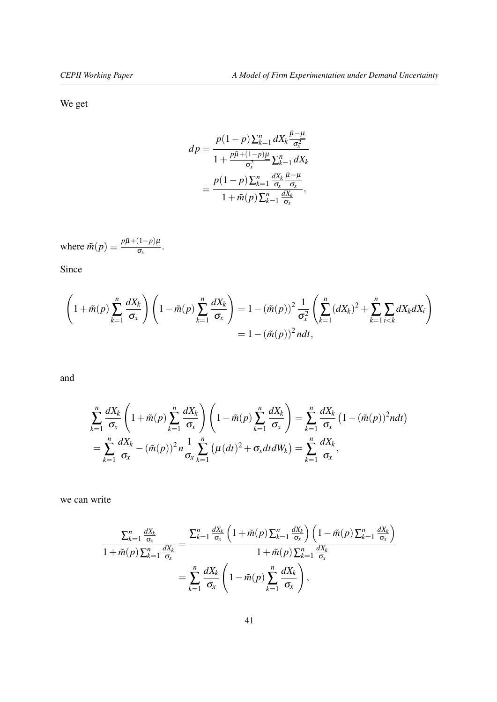We get

$$
dp = \frac{p(1-p)\sum_{k=1}^{n}dX_{k}\frac{\bar{\mu}-\mu}{\sigma_{x}^{2}}}{1+\frac{p\bar{\mu}+(1-p)\mu}{\sigma_{x}^{2}}\sum_{k=1}^{n}dX_{k}}
$$

$$
\equiv \frac{p(1-p)\sum_{k=1}^{n}\frac{dX_{k}}{\sigma_{x}}\frac{\bar{\mu}-\mu}{\sigma_{x}}}{1+\tilde{m}(p)\sum_{k=1}^{n}\frac{dX_{k}}{\sigma_{x}}},
$$

where  $\tilde{m}(p) \equiv \frac{p\bar{\mu} + (1-p)\mu}{\sigma}$  $\frac{(1 - P)\mu}{\sigma_x}$ .

Since

$$
\left(1+\tilde{m}(p)\sum_{k=1}^{n}\frac{dX_{k}}{\sigma_{x}}\right)\left(1-\tilde{m}(p)\sum_{k=1}^{n}\frac{dX_{k}}{\sigma_{x}}\right)=1-(\tilde{m}(p))^{2}\frac{1}{\sigma_{x}^{2}}\left(\sum_{k=1}^{n}(dX_{k})^{2}+\sum_{k=1}^{n}\sum_{i
$$
=1-(\tilde{m}(p))^{2}ndt,
$$
$$

and

$$
\sum_{k=1}^{n} \frac{dX_k}{\sigma_x} \left( 1 + \tilde{m}(p) \sum_{k=1}^{n} \frac{dX_k}{\sigma_x} \right) \left( 1 - \tilde{m}(p) \sum_{k=1}^{n} \frac{dX_k}{\sigma_x} \right) = \sum_{k=1}^{n} \frac{dX_k}{\sigma_x} \left( 1 - (\tilde{m}(p))^2 n dt \right)
$$
  
= 
$$
\sum_{k=1}^{n} \frac{dX_k}{\sigma_x} - (\tilde{m}(p))^2 n \frac{1}{\sigma_x} \sum_{k=1}^{n} \left( \mu(dt)^2 + \sigma_x dt dW_k \right) = \sum_{k=1}^{n} \frac{dX_k}{\sigma_x},
$$

we can write

$$
\frac{\sum_{k=1}^{n} \frac{dX_k}{\sigma_x}}{1 + \tilde{m}(p) \sum_{k=1}^{n} \frac{dX_k}{\sigma_x}} = \frac{\sum_{k=1}^{n} \frac{dX_k}{\sigma_x} \left(1 + \tilde{m}(p) \sum_{k=1}^{n} \frac{dX_k}{\sigma_x}\right) \left(1 - \tilde{m}(p) \sum_{k=1}^{n} \frac{dX_k}{\sigma_x}\right)}{1 + \tilde{m}(p) \sum_{k=1}^{n} \frac{dX_k}{\sigma_x}} = \sum_{k=1}^{n} \frac{dX_k}{\sigma_x} \left(1 - \tilde{m}(p) \sum_{k=1}^{n} \frac{dX_k}{\sigma_x}\right),
$$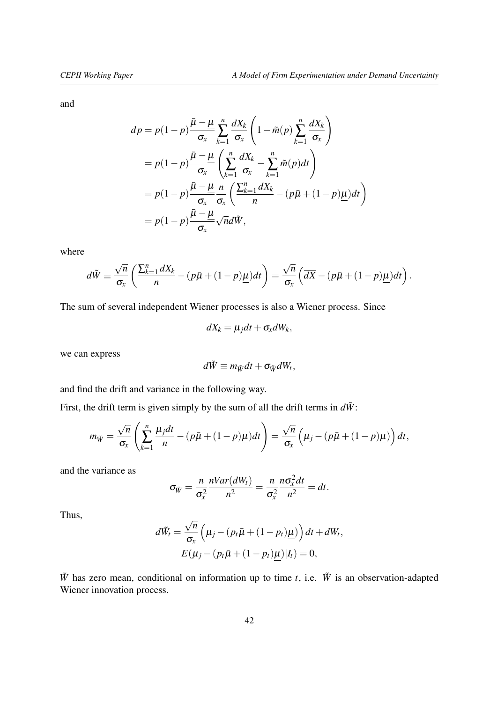and

$$
dp = p(1-p)\frac{\bar{\mu} - \underline{\mu}}{\sigma_x} \sum_{k=1}^n \frac{dX_k}{\sigma_x} \left(1 - \tilde{m}(p) \sum_{k=1}^n \frac{dX_k}{\sigma_x}\right)
$$
  
=  $p(1-p) \frac{\bar{\mu} - \underline{\mu}}{\sigma_x} \left(\sum_{k=1}^n \frac{dX_k}{\sigma_x} - \sum_{k=1}^n \tilde{m}(p) dt\right)$   
=  $p(1-p) \frac{\bar{\mu} - \underline{\mu}}{\sigma_x} \frac{n}{\sigma_x} \left(\frac{\sum_{k=1}^n dX_k}{n} - (p\bar{\mu} + (1-p)\underline{\mu}) dt\right)$   
=  $p(1-p) \frac{\bar{\mu} - \underline{\mu}}{\sigma_x} \sqrt{n} d\tilde{W},$ 

where

$$
d\tilde{W} \equiv \frac{\sqrt{n}}{\sigma_x} \left( \frac{\sum_{k=1}^n dX_k}{n} - (p\bar{\mu} + (1-p)\underline{\mu})dt \right) = \frac{\sqrt{n}}{\sigma_x} \left( \overline{dX} - (p\bar{\mu} + (1-p)\underline{\mu})dt \right).
$$

The sum of several independent Wiener processes is also a Wiener process. Since

$$
dX_k = \mu_j dt + \sigma_x dW_k,
$$

we can express

$$
d\tilde{W} \equiv m_{\tilde{W}}dt + \sigma_{\tilde{W}}dW_t,
$$

and find the drift and variance in the following way.

First, the drift term is given simply by the sum of all the drift terms in  $d\tilde{W}$ :

$$
m_{\tilde{W}} = \frac{\sqrt{n}}{\sigma_x} \left( \sum_{k=1}^n \frac{\mu_j dt}{n} - (p\bar{\mu} + (1-p)\underline{\mu}) dt \right) = \frac{\sqrt{n}}{\sigma_x} \left( \mu_j - (p\bar{\mu} + (1-p)\underline{\mu}) \right) dt,
$$

and the variance as

$$
\sigma_{\tilde{W}} = \frac{n}{\sigma_x^2} \frac{nVar(dW_t)}{n^2} = \frac{n}{\sigma_x^2} \frac{n\sigma_x^2 dt}{n^2} = dt.
$$

Thus,

$$
d\tilde{W}_t = \frac{\sqrt{n}}{\sigma_x} \left( \mu_j - (p_t \bar{\mu} + (1 - p_t) \underline{\mu}) \right) dt + dW_t,
$$
  

$$
E(\mu_j - (p_t \bar{\mu} + (1 - p_t) \underline{\mu}) | I_t) = 0,
$$

 $\tilde{W}$  has zero mean, conditional on information up to time *t*, i.e.  $\tilde{W}$  is an observation-adapted Wiener innovation process.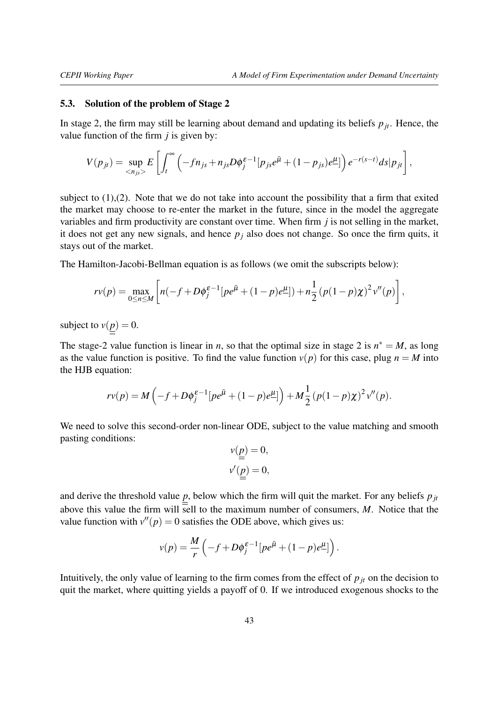#### <span id="page-42-0"></span>5.3. Solution of the problem of Stage 2

In stage 2, the firm may still be learning about demand and updating its beliefs  $p_{jt}$ . Hence, the value function of the firm *j* is given by:

$$
V(p_{jt}) = \sup_{\langle n_{js}\rangle} E\left[\int_t^{\infty} \left(-fn_{js} + n_{js}D\phi_j^{\varepsilon-1}[p_{js}e^{\bar{\mu}} + (1-p_{js})e^{\mu}]\right)e^{-r(s-t)}ds|p_{jt}\right],
$$

subject to  $(1)$ , $(2)$ . Note that we do not take into account the possibility that a firm that exited the market may choose to re-enter the market in the future, since in the model the aggregate variables and firm productivity are constant over time. When firm *j* is not selling in the market, it does not get any new signals, and hence  $p_i$  also does not change. So once the firm quits, it stays out of the market.

The Hamilton-Jacobi-Bellman equation is as follows (we omit the subscripts below):

$$
rv(p) = \max_{0 \le n \le M} \left[ n(-f + D\phi_j^{\varepsilon-1} [pe^{\bar{\mu}} + (1-p)e^{\mu}]) + n\frac{1}{2} (p(1-p)\chi)^2 v''(p) \right],
$$

subject to  $v(p) = 0$ .

The stage-2 value function is linear in *n*, so that the optimal size in stage 2 is  $n^* = M$ , as long as the value function is positive. To find the value function  $v(p)$  for this case, plug  $n = M$  into the HJB equation:

$$
rv(p) = M\left(-f + D\phi_j^{\varepsilon-1}[pe^{\bar{\mu}} + (1-p)e^{\mu}] \right) + M\frac{1}{2}(p(1-p)\chi)^2 v''(p).
$$

We need to solve this second-order non-linear ODE, subject to the value matching and smooth pasting conditions:

$$
v(\underline{p}) = 0,
$$
  

$$
v'(\underline{p}) = 0,
$$

and derive the threshold value  $p$ , below which the firm will quit the market. For any beliefs  $p_{jt}$ above this value the firm will sell to the maximum number of consumers,  $M$ . Notice that the value function with  $v''(p) = 0$  satisfies the ODE above, which gives us:

$$
v(p) = \frac{M}{r} \left( -f + D\phi_j^{\varepsilon-1} [pe^{\bar{\mu}} + (1-p)e^{\mu}] \right).
$$

Intuitively, the only value of learning to the firm comes from the effect of  $p_{it}$  on the decision to quit the market, where quitting yields a payoff of 0. If we introduced exogenous shocks to the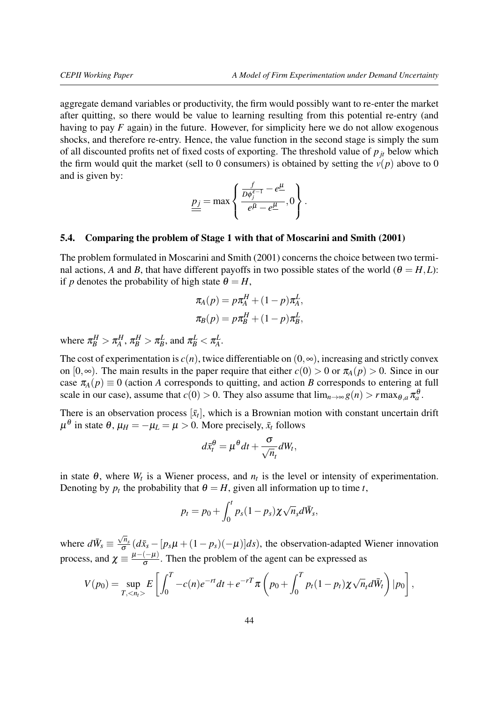aggregate demand variables or productivity, the firm would possibly want to re-enter the market after quitting, so there would be value to learning resulting from this potential re-entry (and having to pay *F* again) in the future. However, for simplicity here we do not allow exogenous shocks, and therefore re-entry. Hence, the value function in the second stage is simply the sum of all discounted profits net of fixed costs of exporting. The threshold value of *pjt* below which the firm would quit the market (sell to 0 consumers) is obtained by setting the  $v(p)$  above to 0 and is given by:

$$
\underline{\underline{p_j}} = \max \left\{ \frac{\frac{f}{D\phi_j^{\varepsilon-1}} - e^{\underline{\mu}}}{e^{\underline{\bar{\mu}}} - e^{\underline{\mu}}}, 0 \right\}.
$$

### <span id="page-43-0"></span>5.4. Comparing the problem of Stage 1 with that of [Moscarini and Smith](#page-35-0) [\(2001\)](#page-35-0)

The problem formulated in [Moscarini and Smith](#page-35-0) [\(2001\)](#page-35-0) concerns the choice between two terminal actions, *A* and *B*, that have different payoffs in two possible states of the world ( $\theta = H, L$ ): if *p* denotes the probability of high state  $\theta = H$ ,

$$
\pi_A(p) = p\pi_A^H + (1-p)\pi_A^L,
$$
  

$$
\pi_B(p) = p\pi_B^H + (1-p)\pi_B^L,
$$

where  $\pi_B^H > \pi_A^H$ ,  $\pi_B^H > \pi_B^L$ , and  $\pi_B^L < \pi_A^L$ .

The cost of experimentation is  $c(n)$ , twice differentiable on  $(0, \infty)$ , increasing and strictly convex on  $[0, \infty)$ . The main results in the paper require that either  $c(0) > 0$  or  $\pi_A(p) > 0$ . Since in our case  $\pi_A(p) \equiv 0$  (action *A* corresponds to quitting, and action *B* corresponds to entering at full scale in our case), assume that  $c(0) > 0$ . They also assume that  $\lim_{n\to\infty} g(n) > r \max_{\theta,a} \pi_a^{\theta}$ .

There is an observation process  $[\bar{x}_t]$ , which is a Brownian motion with constant uncertain drift  $\mu^{\theta}$  in state  $\theta$ ,  $\mu_H = -\mu_L = \mu > 0$ . More precisely,  $\bar{x}_t$  follows

$$
d\bar{x}_t^{\theta} = \mu^{\theta} dt + \frac{\sigma}{\sqrt{n_t}} dW_t,
$$

in state  $\theta$ , where  $W_t$  is a Wiener process, and  $n_t$  is the level or intensity of experimentation. Denoting by  $p_t$  the probability that  $\theta = H$ , given all information up to time *t*,

$$
p_t = p_0 + \int_0^t p_s (1 - p_s) \chi \sqrt{n_s} d\bar{W}_s,
$$

where  $d\bar{W}_s \equiv$ √ *ns*  $\frac{m_s}{\sigma} (d\bar{x}_s - [p_s\mu + (1-p_s)(-\mu)]ds)$ , the observation-adapted Wiener innovation process, and  $\chi \equiv \frac{\mu - (-\mu)}{\sigma}$  $\frac{(-\mu)}{\sigma}$ . Then the problem of the agent can be expressed as

$$
V(p_0) = \sup_{T, < n_t > \infty} E\left[\int_0^T -c(n)e^{-rt}dt + e^{-rT}\pi\left(p_0 + \int_0^T p_t(1-p_t)\chi\sqrt{n_t}d\bar{W}_t\right)|p_0\right],
$$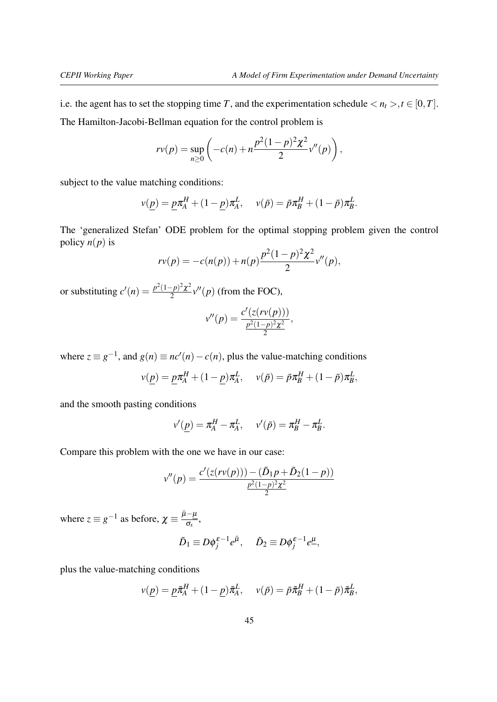i.e. the agent has to set the stopping time *T*, and the experimentation schedule  $\langle n_t \rangle, t \in [0, T]$ . The Hamilton-Jacobi-Bellman equation for the control problem is

$$
rv(p) = \sup_{n \geq 0} \left( -c(n) + n \frac{p^2 (1-p)^2 \chi^2}{2} v''(p) \right),
$$

subject to the value matching conditions:

$$
v(\underline{p}) = \underline{p}\pi_A^H + (1 - \underline{p})\pi_A^L, \quad v(\bar{p}) = \bar{p}\pi_B^H + (1 - \bar{p})\pi_B^L.
$$

The 'generalized Stefan' ODE problem for the optimal stopping problem given the control policy  $n(p)$  is

$$
rv(p) = -c(n(p)) + n(p)\frac{p^2(1-p)^2\chi^2}{2}v''(p),
$$

or substituting  $c'(n) = \frac{p^2(1-p)^2\chi^2}{2}$  $\frac{(p-p)^2\chi^2}{2}v''(p)$  (from the FOC),

$$
v''(p) = \frac{c'(z(rv(p)))}{\frac{p^2(1-p)^2\chi^2}{2}},
$$

where  $z \equiv g^{-1}$ , and  $g(n) \equiv nc'(n) - c(n)$ , plus the value-matching conditions

$$
v(\underline{p}) = \underline{p}\pi_A^H + (1 - \underline{p})\pi_A^L, \quad v(\bar{p}) = \bar{p}\pi_B^H + (1 - \bar{p})\pi_B^L,
$$

and the smooth pasting conditions

$$
v'(\underline{p}) = \pi_A^H - \pi_A^L, \quad v'(\bar{p}) = \pi_B^H - \pi_B^L.
$$

Compare this problem with the one we have in our case:

$$
v''(p) = \frac{c'(z(rv(p)))-(\tilde{D}_1p+\tilde{D}_2(1-p))}{\frac{p^2(1-p)^2\chi^2}{2}}
$$

where  $z \equiv g^{-1}$  as before,  $\chi \equiv \frac{\bar{\mu} - \mu}{\sigma_r}$  $\frac{\mu}{\sigma_x},$ 

$$
\tilde{D}_1 \equiv D\phi_j^{\varepsilon-1}e^{\bar{\mu}}, \quad \tilde{D}_2 \equiv D\phi_j^{\varepsilon-1}e^{\mu},
$$

plus the value-matching conditions

$$
v(\underline{p}) = \underline{p}\tilde{\pi}_A^H + (1-\underline{p})\tilde{\pi}_A^L, \quad v(\bar{p}) = \bar{p}\tilde{\pi}_B^H + (1-\bar{p})\tilde{\pi}_B^L,
$$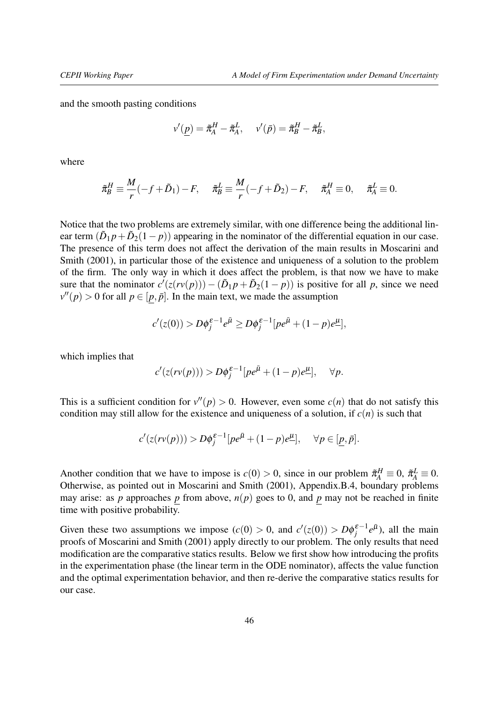and the smooth pasting conditions

$$
v'(\underline{p}) = \tilde{\pi}_A^H - \tilde{\pi}_A^L, \quad v'(\bar{p}) = \tilde{\pi}_B^H - \tilde{\pi}_B^L,
$$

where

$$
\tilde{\pi}_B^H \equiv \frac{M}{r}(-f+\tilde{D}_1) - F, \quad \tilde{\pi}_B^L \equiv \frac{M}{r}(-f+\tilde{D}_2) - F, \quad \tilde{\pi}_A^H \equiv 0, \quad \tilde{\pi}_A^L \equiv 0.
$$

Notice that the two problems are extremely similar, with one difference being the additional linear term  $(\tilde{D}_1 p + \tilde{D}_2(1-p))$  appearing in the nominator of the differential equation in our case. The presence of this term does not affect the derivation of the main results in [Moscarini and](#page-35-0) [Smith](#page-35-0) [\(2001\)](#page-35-0), in particular those of the existence and uniqueness of a solution to the problem of the firm. The only way in which it does affect the problem, is that now we have to make sure that the nominator  $c'(z(rv(p))) - (\tilde{D}_1 p + \tilde{D}_2(1-p))$  is positive for all *p*, since we need  $v''(p) > 0$  for all  $p \in [p, \bar{p}]$ . In the main text, we made the assumption

$$
c'(z(0)) > D\phi_j^{\varepsilon-1}e^{\bar{\mu}} \ge D\phi_j^{\varepsilon-1}[pe^{\bar{\mu}} + (1-p)e^{\underline{\mu}}],
$$

which implies that

$$
c'(z(rv(p))) > D\phi_j^{\varepsilon-1}[pe^{\bar{\mu}} + (1-p)e^{\underline{\mu}}], \quad \forall p.
$$

This is a sufficient condition for  $v''(p) > 0$ . However, even some  $c(n)$  that do not satisfy this condition may still allow for the existence and uniqueness of a solution, if  $c(n)$  is such that

$$
c'(z(rv(p))) > D\phi_j^{\varepsilon-1}[pe^{\bar{\mu}} + (1-p)e^{\mu}], \quad \forall p \in [\underline{p}, \bar{p}].
$$

Another condition that we have to impose is  $c(0) > 0$ , since in our problem  $\tilde{\pi}_A^H \equiv 0$ ,  $\tilde{\pi}_A^L \equiv 0$ . Otherwise, as pointed out in [Moscarini and Smith](#page-35-0) [\(2001\)](#page-35-0), Appendix.B.4, boundary problems may arise: as *p* approaches *p* from above,  $n(p)$  goes to 0, and *p* may not be reached in finite time with positive probability.

Given these two assumptions we impose  $(c(0) > 0$ , and  $c'(z(0)) > D\phi_j^{\varepsilon-1}e^{\bar{\mu}}$ , all the main proofs of [Moscarini and Smith](#page-35-0) [\(2001\)](#page-35-0) apply directly to our problem. The only results that need modification are the comparative statics results. Below we first show how introducing the profits in the experimentation phase (the linear term in the ODE nominator), affects the value function and the optimal experimentation behavior, and then re-derive the comparative statics results for our case.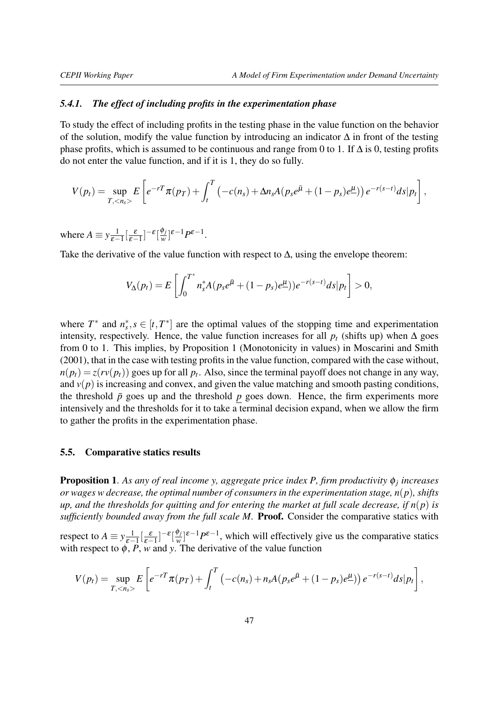#### <span id="page-46-1"></span>*5.4.1. The effect of including profits in the experimentation phase*

To study the effect of including profits in the testing phase in the value function on the behavior of the solution, modify the value function by introducing an indicator ∆ in front of the testing phase profits, which is assumed to be continuous and range from 0 to 1. If  $\Delta$  is 0, testing profits do not enter the value function, and if it is 1, they do so fully.

$$
V(p_t) = \sup_{T, < n_s>} E\left[ e^{-rT} \pi(p_T) + \int_t^T \left( -c(n_s) + \Delta n_s A(p_s e^{\bar{\mu}} + (1 - p_s) e^{\mu} \right) \right) e^{-r(s-t)} ds | p_t \right],
$$

where  $A \equiv y \frac{1}{s-1}$  $\frac{1}{\varepsilon-1}\left[\frac{\varepsilon}{\varepsilon-1}\right]^{-\varepsilon}\left[\frac{\phi_j}{w}\right]$  $\frac{\varphi_j}{w}$ <sup>2</sup><sup>ε−1</sup>*P*<sup>ε−1</sup>.

Take the derivative of the value function with respect to  $\Delta$ , using the envelope theorem:

$$
V_{\Delta}(p_t) = E\left[\int_0^{T^*} n_s^* A(p_s e^{\bar{\mu}} + (1-p_s)e^{\mu})e^{-r(s-t)}ds|p_t\right] > 0,
$$

where  $T^*$  and  $n_s^*$ ,  $s \in [t, T^*]$  are the optimal values of the stopping time and experimentation intensity, respectively. Hence, the value function increases for all  $p_t$  (shifts up) when  $\Delta$  goes from 0 to 1. This implies, by Proposition 1 (Monotonicity in values) in [Moscarini and Smith](#page-35-0) [\(2001\)](#page-35-0), that in the case with testing profits in the value function, compared with the case without,  $n(p_t) = z(rv(p_t))$  goes up for all  $p_t$ . Also, since the terminal payoff does not change in any way, and  $v(p)$  is increasing and convex, and given the value matching and smooth pasting conditions, the threshold  $\bar{p}$  goes up and the threshold  $p$  goes down. Hence, the firm experiments more intensively and the thresholds for it to take a terminal decision expand, when we allow the firm to gather the profits in the experimentation phase.

### <span id="page-46-0"></span>5.5. Comparative statics results

Proposition 1. *As any of real income y, aggregate price index P, firm productivity* φ*<sup>j</sup> increases or wages w decrease, the optimal number of consumers in the experimentation stage, n*(*p*)*, shifts up, and the thresholds for quitting and for entering the market at full scale decrease, if*  $n(p)$  *is sufficiently bounded away from the full scale M.* Proof. Consider the comparative statics with

respect to  $A \equiv y \frac{1}{s-1}$  $\frac{1}{\varepsilon-1}\left[\frac{\varepsilon}{\varepsilon-1}\right]^{-\varepsilon}\left[\frac{\phi_j}{w}\right]$  $\frac{\varphi_j}{w}$ <sup>[ $\varepsilon$ -1</sub> $P^{\varepsilon-1}$ , which will effectively give us the comparative statics</sup> with respect to  $\phi$ , *P*, *w* and *y*. The derivative of the value function

$$
V(p_t) = \sup_{T, < n_s>} E\left[ e^{-rT} \pi(p_T) + \int_t^T \left( -c(n_s) + n_s A(p_s e^{\bar{\mu}} + (1-p_s) e^{\mu}) \right) e^{-r(s-t)} ds | p_t \right],
$$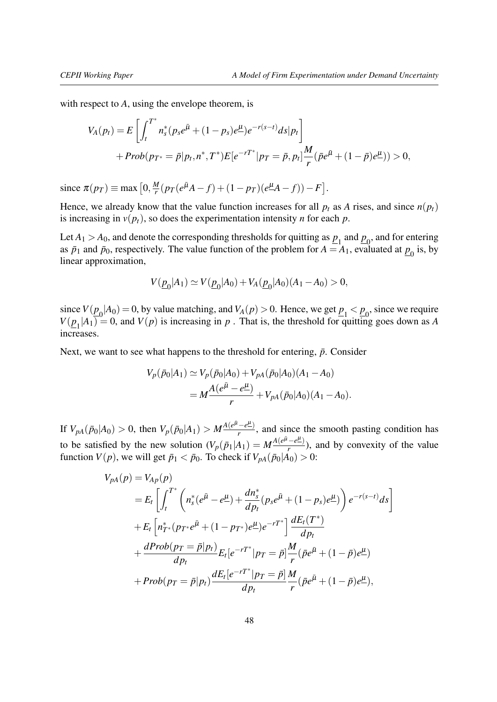with respect to *A*, using the envelope theorem, is

$$
V_A(p_t) = E\left[\int_t^{T^*} n_s^*(p_s e^{\bar{\mu}} + (1 - p_s)e^{\mu})e^{-r(s-t)}ds|p_t\right] + Prob(p_{T^*} = \bar{p}|p_t, n^*, T^*)E[e^{-rT^*}|p_T = \bar{p}, p_t]\frac{M}{r}(\bar{p}e^{\bar{\mu}} + (1 - \bar{p})e^{\mu}) > 0,
$$

since  $\pi(p_T) \equiv \max\left[0, \frac{M}{r}\right]$  $\frac{M}{r}(p_T(e^{\bar{\mu}}A - f) + (1 - p_T)(e^{\mu}A - f)) - F].$ 

Hence, we already know that the value function increases for all  $p_t$  as *A* rises, and since  $n(p_t)$ is increasing in  $v(p_t)$ , so does the experimentation intensity *n* for each *p*.

Let  $A_1 > A_0$ , and denote the corresponding thresholds for quitting as  $p_1$  and  $p_0$ , and for entering as  $\bar{p}_1$  and  $\bar{p}_0$ , respectively. The value function of the problem for  $A = A_1$ , evaluated at  $\underline{p}_0$  is, by linear approximation,

$$
V(\underline{p}_0|A_1) \simeq V(\underline{p}_0|A_0) + V_A(\underline{p}_0|A_0)(A_1 - A_0) > 0,
$$

since  $V(\underline{p}_0|A_0) = 0$ , by value matching, and  $V_A(p) > 0$ . Hence, we get  $\underline{p}_1 < \underline{p}_0$ , since we require  $V(\underline{p}_1|A_1) = 0$ , and  $V(p)$  is increasing in *p*. That is, the threshold for quitting goes down as *A* increases.

Next, we want to see what happens to the threshold for entering,  $\bar{p}$ . Consider

$$
V_p(\bar{p}_0|A_1) \simeq V_p(\bar{p}_0|A_0) + V_{pA}(\bar{p}_0|A_0)(A_1 - A_0)
$$
  
=  $M \frac{A(e^{\bar{\mu}} - e^{\mu})}{r} + V_{pA}(\bar{p}_0|A_0)(A_1 - A_0).$ 

If  $V_{pA}(\bar{p}_0|A_0) > 0$ , then  $V_p(\bar{p}_0|A_1) > M \frac{A(e^{\bar{\mu}} - e^{\mu})}{r}$  $\frac{-e^{-}}{r}$ , and since the smooth pasting condition has to be satisfied by the new solution  $(V_p(\bar{p}_1|A_1)) = M \frac{A(e^{\bar{\mu}} - e^{\mu})}{r}$  $\frac{-e^{-}}{r}$ ), and by convexity of the value function  $V(p)$ , we will get  $\bar{p}_1 < \bar{p}_0$ . To check if  $V_{pA}(\bar{p}_0|A_0) > 0$ :

$$
V_{pA}(p) = V_{Ap}(p)
$$
  
=  $E_t \left[ \int_t^{T^*} \left( n_s^*(e^{\bar{\mu}} - e^{\mu}) + \frac{d n_s^*}{d p_t} (p_s e^{\bar{\mu}} + (1 - p_s)e^{\mu}) \right) e^{-r(s-t)} ds \right]$   
+  $E_t \left[ n_T^*(p_T^* e^{\bar{\mu}} + (1 - p_T^*)e^{\mu}) e^{-rT^*} \right] \frac{dE_t(T^*)}{dp_t}$   
+  $\frac{dProb(p_T = \bar{p}|p_t)}{dp_t} E_t [e^{-rT^*}|p_T = \bar{p}] \frac{M}{r} (\bar{p} e^{\bar{\mu}} + (1 - \bar{p})e^{\mu})$   
+  $Prob(p_T = \bar{p}|p_t) \frac{dE_t [e^{-rT^*}|p_T = \bar{p}]}{dp_t} \frac{M}{r} (\bar{p} e^{\bar{\mu}} + (1 - \bar{p})e^{\mu}),$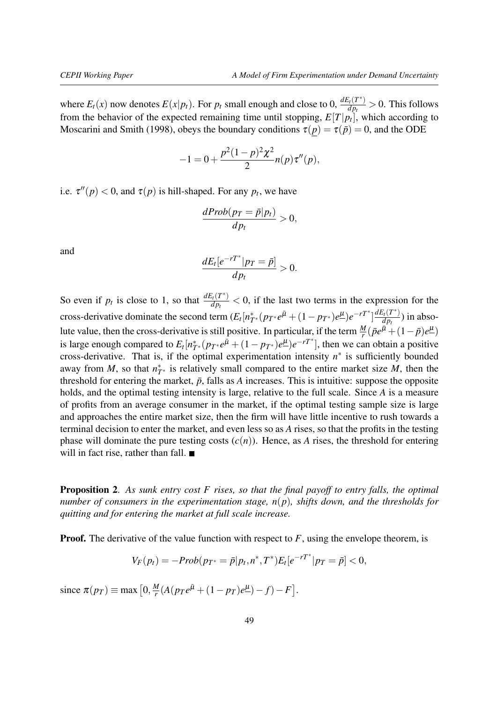where  $E_t(x)$  now denotes  $E(x|p_t)$ . For  $p_t$  small enough and close to 0,  $\frac{dE_t(T^*)}{dp_t}$  $\frac{d_{H}(T)}{dp_{t}} > 0$ . This follows from the behavior of the expected remaining time until stopping,  $E[T|p_t]$ , which according to [Moscarini and Smith](#page-35-17) [\(1998\)](#page-35-17), obeys the boundary conditions  $\tau(p) = \tau(\bar{p}) = 0$ , and the ODE

$$
-1 = 0 + \frac{p^2(1-p)^2\chi^2}{2}n(p)\tau''(p),
$$

i.e.  $\tau''(p) < 0$ , and  $\tau(p)$  is hill-shaped. For any  $p_t$ , we have

$$
\frac{dProb(p_T = \bar{p}|p_t)}{dp_t} > 0,
$$

and

$$
\frac{dE_t[e^{-rT^*}|p_T=\bar{p}]}{dp_t}>0.
$$

So even if  $p_t$  is close to 1, so that  $\frac{dE_t(T^*)}{dp_t}$  $\frac{d_p(t)}{dp_t}$  < 0, if the last two terms in the expression for the cross-derivative dominate the second term  $(E_t[n_{T^*}^*(p_{T^*}e^{\bar{\mu}} + (1-p_{T^*})e^{\mu})e^{-rT^*}] \frac{dE_t(T^*)}{dp_t}$  $\frac{\partial u(I)}{\partial p_t}$ ) in absolute value, then the cross-derivative is still positive. In particular, if the term  $\frac{M}{r}(\bar{p}e^{\bar{\mu}}+(1-\bar{p})e^{\mu})$ is large enough compared to  $E_t[n_{T^*}^*(p_{T^*}e^{\bar{\mu}} + (1 - p_{T^*})e^{\mu})e^{-rT^*}]$ , then we can obtain a positive cross-derivative. That is, if the optimal experimentation intensity  $n^*$  is sufficiently bounded away from *M*, so that  $n^*_{T^*}$  is relatively small compared to the entire market size *M*, then the threshold for entering the market,  $\bar{p}$ , falls as *A* increases. This is intuitive: suppose the opposite holds, and the optimal testing intensity is large, relative to the full scale. Since *A* is a measure of profits from an average consumer in the market, if the optimal testing sample size is large and approaches the entire market size, then the firm will have little incentive to rush towards a terminal decision to enter the market, and even less so as *A* rises, so that the profits in the testing phase will dominate the pure testing costs  $(c(n))$ . Hence, as *A* rises, the threshold for entering will in fact rise, rather than fall.

Proposition 2. *As sunk entry cost F rises, so that the final payoff to entry falls, the optimal number of consumers in the experimentation stage, n*(*p*)*, shifts down, and the thresholds for quitting and for entering the market at full scale increase.*

**Proof.** The derivative of the value function with respect to F, using the envelope theorem, is

$$
V_F(p_t) = -Prob(p_{T^*} = \bar{p}|p_t, n^*, T^*)E_t[e^{-rT^*}|p_T = \bar{p}] < 0,
$$

since  $\pi(p_T) \equiv \max\left[0, \frac{M}{r}\right]$  $\frac{M}{r}(A(p_T e^{\bar{\mu}} + (1 - p_T)e^{\mu}) - f) - F].$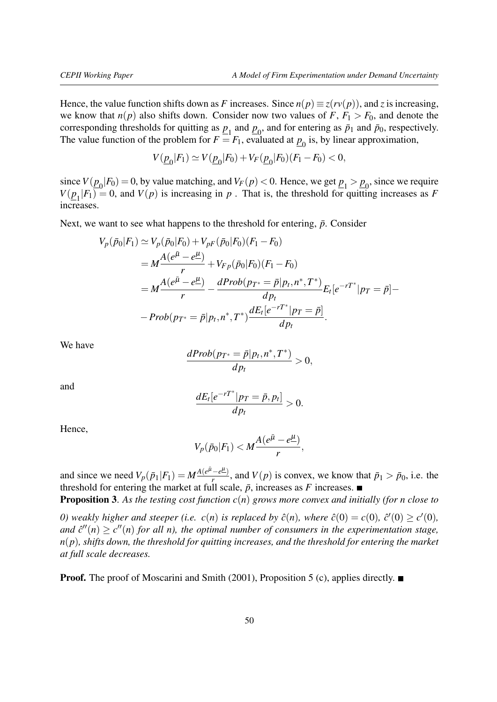Hence, the value function shifts down as *F* increases. Since  $n(p) \equiv z(rv(p))$ , and *z* is increasing, we know that  $n(p)$  also shifts down. Consider now two values of  $F$ ,  $F_1 > F_0$ , and denote the corresponding thresholds for quitting as  $p_1$  and  $p_0$ , and for entering as  $\bar{p}_1$  and  $\bar{p}_0$ , respectively. The value function of the problem for  $F = F_1$ , evaluated at  $\underline{p}_0$  is, by linear approximation,

$$
V(\underline{p}_0|F_1) \simeq V(\underline{p}_0|F_0) + V_F(\underline{p}_0|F_0)(F_1 - F_0) < 0,
$$

since  $V(\underline{p}_0|F_0) = 0$ , by value matching, and  $V_F(p) < 0$ . Hence, we get  $\underline{p}_1 > \underline{p}_0$ , since we require  $V(\underline{p}_1|F_1) = 0$ , and  $V(p)$  is increasing in *p*. That is, the threshold for quitting increases as *F* increases.

Next, we want to see what happens to the threshold for entering,  $\bar{p}$ . Consider

$$
V_p(\bar{p}_0|F_1) \simeq V_p(\bar{p}_0|F_0) + V_{pF}(\bar{p}_0|F_0)(F_1 - F_0)
$$
  
=  $M \frac{A(e^{\bar{\mu}} - e^{\mu})}{r} + V_{Fp}(\bar{p}_0|F_0)(F_1 - F_0)$   
=  $M \frac{A(e^{\bar{\mu}} - e^{\mu})}{r} - \frac{dProb(p_{T^*} = \bar{p}|p_t, n^*, T^*)}{dp_t} E_t[e^{-rT^*}|p_T = \bar{p}] -$   
-  $Prob(p_{T^*} = \bar{p}|p_t, n^*, T^*) \frac{dE_t[e^{-rT^*}|p_T = \bar{p}]}{dp_t}.$ 

We have

$$
\frac{dProb(p_{T^*}=\bar{p}|p_t, n^*, T^*)}{dp_t}>0,
$$

and

$$
\frac{dE_t[e^{-rT^*}|p_T=\bar{p},p_t]}{dp_t}>0.
$$

Hence,

$$
V_p(\bar{p}_0|F_1) < M \frac{A(e^{\bar{\mu}} - e^{\underline{\mu}})}{r},
$$

and since we need  $V_p(\bar{p}_1|F_1) = M \frac{A(e^{\bar{\mu}} - e^{\mu})}{r}$  $\frac{(-e)}{r}$ , and  $V(p)$  is convex, we know that  $\bar{p}_1 > \bar{p}_0$ , i.e. the threshold for entering the market at full scale,  $\bar{p}$ , increases as *F* increases.

Proposition 3. *As the testing cost function c*(*n*) *grows more convex and initially (for n close to*

*0*) weakly higher and steeper (i.e.  $c(n)$  is replaced by  $\hat{c}(n)$ , where  $\hat{c}(0) = c(0)$ ,  $\hat{c}'(0) \ge c'(0)$ , and  $\hat{c}''(n) \geq c''(n)$  for all n), the optimal number of consumers in the experimentation stage, *n*(*p*)*, shifts down, the threshold for quitting increases, and the threshold for entering the market at full scale decreases.*

**Proof.** The proof of [Moscarini and Smith](#page-35-0) [\(2001\)](#page-35-0), Proposition 5 (c), applies directly.  $\blacksquare$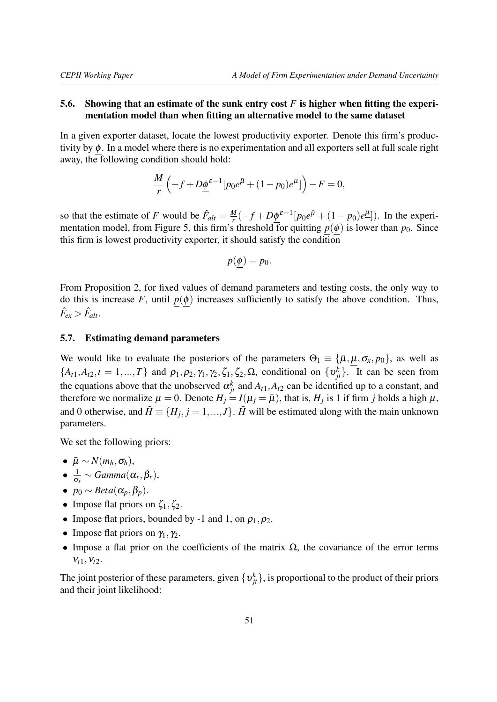# <span id="page-50-0"></span>5.6. Showing that an estimate of the sunk entry cost *F* is higher when fitting the experimentation model than when fitting an alternative model to the same dataset

In a given exporter dataset, locate the lowest productivity exporter. Denote this firm's productivity by  $\phi$ . In a model where there is no experimentation and all exporters sell at full scale right away, the following condition should hold:

$$
\frac{M}{r}\left(-f+D\underline{\phi}^{\varepsilon-1}[p_0e^{\overline{\mu}}+(1-p_0)e^{\underline{\mu}}]\right)-F=0,
$$

so that the estimate of *F* would be  $\hat{F}_{alt} = \frac{M}{r}$  $\frac{M}{r}(-f + D\underline{\phi}^{\varepsilon-1}[p_0 e^{\bar{\mu}} + (1 - p_0)e^{\mu}])$ . In the experimentation model, from Figure 5, this firm's threshold for quitting  $p(\phi)$  is lower than  $p_0$ . Since this firm is lowest productivity exporter, it should satisfy the condition

$$
\underline{p}(\underline{\phi}) = p_0.
$$

From Proposition 2, for fixed values of demand parameters and testing costs, the only way to do this is increase  $F$ , until  $p(\phi)$  increases sufficiently to satisfy the above condition. Thus,  $\hat{F}_{ex} > \hat{F}_{alt}.$ 

### <span id="page-50-1"></span>5.7. Estimating demand parameters

We would like to evaluate the posteriors of the parameters  $\Theta_1 \equiv {\{\bar{\mu}, \mu, \sigma_x, p_0\}}$ , as well as  $\{A_{t1}, A_{t2}, t = 1, ..., T\}$  and  $\rho_1, \rho_2, \gamma_1, \gamma_2, \zeta_1, \zeta_2, \Omega$ , conditional on  $\{v_{jt}^k\}$ . It can be seen from the equations above that the unobserved  $\alpha_{jt}^k$  and  $A_{t,1}, A_{t,2}$  can be identified up to a constant, and therefore we normalize  $\mu = 0$ . Denote  $H_j = I(\mu_j = \bar{\mu})$ , that is,  $H_j$  is 1 if firm *j* holds a high  $\mu$ , and 0 otherwise, and  $\tilde{H} \equiv \{H_j, j = 1, ..., J\}$ .  $\tilde{H}$  will be estimated along with the main unknown parameters.

We set the following priors:

- $\bullet$   $\bar{\mu} \sim N(m_h, \sigma_h),$
- $\bullet$   $\frac{1}{2}$  $\frac{1}{\sigma_x} \sim \text{Gamma}(\alpha_x, \beta_x),$
- $p_0 \sim Beta(\alpha_p, \beta_p)$ .
- Impose flat priors on  $\zeta_1, \zeta_2$ .
- Impose flat priors, bounded by -1 and 1, on  $\rho_1, \rho_2$ .
- Impose flat priors on  $\gamma_1, \gamma_2$ .
- Impose a flat prior on the coefficients of the matrix  $\Omega$ , the covariance of the error terms  $V_{t1}$ ,  $V_{t2}$ .

The joint posterior of these parameters, given  $\{v_{jt}^k\}$ , is proportional to the product of their priors and their joint likelihood: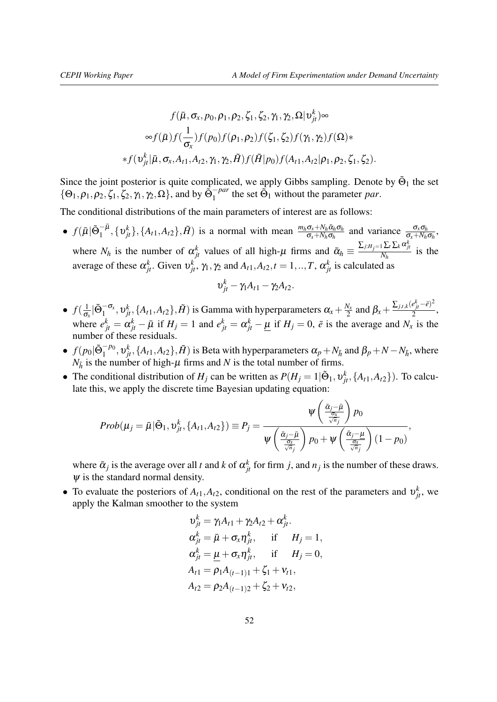$$
f(\bar{\mu}, \sigma_x, p_0, \rho_1, \rho_2, \zeta_1, \zeta_2, \gamma_1, \gamma_2, \Omega | v_{jt}^k) \infty
$$
  

$$
\int_{\sigma_x}^{\infty} f(\bar{\mu}) f(\frac{1}{\sigma_x}) f(p_0) f(\rho_1, \rho_2) f(\zeta_1, \zeta_2) f(\gamma_1, \gamma_2) f(\Omega) * f(\gamma_1, \zeta_1, \zeta_1, \zeta_2) f(\gamma_1, \zeta_2) f(\gamma_1, \zeta_1, \zeta_2).
$$

Since the joint posterior is quite complicated, we apply Gibbs sampling. Denote by  $\tilde{\Theta}_1$  the set  $\{\Theta_1, \rho_1, \rho_2, \zeta_1, \zeta_2, \gamma_1, \gamma_2, \Omega\}$ , and by  $\tilde{\Theta}_1^{-par}$  the set  $\tilde{\Theta}_1$  without the parameter *par*.

The conditional distributions of the main parameters of interest are as follows:

•  $f(\bar{\mu}|\tilde{\Theta}_1^{-\bar{\mu}}, {\{\upsilon_j^k\}}, \{A_{t1}, A_{t2}\}, \tilde{H})$  is a normal with mean  $\frac{m_h \sigma_x + N_h \bar{\alpha}_h \sigma_h}{\sigma_x + N_h \sigma_h}$  and variance  $\frac{\sigma_x \sigma_h}{\sigma_x + N_h \sigma_h}$ where  $N_h$  is the number of  $\alpha_{jt}^k$  values of all high- $\mu$  firms and  $\bar{\alpha}_h \equiv \frac{\sum_{j:H_j=1} \sum_t \sum_k \alpha_{jt}^k}{N_h}$  $\frac{N_{h}N_{h}}{N_{h}}$  is the average of these  $\alpha_{jt}^k$ . Given  $v_{jt}^k$ ,  $\gamma_1, \gamma_2$  and  $A_{t1}, A_{t2}, t = 1, ..., T$ ,  $\alpha_{jt}^k$  is calculated as

$$
v_{jt}^k - \gamma_1 A_{t1} - \gamma_2 A_{t2}.
$$

- $\bullet$   $f(\frac{1}{6})$  $\frac{1}{\sigma_x}$   $|\tilde{\Theta}_1^{-\sigma_x}, v_{jt}^k, \{A_{t1}, A_{t2}\}, \tilde{H})$  is Gamma with hyperparameters  $\alpha_x + \frac{N_x}{2}$  $\frac{V_x}{2}$  and  $β_x + \frac{Σ_{j,t,k}(e^{k}_{jt} - \bar{e})^2}{2}$  $\frac{c_{jt}}{2}$ , where  $e_{jt}^k = \alpha_{jt}^k - \bar{\mu}$  if  $H_j = 1$  and  $e_{jt}^k = \alpha_{jt}^k - \underline{\mu}$  if  $H_j = 0$ ,  $\bar{e}$  is the average and  $N_x$  is the number of these residuals.
- $f(p_0 | \tilde{\Theta}_1^{-p_0}, v_{jt}^k, \{A_{t1}, A_{t2}\}, \tilde{H})$  is Beta with hyperparameters  $\alpha_p + N_{\tilde{h}}$  and  $\beta_p + N N_{\tilde{h}}$ , where  $N_{\tilde{h}}$  is the number of high- $\mu$  firms and *N* is the total number of firms.
- The conditional distribution of  $H_j$  can be written as  $P(H_j = 1 | \tilde{\Theta}_1, \nu_{jt}^k, \{A_{t1}, A_{t2}\})$ . To calculate this, we apply the discrete time Bayesian updating equation:

$$
Prob(\mu_j = \bar{\mu} | \tilde{\Theta}_1, \nu_{jt}^k, \{A_{t1}, A_{t2}\}) \equiv P_j = \frac{\psi\left(\frac{\bar{\alpha}_j - \bar{\mu}}{\frac{\sigma_X}{\sqrt{n}_j}}\right) p_0}{\psi\left(\frac{\bar{\alpha}_j - \bar{\mu}}{\frac{\sigma_X}{\sqrt{n}_j}}\right) p_0 + \psi\left(\frac{\bar{\alpha}_j - \mu}{\frac{\sigma_X}{\sqrt{n}_j}}\right) (1 - p_0)},
$$

where  $\bar{\alpha}_j$  is the average over all *t* and *k* of  $\alpha_{jt}^k$  for firm *j*, and  $n_j$  is the number of these draws.  $\psi$  is the standard normal density.

• To evaluate the posteriors of  $A_{t_1}, A_{t_2}$ , conditional on the rest of the parameters and  $v_{jt}^k$ , we apply the Kalman smoother to the system

$$
v_{jt}^{k} = \gamma_1 A_{t1} + \gamma_2 A_{t2} + \alpha_{jt}^{k}.
$$
  
\n
$$
\alpha_{jt}^{k} = \bar{\mu} + \sigma_x \eta_{jt}^{k}, \quad \text{if} \quad H_j = 1,
$$
  
\n
$$
\alpha_{jt}^{k} = \mu + \sigma_x \eta_{jt}^{k}, \quad \text{if} \quad H_j = 0,
$$
  
\n
$$
A_{t1} = \rho_1 A_{(t-1)1} + \zeta_1 + v_{t1},
$$
  
\n
$$
A_{t2} = \rho_2 A_{(t-1)2} + \zeta_2 + v_{t2},
$$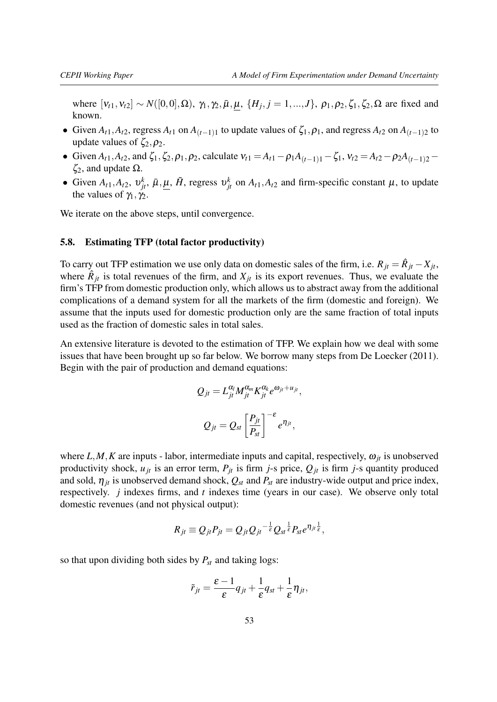where  $[v_{t1}, v_{t2}]$  ∼  $N([0, 0], Ω)$ ,  $γ_1, γ_2, \bar{μ}$ ,  $μ$ ,  $\{H_j, j = 1, ..., J\}$ ,  $ρ_1, ρ_2, ζ_1, ξ_2, Ω$  are fixed and known.

- $\bullet$  Given *A*<sub>t</sub><sub>1</sub>, *A*<sub>t</sub><sub>2</sub>, regress *A*<sub>t</sub><sub>1</sub> on *A*<sub>(*t*−1)<sub>1</sub></sub> to update values of  $\zeta$ <sub>1</sub>,  $\rho$ <sub>1</sub>, and regress *A*<sub>t</sub><sub>2</sub> on *A*<sub>(*t*−1)<sub>2</sub></sub> to update values of  $\zeta_2, \rho_2$ .
- Given *A*<sub>t</sub><sub>1</sub>, *A*<sub>t</sub><sub>2</sub>, and  $\zeta_1$ ,  $\zeta_2$ ,  $\rho_1$ ,  $\rho_2$ , calculate  $v_{t1} = A_{t1} \rho_1 A_{(t-1)1} \zeta_1$ ,  $v_{t2} = A_{t2} \rho_2 A_{(t-1)2} \zeta_1 A_{(t-1)2}$  $\zeta_2$ , and update  $\Omega$ .
- Given  $A_{t1}$ ,  $A_{t2}$ ,  $v_{jt}^k$ ,  $\bar{\mu}$ ,  $\underline{\mu}$ ,  $\tilde{H}$ , regress  $v_{jt}^k$  on  $A_{t1}$ ,  $A_{t2}$  and firm-specific constant  $\mu$ , to update the values of  $\gamma_1, \gamma_2$ .

We iterate on the above steps, until convergence.

### <span id="page-52-0"></span>5.8. Estimating TFP (total factor productivity)

To carry out TFP estimation we use only data on domestic sales of the firm, i.e.  $R_{jt} = \hat{R}_{jt} - X_{jt}$ , where  $\hat{R}_{jt}$  is total revenues of the firm, and  $X_{jt}$  is its export revenues. Thus, we evaluate the firm's TFP from domestic production only, which allows us to abstract away from the additional complications of a demand system for all the markets of the firm (domestic and foreign). We assume that the inputs used for domestic production only are the same fraction of total inputs used as the fraction of domestic sales in total sales.

An extensive literature is devoted to the estimation of TFP. We explain how we deal with some issues that have been brought up so far below. We borrow many steps from [De Loecker](#page-35-18) [\(2011\)](#page-35-18). Begin with the pair of production and demand equations:

$$
Q_{jt} = L_{jt}^{\alpha_l} M_{jt}^{\alpha_m} K_{jt}^{\alpha_k} e^{\omega_{jt} + u_{jt}},
$$
  

$$
Q_{jt} = Q_{st} \left[ \frac{P_{jt}}{P_{st}} \right]^{-\varepsilon} e^{\eta_{jt}},
$$

where  $L, M, K$  are inputs - labor, intermediate inputs and capital, respectively,  $\omega_{it}$  is unobserved productivity shock,  $u_{jt}$  is an error term,  $P_{jt}$  is firm *j*-s price,  $Q_{jt}$  is firm *j*-s quantity produced and sold,  $\eta_{it}$  is unobserved demand shock,  $Q_{st}$  and  $P_{st}$  are industry-wide output and price index, respectively. *j* indexes firms, and *t* indexes time (years in our case). We observe only total domestic revenues (and not physical output):

$$
R_{jt} \equiv Q_{jt} P_{jt} = Q_{jt} Q_{jt}^{-\frac{1}{\varepsilon}} Q_{st}^{\frac{1}{\varepsilon}} P_{st} e^{\eta_{jt} \frac{1}{\varepsilon}},
$$

so that upon dividing both sides by *Pst* and taking logs:

$$
\tilde{r}_{jt} = \frac{\varepsilon - 1}{\varepsilon} q_{jt} + \frac{1}{\varepsilon} q_{st} + \frac{1}{\varepsilon} \eta_{jt},
$$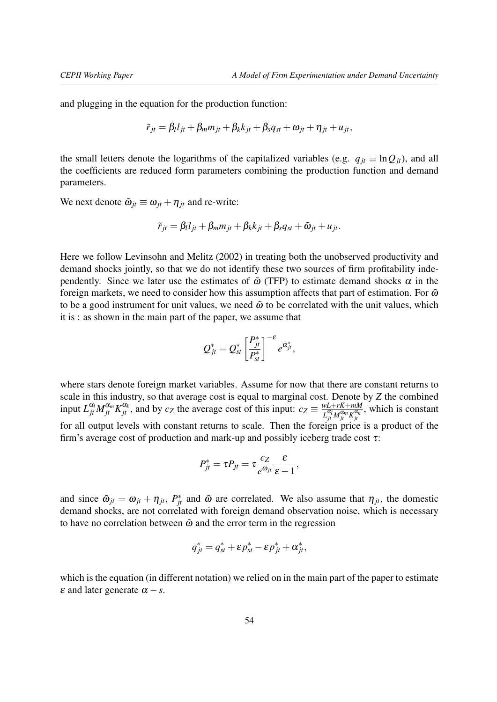and plugging in the equation for the production function:

$$
\tilde{r}_{jt} = \beta_l l_{jt} + \beta_m m_{jt} + \beta_k k_{jt} + \beta_s q_{st} + \omega_{jt} + \eta_{jt} + u_{jt},
$$

the small letters denote the logarithms of the capitalized variables (e.g.  $q_{it} \equiv \ln Q_{it}$ ), and all the coefficients are reduced form parameters combining the production function and demand parameters.

We next denote  $\tilde{\omega}_{it} \equiv \omega_{it} + \eta_{it}$  and re-write:

$$
\tilde{r}_{jt} = \beta_l l_{jt} + \beta_m m_{jt} + \beta_k k_{jt} + \beta_s q_{st} + \tilde{\omega}_{jt} + u_{jt}.
$$

Here we follow [Levinsohn and Melitz](#page-35-19) [\(2002\)](#page-35-19) in treating both the unobserved productivity and demand shocks jointly, so that we do not identify these two sources of firm profitability independently. Since we later use the estimates of  $\tilde{\omega}$  (TFP) to estimate demand shocks  $\alpha$  in the foreign markets, we need to consider how this assumption affects that part of estimation. For  $\tilde{\omega}$ to be a good instrument for unit values, we need  $\tilde{\omega}$  to be correlated with the unit values, which it is : as shown in the main part of the paper, we assume that

$$
Q_{jt}^* = Q_{st}^* \left[\frac{P_{jt}^*}{P_{st}^*}\right]^{-\varepsilon} e^{\alpha_{jt}^*},
$$

where stars denote foreign market variables. Assume for now that there are constant returns to scale in this industry, so that average cost is equal to marginal cost. Denote by *Z* the combined input  $L_{jt}^{\alpha_l} M_{jt}^{\alpha_m} K_{jt}^{\alpha_k}$ , and by  $c_Z$  the average cost of this input:  $c_Z \equiv \frac{w_L + rK + mM}{L_{ij}^{\alpha_l} M_{j}^{\alpha_m} K_{jk}^{\alpha_k}}$  $L_{jt}^{\alpha_l} M_{jt}^{\alpha_m} K_{jt}^{\alpha_k}$ , which is constant for all output levels with constant returns to scale. Then the foreign price is a product of the firm's average cost of production and mark-up and possibly iceberg trade cost  $\tau$ :

$$
P_{jt}^* = \tau P_{jt} = \tau \frac{c_Z}{e^{\omega_{jt}}} \frac{\varepsilon}{\varepsilon - 1},
$$

and since  $\tilde{\omega}_{jt} = \omega_{jt} + \eta_{jt}$ ,  $P_{jt}^*$  and  $\tilde{\omega}$  are correlated. We also assume that  $\eta_{jt}$ , the domestic demand shocks, are not correlated with foreign demand observation noise, which is necessary to have no correlation between  $\tilde{\omega}$  and the error term in the regression

$$
q_{jt}^* = q_{st}^* + \varepsilon p_{st}^* - \varepsilon p_{jt}^* + \alpha_{jt}^*,
$$

which is the equation (in different notation) we relied on in the main part of the paper to estimate  $\varepsilon$  and later generate  $\alpha - s$ .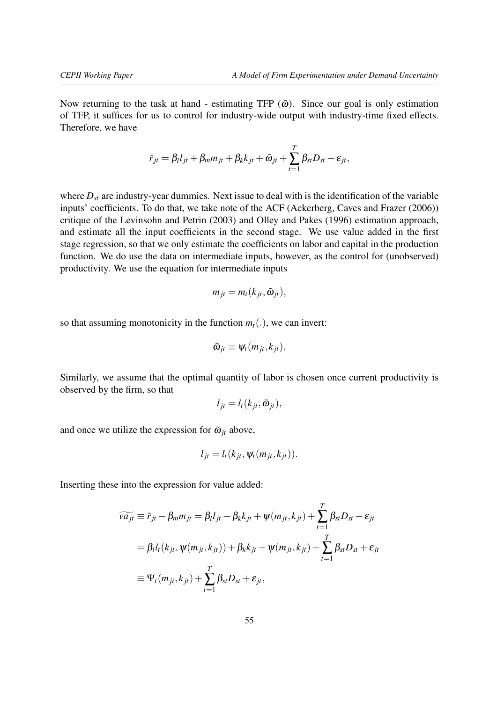Now returning to the task at hand - estimating TFP  $(\tilde{\omega})$ . Since our goal is only estimation of TFP, it suffices for us to control for industry-wide output with industry-time fixed effects. Therefore, we have

$$
\tilde{r}_{jt} = \beta_l l_{jt} + \beta_m m_{jt} + \beta_k k_{jt} + \tilde{\omega}_{jt} + \sum_{t=1}^T \beta_{st} D_{st} + \varepsilon_{jt},
$$

where  $D_{st}$  are industry-year dummies. Next issue to deal with is the identification of the variable inputs' coefficients. To do that, we take note of the ACF [\(Ackerberg, Caves and Frazer](#page-35-13) [\(2006\)](#page-35-13)) critique of the [Levinsohn and Petrin](#page-35-14) [\(2003\)](#page-35-14) and [Olley and Pakes](#page-36-3) [\(1996\)](#page-36-3) estimation approach, and estimate all the input coefficients in the second stage. We use value added in the first stage regression, so that we only estimate the coefficients on labor and capital in the production function. We do use the data on intermediate inputs, however, as the control for (unobserved) productivity. We use the equation for intermediate inputs

$$
m_{jt} = m_t(k_{jt}, \tilde{\omega}_{jt}),
$$

so that assuming monotonicity in the function  $m_t(.)$ , we can invert:

$$
\tilde{\omega}_{jt} \equiv \psi_t(m_{jt},k_{jt}).
$$

Similarly, we assume that the optimal quantity of labor is chosen once current productivity is observed by the firm, so that

$$
l_{jt}=l_t(k_{jt},\tilde{\omega}_{jt}),
$$

and once we utilize the expression for  $\tilde{\omega}_{jt}$  above,

$$
l_{jt}=l_t(k_{jt},\psi_t(m_{jt},k_{jt})).
$$

Inserting these into the expression for value added:

$$
\widetilde{va_{jt}} \equiv \widetilde{r}_{jt} - \beta_m m_{jt} = \beta_l l_{jt} + \beta_k k_{jt} + \psi(m_{jt}, k_{jt}) + \sum_{t=1}^T \beta_{st} D_{st} + \varepsilon_{jt}
$$
  
=  $\beta_l l_t(k_{jt}, \psi(m_{jt}, k_{jt})) + \beta_k k_{jt} + \psi(m_{jt}, k_{jt}) + \sum_{t=1}^T \beta_{st} D_{st} + \varepsilon_{jt}$   

$$
\equiv \Psi_t(m_{jt}, k_{jt}) + \sum_{t=1}^T \beta_{st} D_{st} + \varepsilon_{jt},
$$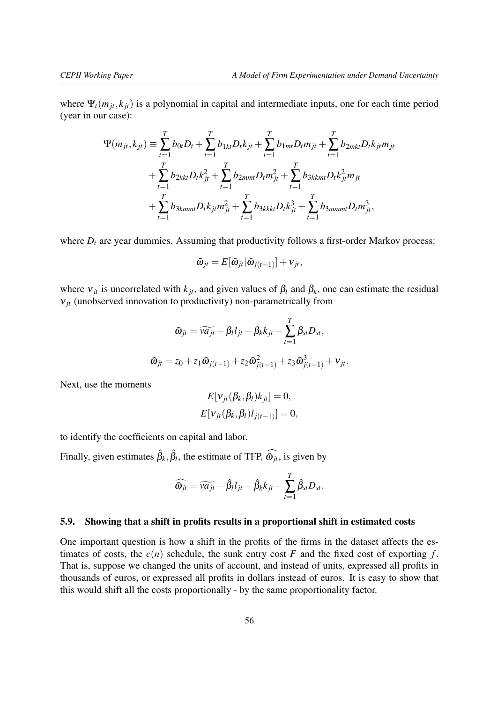where  $\Psi_t(m_{it}, k_{it})$  is a polynomial in capital and intermediate inputs, one for each time period (year in our case):

$$
\Psi(m_{jt}, k_{jt}) \equiv \sum_{t=1}^{T} b_{0t} D_t + \sum_{t=1}^{T} b_{1kt} D_t k_{jt} + \sum_{t=1}^{T} b_{1mt} D_t m_{jt} + \sum_{t=1}^{T} b_{2mkt} D_t k_{jt} m_{jt} + \sum_{t=1}^{T} b_{2kt} D_t k_{jt}^2 + \sum_{t=1}^{T} b_{2mmt} D_t m_{jt}^2 + \sum_{t=1}^{T} b_{3kkmt} D_t k_{jt}^2 m_{jt} + \sum_{t=1}^{T} b_{3kmmt} D_t k_{jt} m_{jt}^2 + \sum_{t=1}^{T} b_{3kkkt} D_t k_{jt}^3 + \sum_{t=1}^{T} b_{3mmmt} D_t m_{jt}^3,
$$

where  $D_t$  are year dummies. Assuming that productivity follows a first-order Markov process:

$$
\tilde{\omega}_{jt} = E[\tilde{\omega}_{jt}|\tilde{\omega}_{j(t-1)}] + v_{jt},
$$

where  $v_{jt}$  is uncorrelated with  $k_{jt}$ , and given values of  $\beta_l$  and  $\beta_k$ , one can estimate the residual  $v_{jt}$  (unobserved innovation to productivity) non-parametrically from

$$
\tilde{\omega}_{jt} = \widetilde{va_{jt}} - \beta_l l_{jt} - \beta_k k_{jt} - \sum_{t=1}^T \beta_{st} D_{st},
$$

$$
\tilde{\omega}_{jt} = z_0 + z_1 \tilde{\omega}_{j(t-1)} + z_2 \tilde{\omega}_{j(t-1)}^2 + z_3 \tilde{\omega}_{j(t-1)}^3 + v_{jt}.
$$

Next, use the moments

$$
E[\mathbf{v}_{jt}(\beta_k, \beta_l)k_{jt}] = 0,
$$
  

$$
E[\mathbf{v}_{jt}(\beta_k, \beta_l)l_{j(t-1)}] = 0,
$$

to identify the coefficients on capital and labor.

Finally, given estimates  $\hat{\beta}_k, \hat{\beta}_l$ , the estimate of TFP,  $\widehat{\omega}_{jt}$ , is given by

$$
\widehat{\omega}_{jt} = \widetilde{va_{jt}} - \widehat{\beta}_l l_{jt} - \widehat{\beta}_k k_{jt} - \sum_{t=1}^T \widehat{\beta}_{st} D_{st}.
$$

#### <span id="page-55-0"></span>5.9. Showing that a shift in profits results in a proportional shift in estimated costs

One important question is how a shift in the profits of the firms in the dataset affects the estimates of costs, the  $c(n)$  schedule, the sunk entry cost  $F$  and the fixed cost of exporting  $f$ . That is, suppose we changed the units of account, and instead of units, expressed all profits in thousands of euros, or expressed all profits in dollars instead of euros. It is easy to show that this would shift all the costs proportionally - by the same proportionality factor.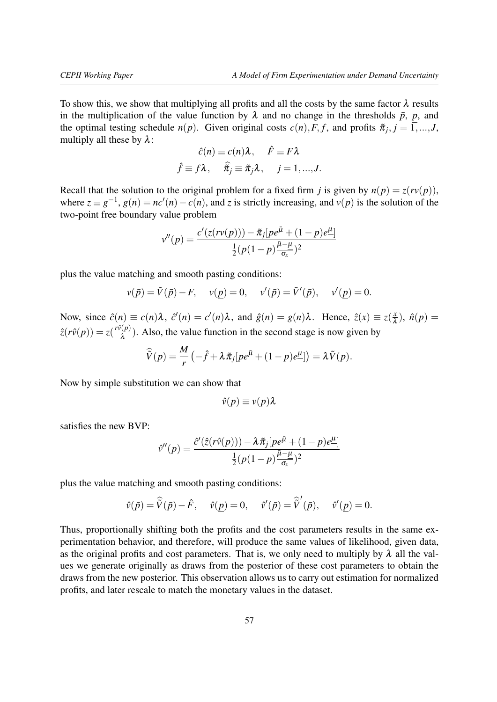To show this, we show that multiplying all profits and all the costs by the same factor  $\lambda$  results in the multiplication of the value function by  $\lambda$  and no change in the thresholds  $\bar{p}$ ,  $p$ , and the optimal testing schedule  $n(p)$ . Given original costs  $c(n)$ ,  $F$ ,  $f$ , and profits  $\tilde{\pi}_j$ ,  $j = 1, ..., J$ , multiply all these by  $\lambda$ :

$$
\hat{c}(n) \equiv c(n)\lambda, \quad \hat{F} \equiv F\lambda
$$

$$
\hat{f} \equiv f\lambda, \quad \hat{\overline{n}}_j \equiv \overline{n}_j\lambda, \quad j = 1, ..., J.
$$

Recall that the solution to the original problem for a fixed firm *j* is given by  $n(p) = z(rv(p))$ , where  $z \equiv g^{-1}$ ,  $g(n) = nc'(n) - c(n)$ , and *z* is strictly increasing, and  $v(p)$  is the solution of the two-point free boundary value problem

$$
v''(p) = \frac{c'(z(rv(p))) - \tilde{\pi}_j[pe^{\bar{\mu}} + (1-p)e^{\bar{\mu}}]}{\frac{1}{2}(p(1-p)\frac{\bar{\mu}-\mu}{\sigma_x})^2}
$$

plus the value matching and smooth pasting conditions:

$$
v(\bar{p}) = \tilde{V}(\bar{p}) - F
$$
,  $v(\underline{p}) = 0$ ,  $v'(\bar{p}) = \tilde{V}'(\bar{p})$ ,  $v'(\underline{p}) = 0$ .

Now, since  $\hat{c}(n) \equiv c(n)\lambda$ ,  $\hat{c}'(n) = c'(n)\lambda$ , and  $\hat{g}(n) = g(n)\lambda$ . Hence,  $\hat{z}(x) \equiv z(\frac{x}{\lambda})$  $\frac{x}{\lambda}$ ),  $\hat{n}(p)$  =  $\hat{z}(r\hat{v}(p)) = z(\frac{r\hat{v}(p)}{2})$  $\frac{\partial (P)}{\partial \lambda}$ ). Also, the value function in the second stage is now given by

$$
\widehat{V}(p) = \frac{M}{r} \left( -\widehat{f} + \lambda \pi_j [pe^{\bar{\mu}} + (1-p)e^{\mu}] \right) = \lambda \widetilde{V}(p).
$$

Now by simple substitution we can show that

$$
\hat{v}(p) \equiv v(p)\lambda
$$

satisfies the new BVP:

$$
\hat{v}''(p) = \frac{\hat{c}'(\hat{z}(r\hat{v}(p))) - \lambda \tilde{\pi}_j [pe^{\bar{\mu}} + (1-p)e^{\underline{\mu}}]}{\frac{1}{2}(p(1-p)\frac{\bar{\mu}-\underline{\mu}}{\sigma_x})^2}
$$

plus the value matching and smooth pasting conditions:

$$
\hat{v}(\bar{p}) = \widehat{\tilde{V}}(\bar{p}) - \hat{F}, \quad \hat{v}(\underline{p}) = 0, \quad \hat{v}'(\bar{p}) = \widehat{\tilde{V}}'(\bar{p}), \quad \hat{v}'(\underline{p}) = 0.
$$

Thus, proportionally shifting both the profits and the cost parameters results in the same experimentation behavior, and therefore, will produce the same values of likelihood, given data, as the original profits and cost parameters. That is, we only need to multiply by  $\lambda$  all the values we generate originally as draws from the posterior of these cost parameters to obtain the draws from the new posterior. This observation allows us to carry out estimation for normalized profits, and later rescale to match the monetary values in the dataset.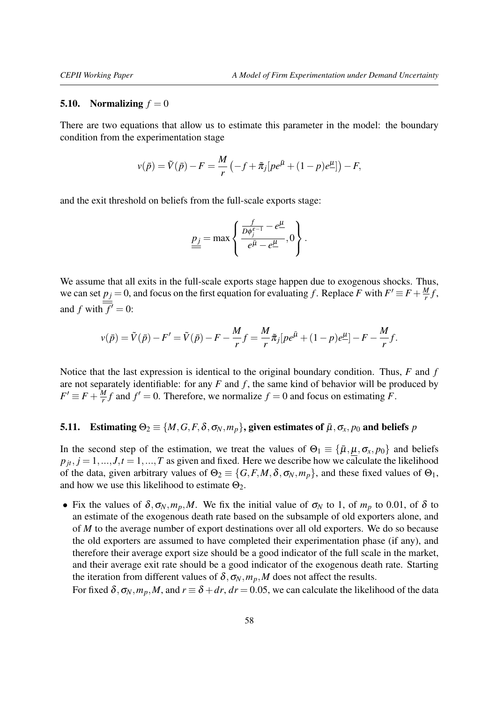#### <span id="page-57-0"></span>5.10. Normalizing  $f = 0$

There are two equations that allow us to estimate this parameter in the model: the boundary condition from the experimentation stage

$$
v(\bar{p}) = \tilde{V}(\bar{p}) - F = \frac{M}{r} \left( -f + \tilde{\pi}_j [pe^{\bar{\mu}} + (1-p)e^{\underline{\mu}}] \right) - F,
$$

and the exit threshold on beliefs from the full-scale exports stage:

$$
\underline{p_j} = \max \left\{ \frac{\frac{f}{D\phi_j^{\varepsilon-1}} - e^{\underline{\mu}}}{e^{\underline{\bar{\mu}}} - e^{\underline{\mu}}}, 0 \right\}.
$$

We assume that all exits in the full-scale exports stage happen due to exogenous shocks. Thus, we can set  $p_j = 0$ , and focus on the first equation for evaluating *f*. Replace *F* with  $F' \equiv F + \frac{M}{r}$  $\frac{M}{r}f$ , and *f* with  $\overline{f'} = 0$ :

$$
v(\bar{p}) = \tilde{V}(\bar{p}) - F' = \tilde{V}(\bar{p}) - F - \frac{M}{r}f = \frac{M}{r}\tilde{\pi}_j[pe^{\bar{\mu}} + (1-p)e^{\mu}] - F - \frac{M}{r}f.
$$

Notice that the last expression is identical to the original boundary condition. Thus, *F* and *f* are not separately identifiable: for any  $F$  and  $f$ , the same kind of behavior will be produced by  $F' \equiv F + \frac{M}{r}$  $\frac{M}{r}f$  and  $f' = 0$ . Therefore, we normalize  $f = 0$  and focus on estimating *F*.

# <span id="page-57-1"></span>5.11. Estimating  $\Theta_2 \equiv \{M, G, F, \delta, \sigma_N, m_p\}$ , given estimates of  $\bar{\mu}, \sigma_x, p_0$  and beliefs  $p$

In the second step of the estimation, we treat the values of  $\Theta_1 \equiv {\{\bar{\mu}, \mu, \sigma_x, p_0\}}$  and beliefs  $p_{it}$ ,  $j = 1, ..., J$ ,  $t = 1, ..., T$  as given and fixed. Here we describe how we calculate the likelihood of the data, given arbitrary values of  $\Theta_2 \equiv \{G, F, M, \delta, \sigma_N, m_p\}$ , and these fixed values of  $\Theta_1$ , and how we use this likelihood to estimate  $\Theta_2$ .

• Fix the values of  $\delta$ ,  $\sigma_N$ ,  $m_p$ , M. We fix the initial value of  $\sigma_N$  to 1, of  $m_p$  to 0.01, of  $\delta$  to an estimate of the exogenous death rate based on the subsample of old exporters alone, and of *M* to the average number of export destinations over all old exporters. We do so because the old exporters are assumed to have completed their experimentation phase (if any), and therefore their average export size should be a good indicator of the full scale in the market, and their average exit rate should be a good indicator of the exogenous death rate. Starting the iteration from different values of  $\delta$ ,  $\sigma_N$ ,  $m_p$ , M does not affect the results.

For fixed  $\delta$ ,  $\sigma_N$ ,  $m_p$ , M, and  $r \equiv \delta + dr$ ,  $dr = 0.05$ , we can calculate the likelihood of the data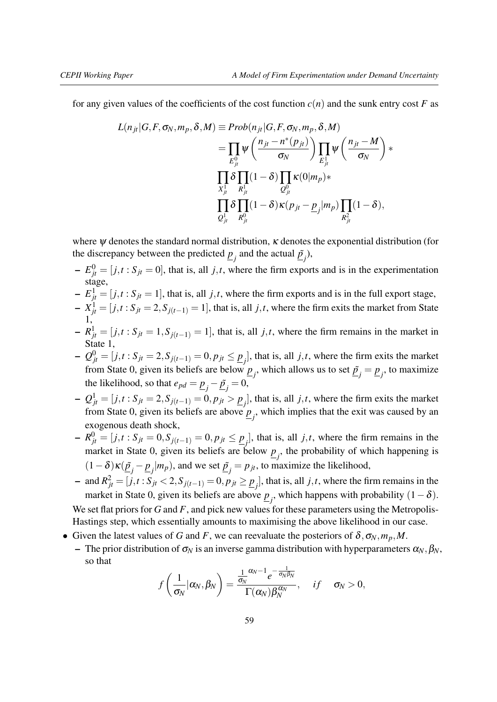for any given values of the coefficients of the cost function  $c(n)$  and the sunk entry cost *F* as

$$
L(n_{jt}|G, F, \sigma_N, m_p, \delta, M) \equiv Prob(n_{jt}|G, F, \sigma_N, m_p, \delta, M)
$$
  
\n
$$
= \prod_{E_{jt}^0} \psi\left(\frac{n_{jt} - n^*(p_{jt})}{\sigma_N}\right) \prod_{E_{jt}^1} \psi\left(\frac{n_{jt} - M}{\sigma_N}\right) *
$$
  
\n
$$
\prod_{X_{jt}^1} \delta \prod_{R_{jt}^1} (1 - \delta) \prod_{Q_{jt}^0} \kappa(0|m_p) *
$$
  
\n
$$
\prod_{Q_{jt}^1} \delta \prod_{R_{jt}^0} (1 - \delta) \kappa(p_{jt} - \underline{p}_j|m_p) \prod_{R_{jt}^2} (1 - \delta),
$$

where  $\psi$  denotes the standard normal distribution,  $\kappa$  denotes the exponential distribution (for the discrepancy between the predicted  $\underline{p}_j$  and the actual  $\underline{\tilde{p}}_j$ ),

- $E_{jt}^0 = [j, t : S_{jt} = 0]$ , that is, all *j*,*t*, where the firm exports and is in the experimentation stage,
- $E_{jt}^1 = [j, t : S_{jt} = 1]$ , that is, all *j*,*t*, where the firm exports and is in the full export stage,
- $\mathbf{X}_{jt}^1 = [j, t : S_{jt} = 2, S_{j(t-1)} = 1]$ , that is, all *j*,*t*, where the firm exits the market from State 1,
- $-R_{jt}^1 = [j,t: S_{jt} = 1, S_{j(t-1)} = 1]$ , that is, all *j*,*t*, where the firm remains in the market in State 1,
- $-Q_{jt}^0 = [j, t : S_{jt} = 2, S_{j(t-1)} = 0, p_{jt} ≤ p_{jt}].$  that is, all *j,t*, where the firm exits the market from State 0, given its beliefs are below  $\underline{p}_j$ , which allows us to set  $\underline{\tilde{p}}_j = \underline{p}_j$ , to maximize the likelihood, so that  $e_{pd} = \underline{p}_j - \underline{\tilde{p}}_j = 0$ ,
- −  $Q_{jt}^1 = [j, t : S_{jt} = 2, S_{j(t-1)} = 0, p_{jt} > p_{jt}^1]$ , that is, all *j,t*, where the firm exits the market from State 0, given its beliefs are above  $\underline{p}_j$ , which implies that the exit was caused by an exogenous death shock,
- $P_{j_t} = [j, t : S_{jt} = 0, S_{j(t-1)} = 0, p_{jt} ≤ p_j]$ , that is, all *j*,*t*, where the firm remains in the market in State 0, given its beliefs are below  $\underline{p}_j$ , the probability of which happening is  $(1 - \delta) \kappa (\underline{\tilde{p}}_j - \underline{p}_j | m_p)$ , and we set  $\underline{\tilde{p}}_j = p_{jt}$ , to maximize the likelihood,
- − and  $R_{jt}^2 = [j, t : S_{jt} < 2, S_{j(t-1)} = 0, p_{jt} \geq \underline{p}_j]$ , that is, all *j*,*t*, where the firm remains in the market in State 0, given its beliefs are above  $\underline{p}_j$ , which happens with probability  $(1-\delta)$ . We set flat priors for *G* and *F*, and pick new values for these parameters using the Metropolis-Hastings step, which essentially amounts to maximising the above likelihood in our case.
- Given the latest values of *G* and *F*, we can reevaluate the posteriors of  $\delta$ ,  $\sigma_N$ ,  $m_p$ , *M*.
	- The prior distribution of  $σ_N$  is an inverse gamma distribution with hyperparameters  $α_N, β_N$ , so that

$$
f\left(\frac{1}{\sigma_N}|\alpha_N,\beta_N\right)=\frac{\frac{1}{\sigma_N}\alpha_N-1}{\Gamma(\alpha_N)\beta_N^{\alpha_N}},\quad \text{if}\quad \sigma_N>0,
$$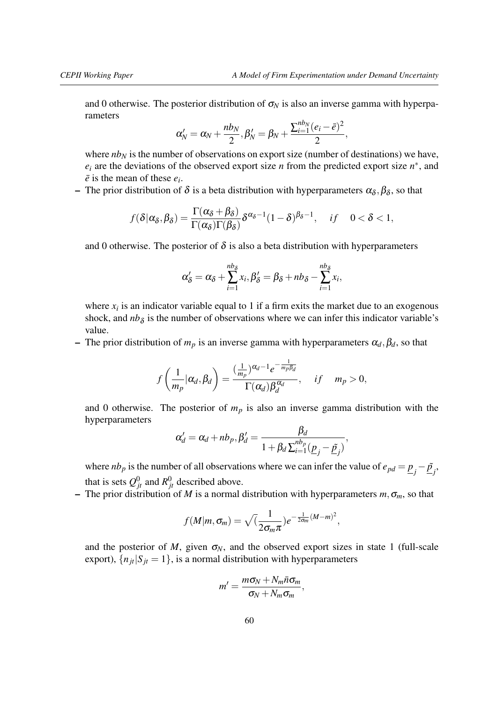and 0 otherwise. The posterior distribution of  $\sigma_N$  is also an inverse gamma with hyperparameters

$$
\alpha'_N=\alpha_N+\frac{nb_N}{2}, \beta'_N=\beta_N+\frac{\sum_{i=1}^{nb_N}(e_i-\bar{e})^2}{2},
$$

where  $nb<sub>N</sub>$  is the number of observations on export size (number of destinations) we have,  $e_i$  are the deviations of the observed export size *n* from the predicted export size  $n^*$ , and  $\overline{e}$  is the mean of these  $e_i$ .

– The prior distribution of  $\delta$  is a beta distribution with hyperparameters  $\alpha_{\delta}, \beta_{\delta}$ , so that

$$
f(\delta|\alpha_{\delta},\beta_{\delta})=\frac{\Gamma(\alpha_{\delta}+\beta_{\delta})}{\Gamma(\alpha_{\delta})\Gamma(\beta_{\delta})}\delta^{\alpha_{\delta}-1}(1-\delta)^{\beta_{\delta}-1}, \quad if \quad 0<\delta<1,
$$

and 0 otherwise. The posterior of  $\delta$  is also a beta distribution with hyperparameters

$$
\alpha_{\delta}' = \alpha_{\delta} + \sum_{i=1}^{nb_{\delta}} x_i, \beta_{\delta}' = \beta_{\delta} + nb_{\delta} - \sum_{i=1}^{nb_{\delta}} x_i,
$$

where  $x_i$  is an indicator variable equal to 1 if a firm exits the market due to an exogenous shock, and  $nb<sub>\delta</sub>$  is the number of observations where we can infer this indicator variable's value.

– The prior distribution of  $m_p$  is an inverse gamma with hyperparameters  $\alpha_d, \beta_d$ , so that

$$
f\left(\frac{1}{m_p}|\alpha_d,\beta_d\right) = \frac{\left(\frac{1}{m_p}\right)^{\alpha_d-1}e^{-\frac{1}{m_p\beta_d}}}{\Gamma(\alpha_d)\beta_d^{\alpha_d}}, \quad \text{if} \quad m_p > 0,
$$

and 0 otherwise. The posterior of  $m_p$  is also an inverse gamma distribution with the hyperparameters

$$
\alpha'_d = \alpha_d + nb_p, \beta'_d = \frac{\beta_d}{1 + \beta_d \sum_{i=1}^{nb_p} (\underline{p}_j - \underline{\tilde{p}}_j)},
$$

where *nb<sub>p</sub>* is the number of all observations where we can infer the value of  $e_{pd} = \underline{p}_j - \underline{\tilde{p}}_j$ . that is sets  $Q_{jt}^0$  and  $R_{jt}^0$  described above.

– The prior distribution of *M* is a normal distribution with hyperparameters  $m, \sigma_m$ , so that

$$
f(M|m, \sigma_m) = \sqrt{\frac{1}{2\sigma_m \pi}} e^{-\frac{1}{2\sigma_m} (M-m)^2},
$$

and the posterior of *M*, given  $\sigma_N$ , and the observed export sizes in state 1 (full-scale export),  $\{n_{jt} | S_{jt} = 1\}$ , is a normal distribution with hyperparameters

$$
m'=\frac{m\sigma_N+N_m\bar{n}\sigma_m}{\sigma_N+N_m\sigma_m},
$$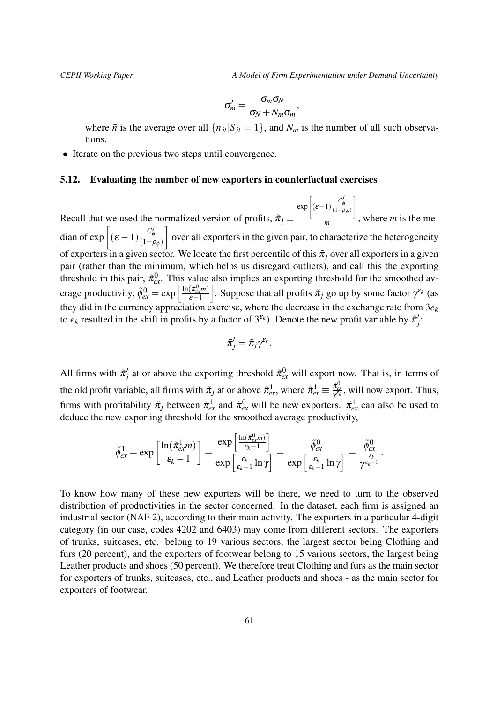$$
\sigma'_m = \frac{\sigma_m \sigma_N}{\sigma_N + N_m \sigma_m},
$$

where  $\bar{n}$  is the average over all  $\{n_{it}|S_{it} = 1\}$ , and  $N_m$  is the number of all such observations.

• Iterate on the previous two steps until convergence.

### <span id="page-60-0"></span>5.12. Evaluating the number of new exporters in counterfactual exercises

Recall that we used the normalized version of profits,  $\tilde{\pi}_j \equiv$  $\exp\left[ (\varepsilon - 1) \frac{C_{\phi}^j}{(1 - \rho_{\phi})} \right]$ 1  $\frac{1}{m}$ , where *m* is the median of  $\exp\left[ (\varepsilon - 1) \frac{C_{\phi}^{j}}{(1 - \varepsilon)} \right]$  $\frac{c_{\phi}}{(1-\rho_{\phi})}$ 1 over all exporters in the given pair, to characterize the heterogeneity of exporters in a given sector. We locate the first percentile of this  $\tilde{\pi}_i$  over all exporters in a given pair (rather than the minimum, which helps us disregard outliers), and call this the exporting threshold in this pair,  $\tilde{\pi}_{ex}^0$ . This value also implies an exporting threshold for the smoothed average productivity,  $\tilde{\phi}_{ex}^{0} = \exp\left[\frac{\ln(\tilde{\pi}_{ex}^{0}m)}{\varepsilon-1}\right]$  $\varepsilon-1$ . Suppose that all profits  $\tilde{\pi}_j$  go up by some factor  $\gamma^{\epsilon_k}$  (as they did in the currency appreciation exercise, where the decrease in the exchange rate from 3*e<sup>k</sup>* to  $e_k$  resulted in the shift in profits by a factor of  $3^{\epsilon_k}$ ). Denote the new profit variable by  $\tilde{\pi}'_j$ :

$$
\tilde{\pi}'_j = \tilde{\pi}_j \gamma^{\varepsilon_k}.
$$

All firms with  $\tilde{\pi}'_j$  at or above the exporting threshold  $\tilde{\pi}^0_{ex}$  will export now. That is, in terms of the old profit variable, all firms with  $\tilde{\pi}_j$  at or above  $\tilde{\pi}_{ex}^1$ , where  $\tilde{\pi}_{ex}^1 \equiv \frac{\tilde{\pi}_{ex}^0}{\gamma^{E_k}}$ , will now export. Thus, firms with profitability  $\tilde{\pi}_j$  between  $\tilde{\pi}_{ex}^1$  and  $\tilde{\pi}_{ex}^0$  will be new exporters.  $\tilde{\pi}_{ex}^1$  can also be used to deduce the new exporting threshold for the smoothed average productivity,

$$
\tilde{\phi}_{ex}^1 = \exp\left[\frac{\ln(\tilde{\pi}_{ex}^1 m)}{\epsilon_k - 1}\right] = \frac{\exp\left[\frac{\ln(\tilde{\pi}_{ex}^0 m)}{\epsilon_k - 1}\right]}{\exp\left[\frac{\epsilon_k}{\epsilon_k - 1}\ln\gamma\right]} = \frac{\tilde{\phi}_{ex}^0}{\exp\left[\frac{\epsilon_k}{\epsilon_k - 1}\ln\gamma\right]} = \frac{\tilde{\phi}_{ex}^0}{\gamma^{\frac{\epsilon_k}{\epsilon_k - 1}}}.
$$

To know how many of these new exporters will be there, we need to turn to the observed distribution of productivities in the sector concerned. In the dataset, each firm is assigned an industrial sector (NAF 2), according to their main activity. The exporters in a particular 4-digit category (in our case, codes 4202 and 6403) may come from different sectors. The exporters of trunks, suitcases, etc. belong to 19 various sectors, the largest sector being Clothing and furs (20 percent), and the exporters of footwear belong to 15 various sectors, the largest being Leather products and shoes (50 percent). We therefore treat Clothing and furs as the main sector for exporters of trunks, suitcases, etc., and Leather products and shoes - as the main sector for exporters of footwear.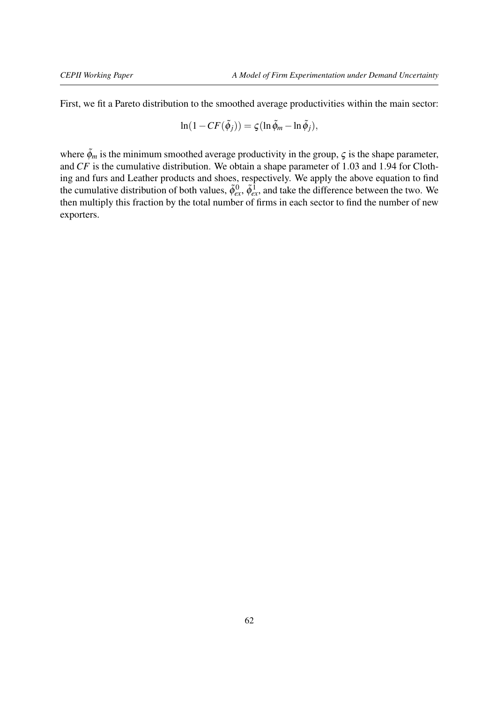First, we fit a Pareto distribution to the smoothed average productivities within the main sector:

$$
\ln(1 - CF(\tilde{\phi}_j)) = \varsigma(\ln \tilde{\phi}_m - \ln \tilde{\phi}_j),
$$

where  $\tilde{\phi}_m$  is the minimum smoothed average productivity in the group,  $\zeta$  is the shape parameter, and *CF* is the cumulative distribution. We obtain a shape parameter of 1.03 and 1.94 for Clothing and furs and Leather products and shoes, respectively. We apply the above equation to find the cumulative distribution of both values,  $\tilde{\phi}_{ex}^0$ ,  $\tilde{\phi}_{ex}^1$ , and take the difference between the two. We then multiply this fraction by the total number of firms in each sector to find the number of new exporters.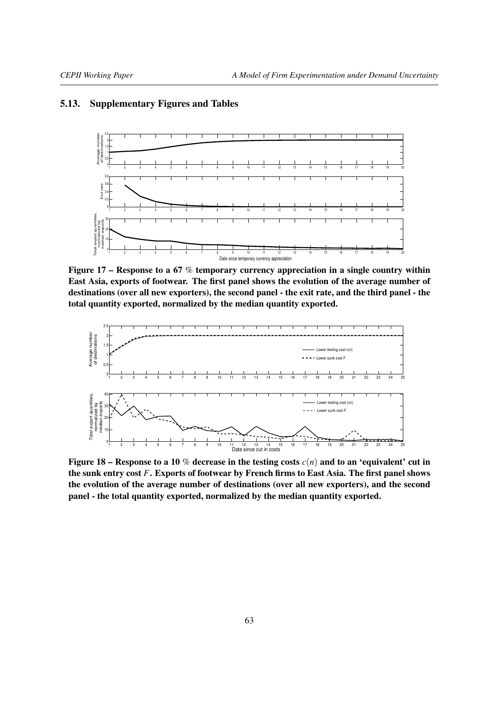### <span id="page-62-1"></span><span id="page-62-0"></span>5.13. Supplementary Figures and Tables



Figure 17 – Response to a 67 % temporary currency appreciation in a single country within East Asia, exports of footwear. The first panel shows the evolution of the average number of destinations (over all new exporters), the second panel - the exit rate, and the third panel - the total quantity exported, normalized by the median quantity exported.



Figure 18 – Response to a 10 % decrease in the testing costs  $c(n)$  and to an 'equivalent' cut in the sunk entry cost *F*. Exports of footwear by French firms to East Asia. The first panel shows the evolution of the average number of destinations (over all new exporters), and the second panel - the total quantity exported, normalized by the median quantity exported.